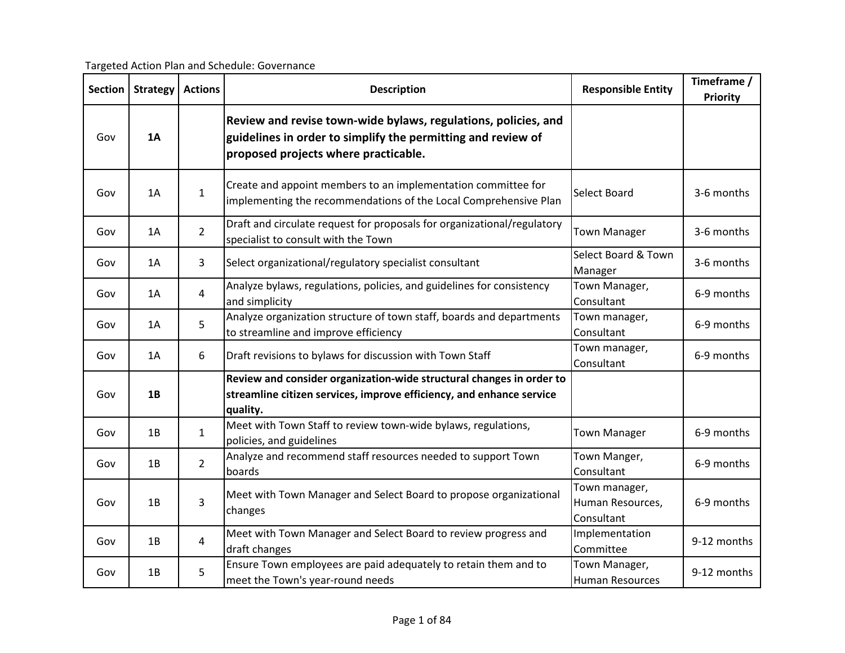Targeted Action Plan and Schedule: Governance

|     | <b>Actions</b><br><b>Section</b><br><b>Strategy</b> |                | <b>Description</b>                                                                                                                                                     | <b>Responsible Entity</b>                       | Timeframe / |
|-----|-----------------------------------------------------|----------------|------------------------------------------------------------------------------------------------------------------------------------------------------------------------|-------------------------------------------------|-------------|
|     |                                                     |                |                                                                                                                                                                        |                                                 | Priority    |
| Gov | 1A                                                  |                | Review and revise town-wide bylaws, regulations, policies, and<br>guidelines in order to simplify the permitting and review of<br>proposed projects where practicable. |                                                 |             |
| Gov | 1A                                                  | $\mathbf{1}$   | Create and appoint members to an implementation committee for<br>implementing the recommendations of the Local Comprehensive Plan                                      | Select Board                                    | 3-6 months  |
| Gov | 1A                                                  | $\overline{2}$ | Draft and circulate request for proposals for organizational/regulatory<br>specialist to consult with the Town                                                         | <b>Town Manager</b>                             | 3-6 months  |
| Gov | 1Α                                                  | 3              | Select organizational/regulatory specialist consultant                                                                                                                 | Select Board & Town<br>Manager                  | 3-6 months  |
| Gov | 1A                                                  | 4              | Analyze bylaws, regulations, policies, and guidelines for consistency<br>and simplicity                                                                                | Town Manager,<br>Consultant                     | 6-9 months  |
| Gov | 1A                                                  | 5              | Analyze organization structure of town staff, boards and departments<br>to streamline and improve efficiency                                                           | Town manager,<br>Consultant                     | 6-9 months  |
| Gov | 1Α                                                  | 6              | Draft revisions to bylaws for discussion with Town Staff                                                                                                               | Town manager,<br>Consultant                     | 6-9 months  |
| Gov | 1B                                                  |                | Review and consider organization-wide structural changes in order to<br>streamline citizen services, improve efficiency, and enhance service<br>quality.               |                                                 |             |
| Gov | 1B                                                  | $\mathbf{1}$   | Meet with Town Staff to review town-wide bylaws, regulations,<br>policies, and guidelines                                                                              | <b>Town Manager</b>                             | 6-9 months  |
| Gov | 1B                                                  | $\overline{2}$ | Analyze and recommend staff resources needed to support Town<br>boards                                                                                                 | Town Manger,<br>Consultant                      | 6-9 months  |
| Gov | 1B                                                  | 3              | Meet with Town Manager and Select Board to propose organizational<br>changes                                                                                           | Town manager,<br>Human Resources,<br>Consultant | 6-9 months  |
| Gov | 1B                                                  | 4              | Meet with Town Manager and Select Board to review progress and<br>draft changes                                                                                        | Implementation<br>Committee                     | 9-12 months |
| Gov | 1B                                                  | 5              | Ensure Town employees are paid adequately to retain them and to<br>meet the Town's year-round needs                                                                    | Town Manager,<br><b>Human Resources</b>         | 9-12 months |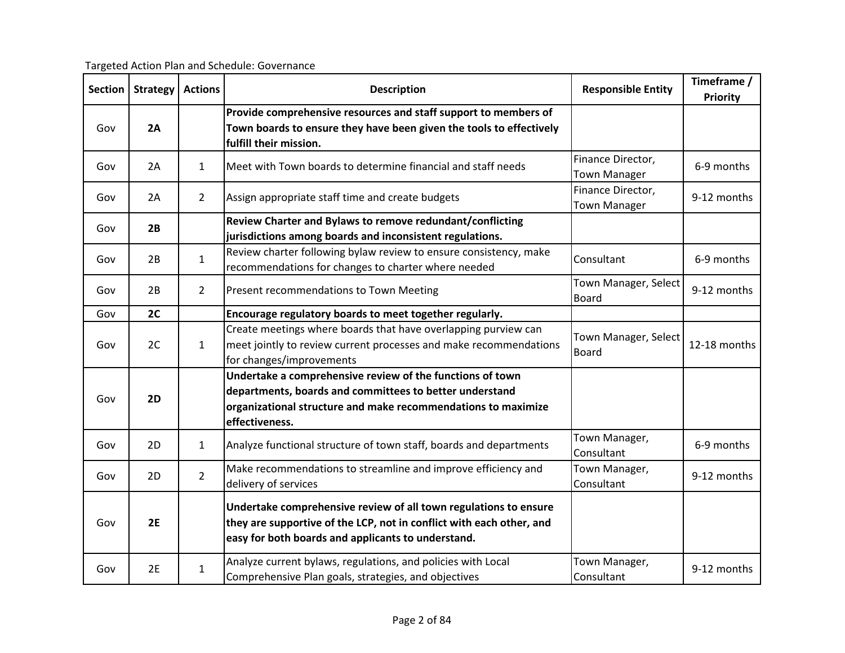Targeted Action Plan and Schedule: Governance

| <b>Section</b> | <b>Strategy</b> | <b>Actions</b> | <b>Description</b>                                                                                                                                                                             | <b>Responsible Entity</b>                | Timeframe /<br><b>Priority</b> |
|----------------|-----------------|----------------|------------------------------------------------------------------------------------------------------------------------------------------------------------------------------------------------|------------------------------------------|--------------------------------|
|                |                 |                |                                                                                                                                                                                                |                                          |                                |
|                |                 |                | Provide comprehensive resources and staff support to members of                                                                                                                                |                                          |                                |
| Gov            | 2A              |                | Town boards to ensure they have been given the tools to effectively                                                                                                                            |                                          |                                |
|                |                 |                | fulfill their mission.                                                                                                                                                                         |                                          |                                |
| Gov            | 2A              | $\mathbf{1}$   | Meet with Town boards to determine financial and staff needs                                                                                                                                   | Finance Director,<br><b>Town Manager</b> | 6-9 months                     |
| Gov            | 2A              | $\overline{2}$ | Assign appropriate staff time and create budgets                                                                                                                                               | Finance Director,<br><b>Town Manager</b> | 9-12 months                    |
|                |                 |                | Review Charter and Bylaws to remove redundant/conflicting                                                                                                                                      |                                          |                                |
| Gov            | 2B              |                | jurisdictions among boards and inconsistent regulations.                                                                                                                                       |                                          |                                |
|                |                 |                | Review charter following bylaw review to ensure consistency, make                                                                                                                              |                                          | 6-9 months                     |
| Gov            | 2B              | $\mathbf{1}$   | recommendations for changes to charter where needed                                                                                                                                            | Consultant                               |                                |
| Gov            | 2B              | $\overline{2}$ | Present recommendations to Town Meeting                                                                                                                                                        | Town Manager, Select<br><b>Board</b>     | 9-12 months                    |
| Gov            | 2C              |                | Encourage regulatory boards to meet together regularly.                                                                                                                                        |                                          |                                |
|                |                 |                | Create meetings where boards that have overlapping purview can                                                                                                                                 |                                          |                                |
| Gov            | 2C              | $\mathbf{1}$   | meet jointly to review current processes and make recommendations                                                                                                                              | Town Manager, Select<br><b>Board</b>     | 12-18 months                   |
|                |                 |                | for changes/improvements                                                                                                                                                                       |                                          |                                |
|                |                 |                | Undertake a comprehensive review of the functions of town                                                                                                                                      |                                          |                                |
|                |                 |                | departments, boards and committees to better understand                                                                                                                                        |                                          |                                |
| Gov            | 2D              |                | organizational structure and make recommendations to maximize                                                                                                                                  |                                          |                                |
|                |                 |                |                                                                                                                                                                                                | effectiveness.                           |                                |
| Gov            | 2D              | $\mathbf{1}$   | Analyze functional structure of town staff, boards and departments                                                                                                                             | Town Manager,<br>Consultant              | 6-9 months                     |
| Gov            | 2D              | $\overline{2}$ | Make recommendations to streamline and improve efficiency and                                                                                                                                  | Town Manager,                            | 9-12 months                    |
|                |                 |                | delivery of services                                                                                                                                                                           | Consultant                               |                                |
| Gov            | 2E              |                | Undertake comprehensive review of all town regulations to ensure<br>they are supportive of the LCP, not in conflict with each other, and<br>easy for both boards and applicants to understand. |                                          |                                |
| Gov            | 2E              | $\mathbf{1}$   | Analyze current bylaws, regulations, and policies with Local<br>Comprehensive Plan goals, strategies, and objectives                                                                           | Town Manager,<br>Consultant              | 9-12 months                    |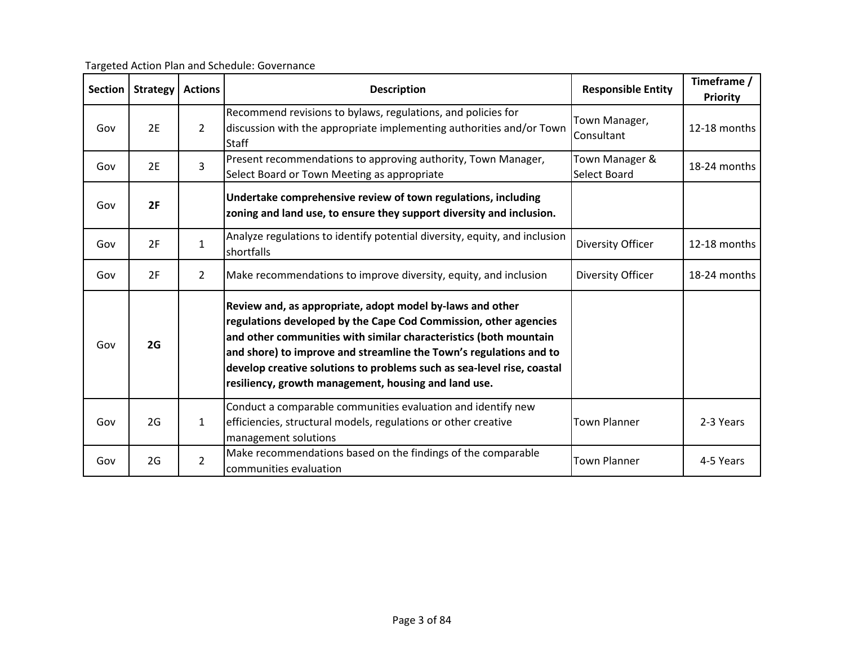| Targeted Action Plan and Schedule: Governance |  |  |
|-----------------------------------------------|--|--|
|                                               |  |  |

| <b>Section</b> | <b>Strategy</b> | <b>Actions</b> | <b>Description</b>                                                                                                                                                                                                                                                                                                                                                                                         | <b>Responsible Entity</b>      | Timeframe /<br>Priority |
|----------------|-----------------|----------------|------------------------------------------------------------------------------------------------------------------------------------------------------------------------------------------------------------------------------------------------------------------------------------------------------------------------------------------------------------------------------------------------------------|--------------------------------|-------------------------|
| Gov            | 2E              | $\overline{2}$ | Recommend revisions to bylaws, regulations, and policies for<br>discussion with the appropriate implementing authorities and/or Town<br><b>Staff</b>                                                                                                                                                                                                                                                       | Town Manager,<br>Consultant    | 12-18 months            |
| Gov            | 2E              | 3              | Present recommendations to approving authority, Town Manager,<br>Select Board or Town Meeting as appropriate                                                                                                                                                                                                                                                                                               | Town Manager &<br>Select Board | 18-24 months            |
| Gov            | 2F              |                | Undertake comprehensive review of town regulations, including<br>zoning and land use, to ensure they support diversity and inclusion.                                                                                                                                                                                                                                                                      |                                |                         |
| Gov            | 2F              | $\mathbf{1}$   | Analyze regulations to identify potential diversity, equity, and inclusion<br>shortfalls                                                                                                                                                                                                                                                                                                                   | Diversity Officer              | 12-18 months            |
| Gov            | 2F              | $\overline{2}$ | Make recommendations to improve diversity, equity, and inclusion                                                                                                                                                                                                                                                                                                                                           | Diversity Officer              | 18-24 months            |
| Gov            | 2G              |                | Review and, as appropriate, adopt model by-laws and other<br>regulations developed by the Cape Cod Commission, other agencies<br>and other communities with similar characteristics (both mountain<br>and shore) to improve and streamline the Town's regulations and to<br>develop creative solutions to problems such as sea-level rise, coastal<br>resiliency, growth management, housing and land use. |                                |                         |
| Gov            | 2G              | $\mathbf{1}$   | Conduct a comparable communities evaluation and identify new<br>efficiencies, structural models, regulations or other creative<br>management solutions                                                                                                                                                                                                                                                     | <b>Town Planner</b>            | 2-3 Years               |
| Gov            | 2G              | $\overline{2}$ | Make recommendations based on the findings of the comparable<br>communities evaluation                                                                                                                                                                                                                                                                                                                     | <b>Town Planner</b>            | 4-5 Years               |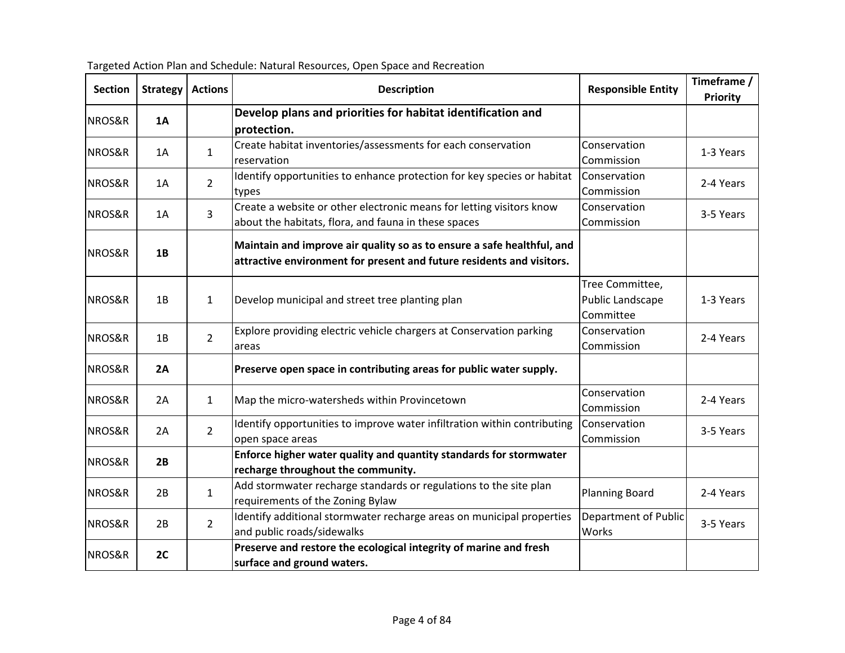| <b>Section</b> | <b>Strategy</b> | <b>Actions</b> | <b>Description</b>                                                                                                                              | <b>Responsible Entity</b>                        | Timeframe /<br>Priority |
|----------------|-----------------|----------------|-------------------------------------------------------------------------------------------------------------------------------------------------|--------------------------------------------------|-------------------------|
| NROS&R         | 1A              |                | Develop plans and priorities for habitat identification and<br>protection.                                                                      |                                                  |                         |
| NROS&R         | 1A              | $\mathbf{1}$   | Create habitat inventories/assessments for each conservation<br>reservation                                                                     | Conservation<br>Commission                       | 1-3 Years               |
| NROS&R         | 1A              | $2^{\circ}$    | Identify opportunities to enhance protection for key species or habitat<br>types                                                                | Conservation<br>Commission                       | 2-4 Years               |
| NROS&R         | 1A              | $\overline{3}$ | Create a website or other electronic means for letting visitors know<br>about the habitats, flora, and fauna in these spaces                    | Conservation<br>Commission                       | 3-5 Years               |
| NROS&R         | 1B              |                | Maintain and improve air quality so as to ensure a safe healthful, and<br>attractive environment for present and future residents and visitors. |                                                  |                         |
| NROS&R         | 1B              | $\mathbf{1}$   | Develop municipal and street tree planting plan                                                                                                 | Tree Committee,<br>Public Landscape<br>Committee | 1-3 Years               |
| NROS&R         | 1B              | $\overline{2}$ | Explore providing electric vehicle chargers at Conservation parking<br>areas                                                                    | Conservation<br>Commission                       | 2-4 Years               |
| NROS&R         | 2A              |                | Preserve open space in contributing areas for public water supply.                                                                              |                                                  |                         |
| NROS&R         | 2A              | $\mathbf{1}$   | Map the micro-watersheds within Provincetown                                                                                                    | Conservation<br>Commission                       | 2-4 Years               |
| NROS&R         | 2A              | $\overline{2}$ | Identify opportunities to improve water infiltration within contributing<br>open space areas                                                    | Conservation<br>Commission                       | 3-5 Years               |
| NROS&R         | 2B              |                | Enforce higher water quality and quantity standards for stormwater<br>recharge throughout the community.                                        |                                                  |                         |
| NROS&R         | 2B              | $\mathbf{1}$   | Add stormwater recharge standards or regulations to the site plan<br>requirements of the Zoning Bylaw                                           | <b>Planning Board</b>                            | 2-4 Years               |
| NROS&R         | 2B              | $\overline{2}$ | Identify additional stormwater recharge areas on municipal properties<br>and public roads/sidewalks                                             | Department of Public<br>Works                    | 3-5 Years               |
| NROS&R         | 2C              |                | Preserve and restore the ecological integrity of marine and fresh<br>surface and ground waters.                                                 |                                                  |                         |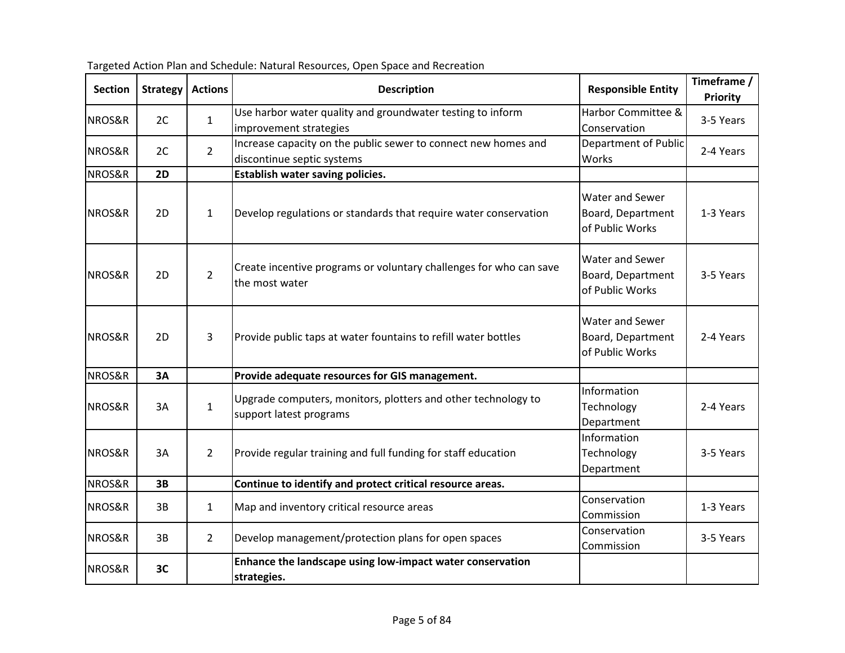| <b>Section</b> | <b>Strategy</b> | <b>Actions</b> | <b>Description</b>                                                                           | <b>Responsible Entity</b>                               | Timeframe /<br><b>Priority</b> |
|----------------|-----------------|----------------|----------------------------------------------------------------------------------------------|---------------------------------------------------------|--------------------------------|
| NROS&R         | 2C              | $\mathbf{1}$   | Use harbor water quality and groundwater testing to inform<br>improvement strategies         | Harbor Committee &<br>Conservation                      | 3-5 Years                      |
| NROS&R         | 2C              | $\overline{2}$ | Increase capacity on the public sewer to connect new homes and<br>discontinue septic systems | Department of Public<br>Works                           | 2-4 Years                      |
| NROS&R         | 2D              |                | Establish water saving policies.                                                             |                                                         |                                |
| NROS&R         | 2D              | $\mathbf{1}$   | Develop regulations or standards that require water conservation                             | Water and Sewer<br>Board, Department<br>of Public Works | 1-3 Years                      |
| NROS&R         | 2D              | $2^{\circ}$    | Create incentive programs or voluntary challenges for who can save<br>the most water         | Water and Sewer<br>Board, Department<br>of Public Works | 3-5 Years                      |
| NROS&R         | 2D              | 3              | Provide public taps at water fountains to refill water bottles                               | Water and Sewer<br>Board, Department<br>of Public Works | 2-4 Years                      |
| NROS&R         | 3A              |                | Provide adequate resources for GIS management.                                               |                                                         |                                |
| NROS&R         | 3A              | $\mathbf{1}$   | Upgrade computers, monitors, plotters and other technology to<br>support latest programs     | Information<br>Technology<br>Department                 | 2-4 Years                      |
| NROS&R         | 3A              | $\overline{2}$ | Provide regular training and full funding for staff education                                | Information<br>Technology<br>Department                 | 3-5 Years                      |
| NROS&R         | 3B              |                | Continue to identify and protect critical resource areas.                                    |                                                         |                                |
| NROS&R         | 3B              | $\mathbf{1}$   | Map and inventory critical resource areas                                                    | Conservation<br>Commission                              | 1-3 Years                      |
| NROS&R         | 3B              | $\overline{2}$ | Develop management/protection plans for open spaces                                          | Conservation<br>Commission                              | 3-5 Years                      |
| NROS&R         | 3C              |                | Enhance the landscape using low-impact water conservation<br>strategies.                     |                                                         |                                |

Targeted Action Plan and Schedule: Natural Resources, Open Space and Recreation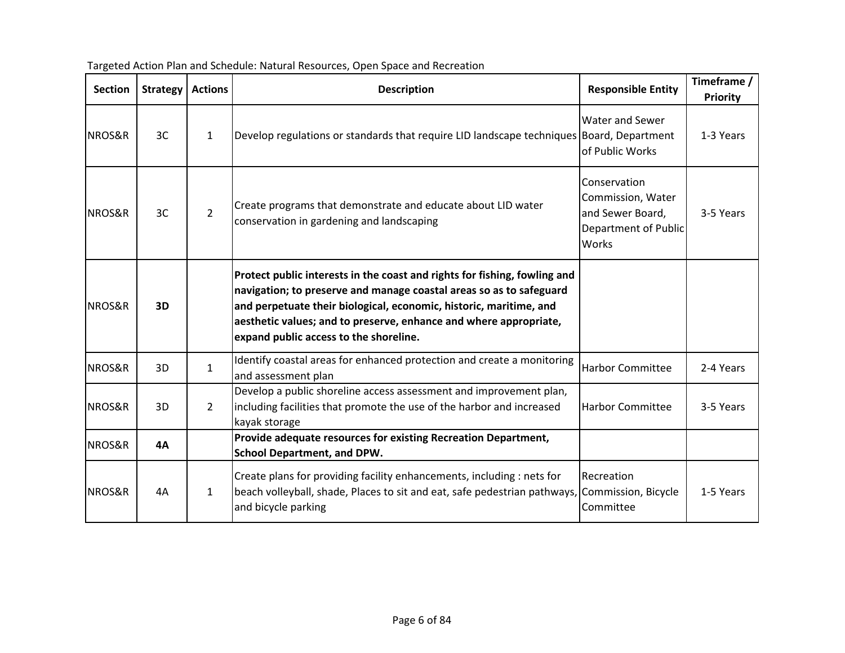| <b>Section</b> | <b>Strategy</b> | <b>Actions</b> | <b>Description</b>                                                                                                                                                                                                                                                                                                                    | <b>Responsible Entity</b>                                                              | Timeframe /<br><b>Priority</b> |
|----------------|-----------------|----------------|---------------------------------------------------------------------------------------------------------------------------------------------------------------------------------------------------------------------------------------------------------------------------------------------------------------------------------------|----------------------------------------------------------------------------------------|--------------------------------|
| NROS&R         | 3C              | $\mathbf{1}$   | Develop regulations or standards that require LID landscape techniques Board, Department                                                                                                                                                                                                                                              | <b>Water and Sewer</b><br>of Public Works                                              | 1-3 Years                      |
| NROS&R         | 3C              | $\overline{2}$ | Create programs that demonstrate and educate about LID water<br>conservation in gardening and landscaping                                                                                                                                                                                                                             | Conservation<br>Commission, Water<br>and Sewer Board,<br>Department of Public<br>Works | 3-5 Years                      |
| NROS&R         | 3D              |                | Protect public interests in the coast and rights for fishing, fowling and<br>navigation; to preserve and manage coastal areas so as to safeguard<br>and perpetuate their biological, economic, historic, maritime, and<br>aesthetic values; and to preserve, enhance and where appropriate,<br>expand public access to the shoreline. |                                                                                        |                                |
| NROS&R         | 3D              | $\mathbf{1}$   | Identify coastal areas for enhanced protection and create a monitoring<br>and assessment plan                                                                                                                                                                                                                                         | <b>Harbor Committee</b>                                                                | 2-4 Years                      |
| NROS&R         | 3D              | $\overline{2}$ | Develop a public shoreline access assessment and improvement plan,<br>including facilities that promote the use of the harbor and increased<br>kayak storage                                                                                                                                                                          | <b>Harbor Committee</b>                                                                | 3-5 Years                      |
| NROS&R         | 4A              |                | Provide adequate resources for existing Recreation Department,<br><b>School Department, and DPW.</b>                                                                                                                                                                                                                                  |                                                                                        |                                |
| NROS&R         | 4A              | 1              | Create plans for providing facility enhancements, including : nets for<br>beach volleyball, shade, Places to sit and eat, safe pedestrian pathways,<br>and bicycle parking                                                                                                                                                            | Recreation<br>Commission, Bicycle<br>Committee                                         | 1-5 Years                      |

Targeted Action Plan and Schedule: Natural Resources, Open Space and Recreation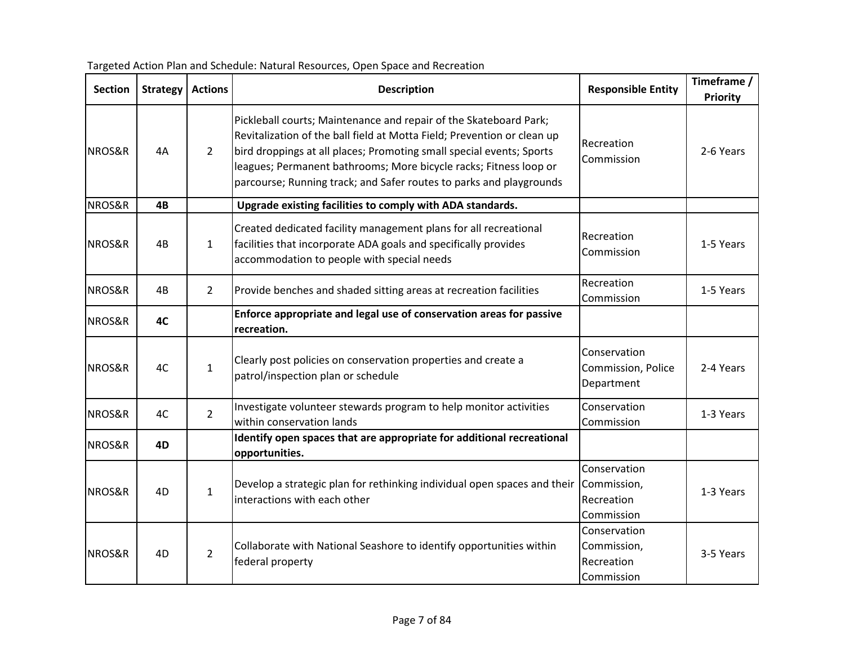| <b>Section</b> | <b>Strategy</b> | <b>Actions</b> | <b>Description</b>                                                                                                                                                                                                                                                                                                                                               | <b>Responsible Entity</b>                               | Timeframe /<br>Priority |
|----------------|-----------------|----------------|------------------------------------------------------------------------------------------------------------------------------------------------------------------------------------------------------------------------------------------------------------------------------------------------------------------------------------------------------------------|---------------------------------------------------------|-------------------------|
| NROS&R         | 4A              | $\overline{2}$ | Pickleball courts; Maintenance and repair of the Skateboard Park;<br>Revitalization of the ball field at Motta Field; Prevention or clean up<br>bird droppings at all places; Promoting small special events; Sports<br>leagues; Permanent bathrooms; More bicycle racks; Fitness loop or<br>parcourse; Running track; and Safer routes to parks and playgrounds | Recreation<br>Commission                                | 2-6 Years               |
| NROS&R         | 4B              |                | Upgrade existing facilities to comply with ADA standards.                                                                                                                                                                                                                                                                                                        |                                                         |                         |
| NROS&R         | 4B              | $\mathbf{1}$   | Created dedicated facility management plans for all recreational<br>facilities that incorporate ADA goals and specifically provides<br>accommodation to people with special needs                                                                                                                                                                                | Recreation<br>Commission                                | 1-5 Years               |
| NROS&R         | 4B              | $\overline{2}$ | Provide benches and shaded sitting areas at recreation facilities                                                                                                                                                                                                                                                                                                | Recreation<br>Commission                                | 1-5 Years               |
| NROS&R         | 4C              |                | Enforce appropriate and legal use of conservation areas for passive<br>recreation.                                                                                                                                                                                                                                                                               |                                                         |                         |
| NROS&R         | 4C              | $\mathbf{1}$   | Clearly post policies on conservation properties and create a<br>patrol/inspection plan or schedule                                                                                                                                                                                                                                                              | Conservation<br>Commission, Police<br>Department        | 2-4 Years               |
| NROS&R         | 4C              | $\overline{2}$ | Investigate volunteer stewards program to help monitor activities<br>within conservation lands                                                                                                                                                                                                                                                                   | Conservation<br>Commission                              | 1-3 Years               |
| NROS&R         | 4D              |                | Identify open spaces that are appropriate for additional recreational<br>opportunities.                                                                                                                                                                                                                                                                          |                                                         |                         |
| NROS&R         | 4D              | $\mathbf{1}$   | Develop a strategic plan for rethinking individual open spaces and their<br>interactions with each other                                                                                                                                                                                                                                                         | Conservation<br>Commission,<br>Recreation<br>Commission | 1-3 Years               |
| NROS&R         | 4D              | $\overline{2}$ | Collaborate with National Seashore to identify opportunities within<br>federal property                                                                                                                                                                                                                                                                          | Conservation<br>Commission,<br>Recreation<br>Commission | 3-5 Years               |

Targeted Action Plan and Schedule: Natural Resources, Open Space and Recreation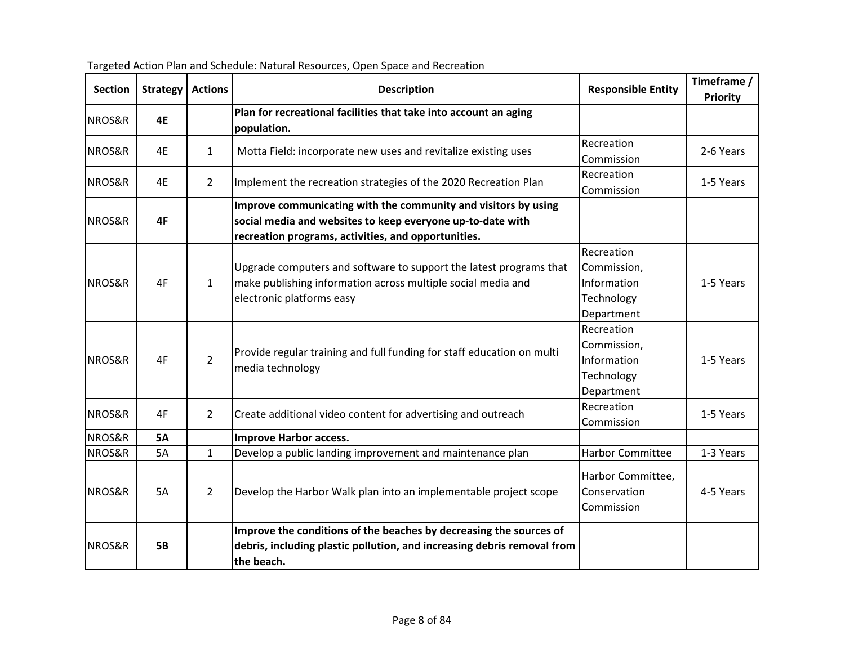| <b>Section</b> | <b>Strategy</b> | <b>Actions</b> | <b>Description</b>                                                                                                                                                                  | <b>Responsible Entity</b>                                            | Timeframe /<br><b>Priority</b> |
|----------------|-----------------|----------------|-------------------------------------------------------------------------------------------------------------------------------------------------------------------------------------|----------------------------------------------------------------------|--------------------------------|
| NROS&R         | 4E              |                | Plan for recreational facilities that take into account an aging<br>population.                                                                                                     |                                                                      |                                |
| NROS&R         | 4E              | $\mathbf{1}$   | Motta Field: incorporate new uses and revitalize existing uses                                                                                                                      | Recreation<br>Commission                                             | 2-6 Years                      |
| NROS&R         | 4E              | $\overline{2}$ | Implement the recreation strategies of the 2020 Recreation Plan                                                                                                                     | Recreation<br>Commission                                             | 1-5 Years                      |
| NROS&R         | 4F              |                | Improve communicating with the community and visitors by using<br>social media and websites to keep everyone up-to-date with<br>recreation programs, activities, and opportunities. |                                                                      |                                |
| NROS&R         | 4F              | $\mathbf{1}$   | Upgrade computers and software to support the latest programs that<br>make publishing information across multiple social media and<br>electronic platforms easy                     | Recreation<br>Commission,<br>Information<br>Technology<br>Department | 1-5 Years                      |
| NROS&R         | 4F              | $\overline{2}$ | Provide regular training and full funding for staff education on multi<br>media technology                                                                                          | Recreation<br>Commission,<br>Information<br>Technology<br>Department | 1-5 Years                      |
| NROS&R         | 4F              | $\overline{2}$ | Create additional video content for advertising and outreach                                                                                                                        | Recreation<br>Commission                                             | 1-5 Years                      |
| NROS&R         | <b>5A</b>       |                | <b>Improve Harbor access.</b>                                                                                                                                                       |                                                                      |                                |
| NROS&R         | 5A              | $\mathbf{1}$   | Develop a public landing improvement and maintenance plan                                                                                                                           | <b>Harbor Committee</b>                                              | 1-3 Years                      |
| NROS&R         | <b>5A</b>       | $\overline{2}$ | Develop the Harbor Walk plan into an implementable project scope                                                                                                                    | Harbor Committee,<br>Conservation<br>Commission                      | 4-5 Years                      |
| NROS&R         | <b>5B</b>       |                | Improve the conditions of the beaches by decreasing the sources of<br>debris, including plastic pollution, and increasing debris removal from<br>the beach.                         |                                                                      |                                |

Targeted Action Plan and Schedule: Natural Resources, Open Space and Recreation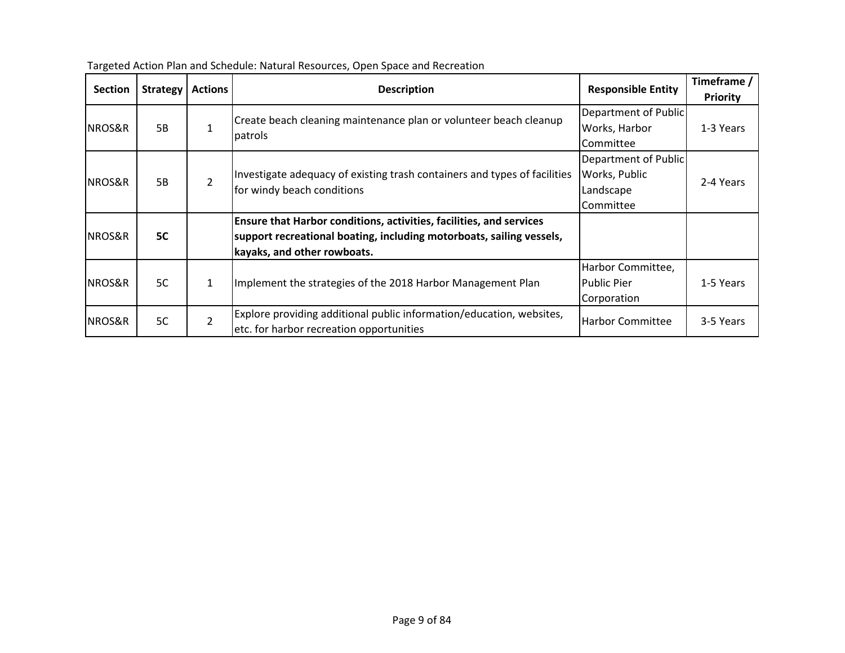| <b>Section</b> | <b>Strategy</b> | <b>Actions</b> | <b>Description</b>                                                                                      | <b>Responsible Entity</b> | Timeframe /<br>Priority |
|----------------|-----------------|----------------|---------------------------------------------------------------------------------------------------------|---------------------------|-------------------------|
|                |                 |                | Create beach cleaning maintenance plan or volunteer beach cleanup                                       | Department of Public      |                         |
| NROS&R         | 5B              | $\mathbf{1}$   | patrols                                                                                                 | Works, Harbor             | 1-3 Years               |
|                |                 |                |                                                                                                         | Committee                 |                         |
|                |                 |                |                                                                                                         | Department of Public      |                         |
| NROS&R         | 5B              | $\overline{2}$ | Investigate adequacy of existing trash containers and types of facilities<br>for windy beach conditions | Works, Public             | 2-4 Years               |
|                |                 |                |                                                                                                         | Landscape                 |                         |
|                |                 |                |                                                                                                         | Committee                 |                         |
|                |                 |                | <b>Ensure that Harbor conditions, activities, facilities, and services</b>                              |                           |                         |
| NROS&R         | <b>5C</b>       |                | support recreational boating, including motorboats, sailing vessels,                                    |                           |                         |
|                |                 |                | kayaks, and other rowboats.                                                                             |                           |                         |
|                |                 |                |                                                                                                         | Harbor Committee,         |                         |
| NROS&R         | 5C              | $\mathbf{1}$   | Implement the strategies of the 2018 Harbor Management Plan                                             | <b>Public Pier</b>        | 1-5 Years               |
|                |                 |                |                                                                                                         | Corporation               |                         |
| NROS&R         | 5C              | $\overline{2}$ | Explore providing additional public information/education, websites,                                    | <b>Harbor Committee</b>   | 3-5 Years               |
|                |                 |                | etc. for harbor recreation opportunities                                                                |                           |                         |

Targeted Action Plan and Schedule: Natural Resources, Open Space and Recreation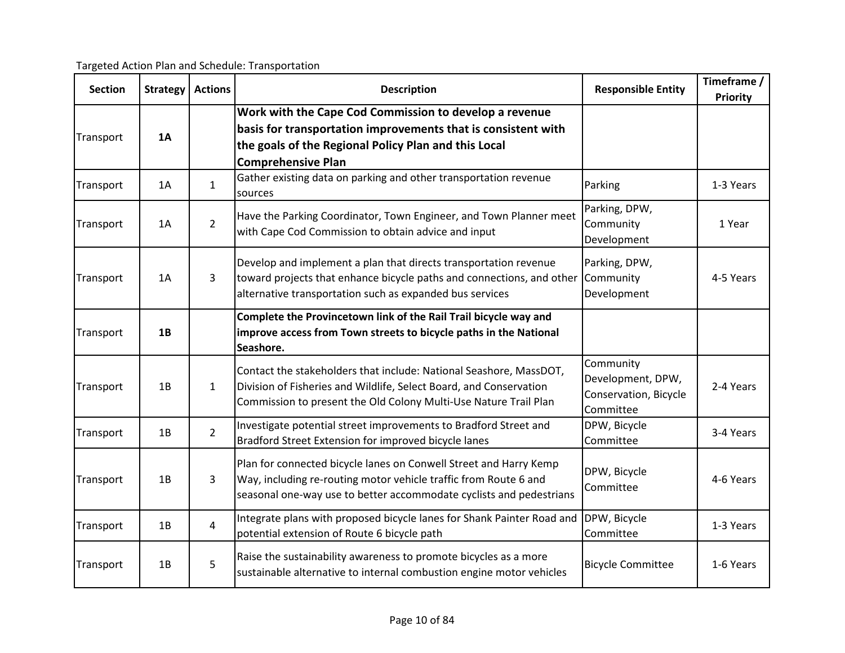Targeted Action Plan and Schedule: Transportation

| <b>Section</b> | <b>Strategy</b> | <b>Actions</b> | <b>Description</b>                                                                                                                                                                                           | <b>Responsible Entity</b>                                            | Timeframe /<br><b>Priority</b> |
|----------------|-----------------|----------------|--------------------------------------------------------------------------------------------------------------------------------------------------------------------------------------------------------------|----------------------------------------------------------------------|--------------------------------|
| Transport      | 1A              |                | Work with the Cape Cod Commission to develop a revenue<br>basis for transportation improvements that is consistent with<br>the goals of the Regional Policy Plan and this Local<br><b>Comprehensive Plan</b> |                                                                      |                                |
| Transport      | 1A              | $\mathbf{1}$   | Gather existing data on parking and other transportation revenue<br>sources                                                                                                                                  | Parking                                                              | 1-3 Years                      |
| Transport      | 1A              | $\overline{2}$ | Have the Parking Coordinator, Town Engineer, and Town Planner meet<br>with Cape Cod Commission to obtain advice and input                                                                                    | Parking, DPW,<br>Community<br>Development                            | 1 Year                         |
| Transport      | 1A              | 3              | Develop and implement a plan that directs transportation revenue<br>toward projects that enhance bicycle paths and connections, and other<br>alternative transportation such as expanded bus services        | Parking, DPW,<br>Community<br>Development                            | 4-5 Years                      |
| Transport      | 1B              |                | Complete the Provincetown link of the Rail Trail bicycle way and<br>improve access from Town streets to bicycle paths in the National<br>Seashore.                                                           |                                                                      |                                |
| Transport      | 1B              | $\mathbf{1}$   | Contact the stakeholders that include: National Seashore, MassDOT,<br>Division of Fisheries and Wildlife, Select Board, and Conservation<br>Commission to present the Old Colony Multi-Use Nature Trail Plan | Community<br>Development, DPW,<br>Conservation, Bicycle<br>Committee | 2-4 Years                      |
| Transport      | 1B              | $\overline{2}$ | Investigate potential street improvements to Bradford Street and<br>Bradford Street Extension for improved bicycle lanes                                                                                     | DPW, Bicycle<br>Committee                                            | 3-4 Years                      |
| Transport      | 1B              | 3              | Plan for connected bicycle lanes on Conwell Street and Harry Kemp<br>Way, including re-routing motor vehicle traffic from Route 6 and<br>seasonal one-way use to better accommodate cyclists and pedestrians | DPW, Bicycle<br>Committee                                            | 4-6 Years                      |
| Transport      | 1B              | $\overline{4}$ | Integrate plans with proposed bicycle lanes for Shank Painter Road and<br>potential extension of Route 6 bicycle path                                                                                        | DPW, Bicycle<br>Committee                                            | 1-3 Years                      |
| Transport      | 1B              | 5              | Raise the sustainability awareness to promote bicycles as a more<br>sustainable alternative to internal combustion engine motor vehicles                                                                     | <b>Bicycle Committee</b>                                             | 1-6 Years                      |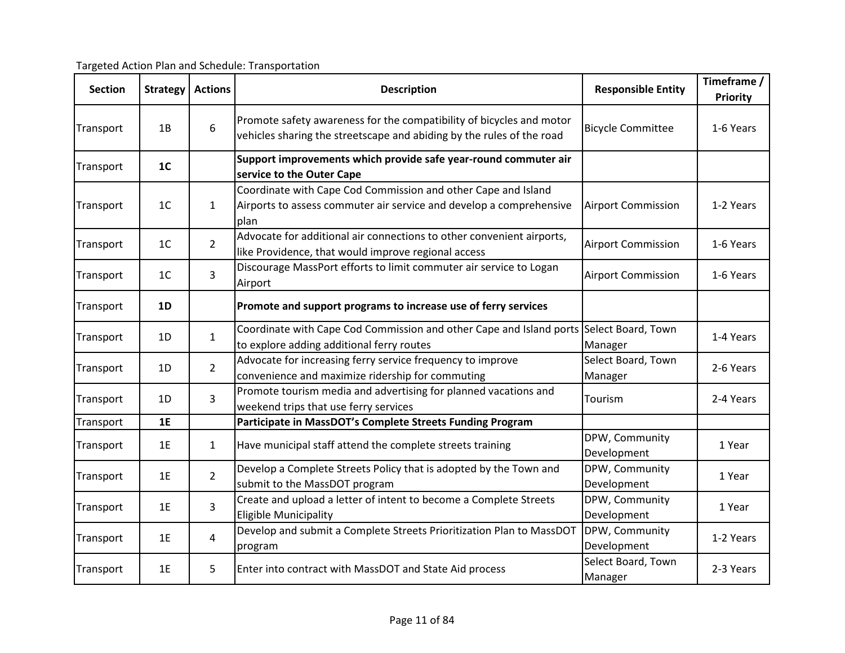Targeted Action Plan and Schedule: Transportation

| <b>Section</b> | <b>Strategy</b> | <b>Actions</b> | <b>Description</b>                                                                                                                            | <b>Responsible Entity</b>     | Timeframe /<br><b>Priority</b> |
|----------------|-----------------|----------------|-----------------------------------------------------------------------------------------------------------------------------------------------|-------------------------------|--------------------------------|
| Transport      | 1B              | 6              | Promote safety awareness for the compatibility of bicycles and motor<br>vehicles sharing the streetscape and abiding by the rules of the road | <b>Bicycle Committee</b>      | 1-6 Years                      |
| Transport      | 1 <sub>C</sub>  |                | Support improvements which provide safe year-round commuter air<br>service to the Outer Cape                                                  |                               |                                |
| Transport      | 1 <sub>C</sub>  | $\mathbf{1}$   | Coordinate with Cape Cod Commission and other Cape and Island<br>Airports to assess commuter air service and develop a comprehensive<br>plan  | <b>Airport Commission</b>     | 1-2 Years                      |
| Transport      | 1 <sup>C</sup>  | $\overline{2}$ | Advocate for additional air connections to other convenient airports,<br>like Providence, that would improve regional access                  | <b>Airport Commission</b>     | 1-6 Years                      |
| Transport      | 1 <sup>C</sup>  | 3              | Discourage MassPort efforts to limit commuter air service to Logan<br>Airport                                                                 | <b>Airport Commission</b>     | 1-6 Years                      |
| Transport      | 1D              |                | Promote and support programs to increase use of ferry services                                                                                |                               |                                |
| Transport      | 1D              | $\mathbf{1}$   | Coordinate with Cape Cod Commission and other Cape and Island ports<br>to explore adding additional ferry routes                              | Select Board, Town<br>Manager | 1-4 Years                      |
| Transport      | 1D              | $\overline{2}$ | Advocate for increasing ferry service frequency to improve<br>convenience and maximize ridership for commuting                                | Select Board, Town<br>Manager | 2-6 Years                      |
| Transport      | 1D              | $\overline{3}$ | Promote tourism media and advertising for planned vacations and<br>weekend trips that use ferry services                                      | Tourism                       | 2-4 Years                      |
| Transport      | 1E              |                | Participate in MassDOT's Complete Streets Funding Program                                                                                     |                               |                                |
| Transport      | 1E              | $\mathbf{1}$   | Have municipal staff attend the complete streets training                                                                                     | DPW, Community<br>Development | 1 Year                         |
| Transport      | 1E              | $\overline{2}$ | Develop a Complete Streets Policy that is adopted by the Town and<br>submit to the MassDOT program                                            | DPW, Community<br>Development | 1 Year                         |
| Transport      | 1E              | $\overline{3}$ | Create and upload a letter of intent to become a Complete Streets<br><b>Eligible Municipality</b>                                             | DPW, Community<br>Development | 1 Year                         |
| Transport      | 1E              | $\overline{4}$ | Develop and submit a Complete Streets Prioritization Plan to MassDOT<br>program                                                               | DPW, Community<br>Development | 1-2 Years                      |
| Transport      | 1E              | 5              | Enter into contract with MassDOT and State Aid process                                                                                        | Select Board, Town<br>Manager | 2-3 Years                      |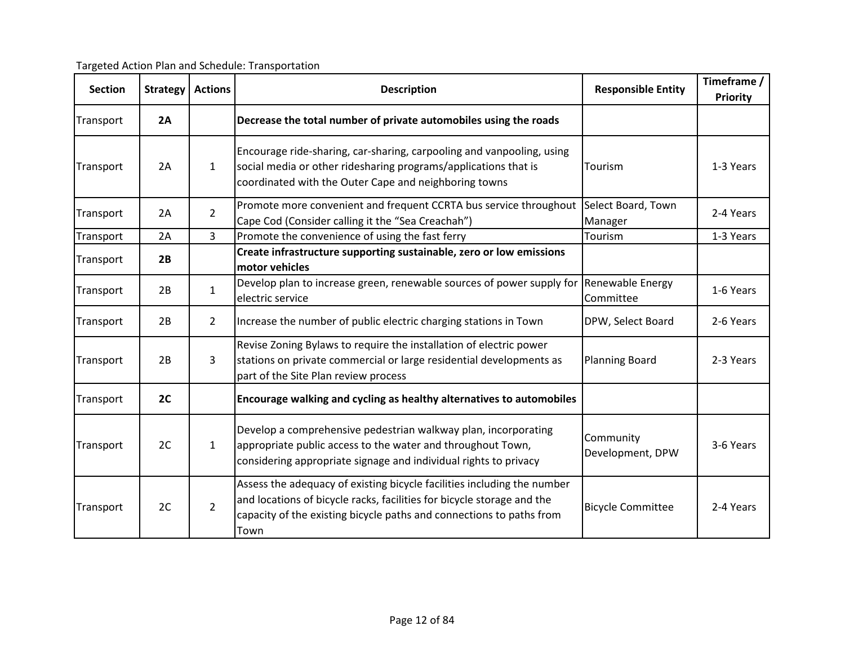Targeted Action Plan and Schedule: Transportation

| <b>Section</b> | <b>Strategy</b> | <b>Actions</b> | <b>Description</b>                                                                                                                                                                                                                | <b>Responsible Entity</b>     | Timeframe /<br><b>Priority</b> |
|----------------|-----------------|----------------|-----------------------------------------------------------------------------------------------------------------------------------------------------------------------------------------------------------------------------------|-------------------------------|--------------------------------|
| Transport      | 2A              |                | Decrease the total number of private automobiles using the roads                                                                                                                                                                  |                               |                                |
| Transport      | 2A              | $\mathbf{1}$   | Encourage ride-sharing, car-sharing, carpooling and vanpooling, using<br>social media or other ridesharing programs/applications that is<br>coordinated with the Outer Cape and neighboring towns                                 | Tourism                       | 1-3 Years                      |
| Transport      | 2A              | $\overline{2}$ | Promote more convenient and frequent CCRTA bus service throughout<br>Cape Cod (Consider calling it the "Sea Creachah")                                                                                                            | Select Board, Town<br>Manager | 2-4 Years                      |
| Transport      | 2A              | 3              | Promote the convenience of using the fast ferry                                                                                                                                                                                   | Tourism                       | 1-3 Years                      |
| Transport      | 2B              |                | Create infrastructure supporting sustainable, zero or low emissions<br>motor vehicles                                                                                                                                             |                               |                                |
| Transport      | 2B              | $\mathbf{1}$   | Develop plan to increase green, renewable sources of power supply for Renewable Energy<br>electric service                                                                                                                        | Committee                     | 1-6 Years                      |
| Transport      | 2B              | 2 <sup>1</sup> | Increase the number of public electric charging stations in Town                                                                                                                                                                  | DPW, Select Board             | 2-6 Years                      |
| Transport      | 2B              | 3              | Revise Zoning Bylaws to require the installation of electric power<br>stations on private commercial or large residential developments as<br>part of the Site Plan review process                                                 | <b>Planning Board</b>         | 2-3 Years                      |
| Transport      | 2C              |                | Encourage walking and cycling as healthy alternatives to automobiles                                                                                                                                                              |                               |                                |
| Transport      | 2C              | $\mathbf{1}$   | Develop a comprehensive pedestrian walkway plan, incorporating<br>appropriate public access to the water and throughout Town,<br>considering appropriate signage and individual rights to privacy                                 | Community<br>Development, DPW | 3-6 Years                      |
| Transport      | 2C              | $\overline{2}$ | Assess the adequacy of existing bicycle facilities including the number<br>and locations of bicycle racks, facilities for bicycle storage and the<br>capacity of the existing bicycle paths and connections to paths from<br>Town | <b>Bicycle Committee</b>      | 2-4 Years                      |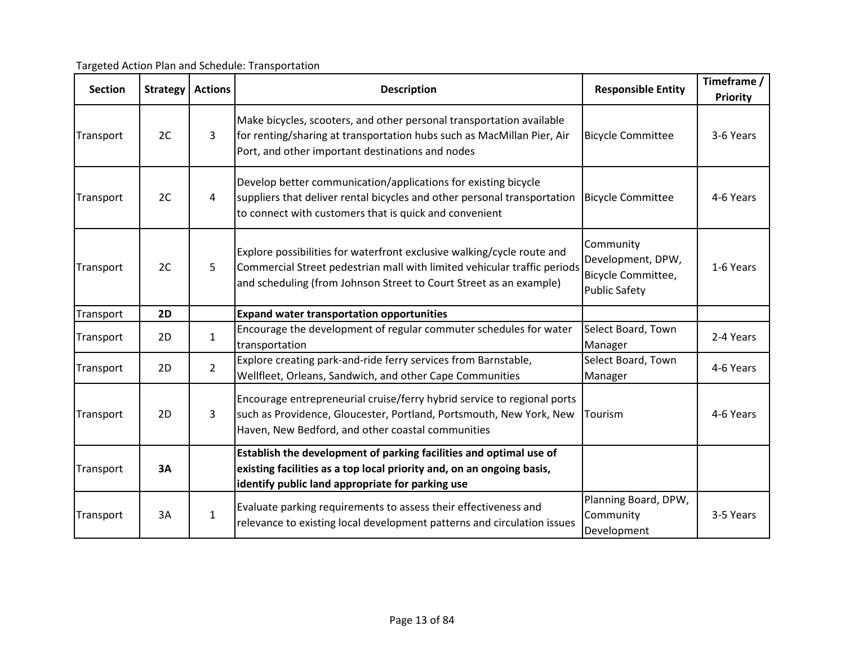Targeted Action Plan and Schedule: Transportation

| <b>Section</b> | <b>Strategy</b> | <b>Actions</b> | <b>Description</b>                                                                                                                                                                                                       | <b>Responsible Entity</b>                                                    | Timeframe /<br>Priority |
|----------------|-----------------|----------------|--------------------------------------------------------------------------------------------------------------------------------------------------------------------------------------------------------------------------|------------------------------------------------------------------------------|-------------------------|
| Transport      | 2C              | 3              | Make bicycles, scooters, and other personal transportation available<br>for renting/sharing at transportation hubs such as MacMillan Pier, Air<br>Port, and other important destinations and nodes                       | <b>Bicycle Committee</b>                                                     | 3-6 Years               |
| Transport      | 2C              | 4              | Develop better communication/applications for existing bicycle<br>suppliers that deliver rental bicycles and other personal transportation<br>to connect with customers that is quick and convenient                     | <b>Bicycle Committee</b>                                                     | 4-6 Years               |
| Transport      | 2C              | 5              | Explore possibilities for waterfront exclusive walking/cycle route and<br>Commercial Street pedestrian mall with limited vehicular traffic periods<br>and scheduling (from Johnson Street to Court Street as an example) | Community<br>Development, DPW,<br>Bicycle Committee,<br><b>Public Safety</b> | 1-6 Years               |
| Transport      | 2D              |                | <b>Expand water transportation opportunities</b>                                                                                                                                                                         |                                                                              |                         |
| Transport      | 2D              | $\mathbf{1}$   | Encourage the development of regular commuter schedules for water<br>transportation                                                                                                                                      | Select Board, Town<br>Manager                                                | 2-4 Years               |
| Transport      | 2D              | $\overline{2}$ | Explore creating park-and-ride ferry services from Barnstable,<br>Wellfleet, Orleans, Sandwich, and other Cape Communities                                                                                               | Select Board, Town<br>Manager                                                | 4-6 Years               |
| Transport      | 2D              | 3              | Encourage entrepreneurial cruise/ferry hybrid service to regional ports<br>such as Providence, Gloucester, Portland, Portsmouth, New York, New<br>Haven, New Bedford, and other coastal communities                      | Tourism                                                                      | 4-6 Years               |
| Transport      | 3A              |                | Establish the development of parking facilities and optimal use of<br>existing facilities as a top local priority and, on an ongoing basis,<br>identify public land appropriate for parking use                          |                                                                              |                         |
| Transport      | 3A              | $\mathbf{1}$   | Evaluate parking requirements to assess their effectiveness and<br>relevance to existing local development patterns and circulation issues                                                                               | Planning Board, DPW,<br>Community<br>Development                             | 3-5 Years               |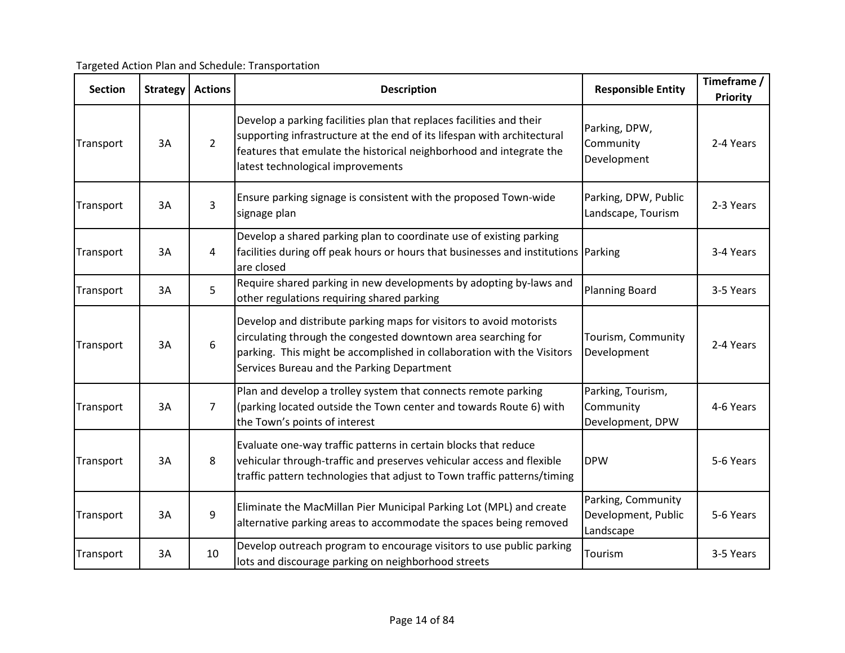Targeted Action Plan and Schedule: Transportation

| <b>Section</b> | <b>Strategy</b> | <b>Actions</b> | <b>Description</b>                                                                                                                                                                                                                                           | <b>Responsible Entity</b>                              | Timeframe /<br><b>Priority</b> |
|----------------|-----------------|----------------|--------------------------------------------------------------------------------------------------------------------------------------------------------------------------------------------------------------------------------------------------------------|--------------------------------------------------------|--------------------------------|
| Transport      | 3A              | $\overline{2}$ | Develop a parking facilities plan that replaces facilities and their<br>supporting infrastructure at the end of its lifespan with architectural<br>features that emulate the historical neighborhood and integrate the<br>latest technological improvements  | Parking, DPW,<br>Community<br>Development              | 2-4 Years                      |
| Transport      | 3A              | 3              | Ensure parking signage is consistent with the proposed Town-wide<br>signage plan                                                                                                                                                                             | Parking, DPW, Public<br>Landscape, Tourism             | 2-3 Years                      |
| Transport      | 3A              | 4              | Develop a shared parking plan to coordinate use of existing parking<br>facilities during off peak hours or hours that businesses and institutions Parking<br>are closed                                                                                      |                                                        | 3-4 Years                      |
| Transport      | 3A              | 5              | Require shared parking in new developments by adopting by-laws and<br>other regulations requiring shared parking                                                                                                                                             | <b>Planning Board</b>                                  | 3-5 Years                      |
| Transport      | 3A              | 6              | Develop and distribute parking maps for visitors to avoid motorists<br>circulating through the congested downtown area searching for<br>parking. This might be accomplished in collaboration with the Visitors<br>Services Bureau and the Parking Department | Tourism, Community<br>Development                      | 2-4 Years                      |
| Transport      | 3A              | $\overline{7}$ | Plan and develop a trolley system that connects remote parking<br>(parking located outside the Town center and towards Route 6) with<br>the Town's points of interest                                                                                        | Parking, Tourism,<br>Community<br>Development, DPW     | 4-6 Years                      |
| Transport      | 3A              | 8              | Evaluate one-way traffic patterns in certain blocks that reduce<br>vehicular through-traffic and preserves vehicular access and flexible<br>traffic pattern technologies that adjust to Town traffic patterns/timing                                         | <b>DPW</b>                                             | 5-6 Years                      |
| Transport      | 3A              | 9              | Eliminate the MacMillan Pier Municipal Parking Lot (MPL) and create<br>alternative parking areas to accommodate the spaces being removed                                                                                                                     | Parking, Community<br>Development, Public<br>Landscape | 5-6 Years                      |
| Transport      | 3A              | 10             | Develop outreach program to encourage visitors to use public parking<br>lots and discourage parking on neighborhood streets                                                                                                                                  | Tourism                                                | 3-5 Years                      |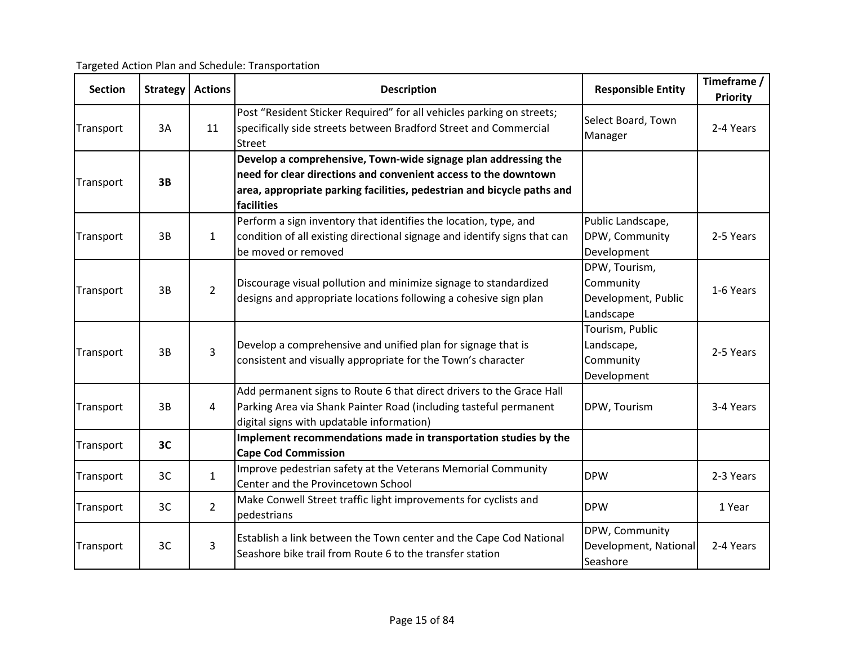Targeted Action Plan and Schedule: Transportation

| <b>Section</b> | <b>Strategy</b> | <b>Actions</b> | <b>Description</b>                                                                                                                                                                                                        | <b>Responsible Entity</b>                                      | Timeframe /<br><b>Priority</b> |
|----------------|-----------------|----------------|---------------------------------------------------------------------------------------------------------------------------------------------------------------------------------------------------------------------------|----------------------------------------------------------------|--------------------------------|
| Transport      | 3A              | 11             | Post "Resident Sticker Required" for all vehicles parking on streets;<br>specifically side streets between Bradford Street and Commercial<br><b>Street</b>                                                                | Select Board, Town<br>Manager                                  | 2-4 Years                      |
| Transport      | 3B              |                | Develop a comprehensive, Town-wide signage plan addressing the<br>need for clear directions and convenient access to the downtown<br>area, appropriate parking facilities, pedestrian and bicycle paths and<br>facilities |                                                                |                                |
| Transport      | 3B              | $\mathbf{1}$   | Perform a sign inventory that identifies the location, type, and<br>condition of all existing directional signage and identify signs that can<br>be moved or removed                                                      | Public Landscape,<br>DPW, Community<br>Development             | 2-5 Years                      |
| Transport      | 3B              | $\overline{2}$ | Discourage visual pollution and minimize signage to standardized<br>designs and appropriate locations following a cohesive sign plan                                                                                      | DPW, Tourism,<br>Community<br>Development, Public<br>Landscape | 1-6 Years                      |
| Transport      | 3B              | $\overline{3}$ | Develop a comprehensive and unified plan for signage that is<br>consistent and visually appropriate for the Town's character                                                                                              | Tourism, Public<br>Landscape,<br>Community<br>Development      | 2-5 Years                      |
| Transport      | 3B              | 4              | Add permanent signs to Route 6 that direct drivers to the Grace Hall<br>Parking Area via Shank Painter Road (including tasteful permanent<br>digital signs with updatable information)                                    | DPW, Tourism                                                   | 3-4 Years                      |
| Transport      | 3C              |                | Implement recommendations made in transportation studies by the<br><b>Cape Cod Commission</b>                                                                                                                             |                                                                |                                |
| Transport      | 3C              | $\mathbf{1}$   | Improve pedestrian safety at the Veterans Memorial Community<br>Center and the Provincetown School                                                                                                                        | <b>DPW</b>                                                     | 2-3 Years                      |
| Transport      | 3C              | $\overline{2}$ | Make Conwell Street traffic light improvements for cyclists and<br>pedestrians                                                                                                                                            | <b>DPW</b>                                                     | 1 Year                         |
| Transport      | 3C              | 3              | Establish a link between the Town center and the Cape Cod National<br>Seashore bike trail from Route 6 to the transfer station                                                                                            | DPW, Community<br>Development, National<br>Seashore            | 2-4 Years                      |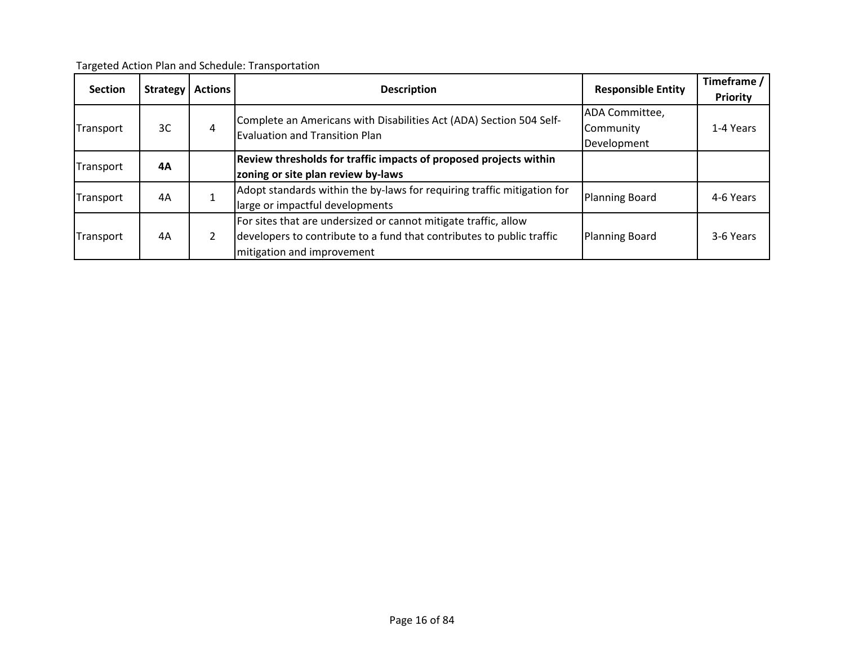Targeted Action Plan and Schedule: Transportation

| <b>Section</b> | <b>Strategy</b> | <b>Actions</b> | <b>Description</b>                                                    | <b>Responsible Entity</b>                                               | Timeframe /<br><b>Priority</b>                                  |           |  |                                    |
|----------------|-----------------|----------------|-----------------------------------------------------------------------|-------------------------------------------------------------------------|-----------------------------------------------------------------|-----------|--|------------------------------------|
|                |                 |                |                                                                       | ADA Committee,                                                          |                                                                 |           |  |                                    |
| Transport      | 3C              | 4              | Complete an Americans with Disabilities Act (ADA) Section 504 Self-   | Community                                                               | 1-4 Years                                                       |           |  |                                    |
|                |                 |                | <b>Evaluation and Transition Plan</b>                                 | Development                                                             |                                                                 |           |  |                                    |
|                | 4Α              |                |                                                                       | Review thresholds for traffic impacts of proposed projects within       |                                                                 |           |  |                                    |
| Transport      |                 |                |                                                                       |                                                                         |                                                                 |           |  | zoning or site plan review by-laws |
| Transport      |                 |                | 4Α                                                                    | Adopt standards within the by-laws for requiring traffic mitigation for | <b>Planning Board</b>                                           | 4-6 Years |  |                                    |
|                |                 |                | large or impactful developments                                       |                                                                         |                                                                 |           |  |                                    |
|                |                 |                |                                                                       |                                                                         | For sites that are undersized or cannot mitigate traffic, allow |           |  |                                    |
| Transport      | 4A              |                | developers to contribute to a fund that contributes to public traffic | <b>Planning Board</b>                                                   | 3-6 Years                                                       |           |  |                                    |
|                |                 |                | mitigation and improvement                                            |                                                                         |                                                                 |           |  |                                    |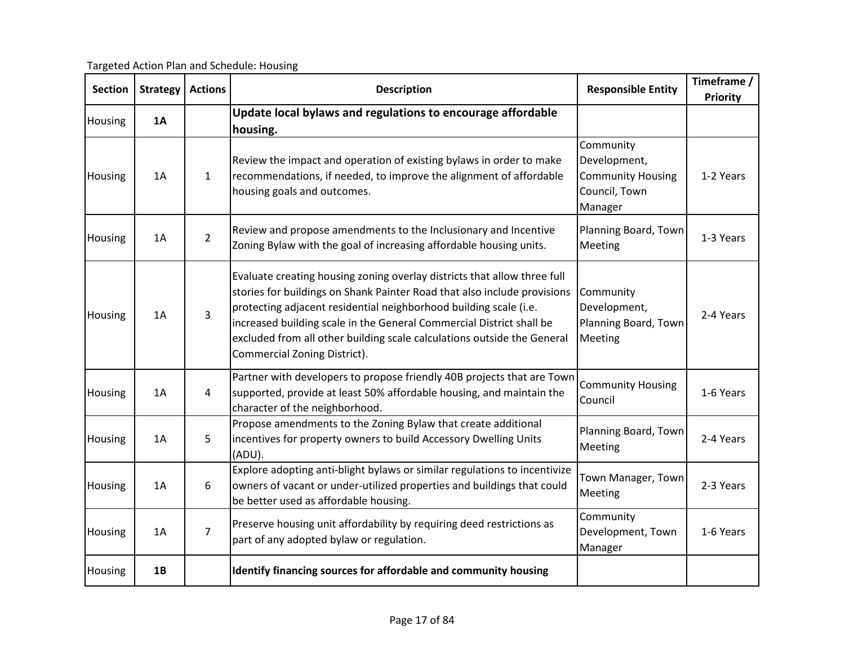Targeted Action Plan and Schedule: Housing

| <b>Section</b> | <b>Strategy</b> | <b>Actions</b> | <b>Description</b>                                                                                                                                                                                                                                                                                                                                                                                           | <b>Responsible Entity</b>                                                         | Timeframe /<br><b>Priority</b> |
|----------------|-----------------|----------------|--------------------------------------------------------------------------------------------------------------------------------------------------------------------------------------------------------------------------------------------------------------------------------------------------------------------------------------------------------------------------------------------------------------|-----------------------------------------------------------------------------------|--------------------------------|
| Housing        | <b>1A</b>       |                | Update local bylaws and regulations to encourage affordable<br>housing.                                                                                                                                                                                                                                                                                                                                      |                                                                                   |                                |
| Housing        | 1A              | $\mathbf{1}$   | Review the impact and operation of existing bylaws in order to make<br>recommendations, if needed, to improve the alignment of affordable<br>housing goals and outcomes.                                                                                                                                                                                                                                     | Community<br>Development,<br><b>Community Housing</b><br>Council, Town<br>Manager | 1-2 Years                      |
| Housing        | 1A              | $\overline{2}$ | Review and propose amendments to the Inclusionary and Incentive<br>Zoning Bylaw with the goal of increasing affordable housing units.                                                                                                                                                                                                                                                                        | Planning Board, Town<br>Meeting                                                   | 1-3 Years                      |
| Housing        | 1A              | 3              | Evaluate creating housing zoning overlay districts that allow three full<br>stories for buildings on Shank Painter Road that also include provisions<br>protecting adjacent residential neighborhood building scale (i.e.<br>increased building scale in the General Commercial District shall be<br>excluded from all other building scale calculations outside the General<br>Commercial Zoning District). | Community<br>Development,<br>Planning Board, Town<br>Meeting                      | 2-4 Years                      |
| Housing        | 1A              | 4              | Partner with developers to propose friendly 40B projects that are Town<br>supported, provide at least 50% affordable housing, and maintain the<br>character of the neighborhood.                                                                                                                                                                                                                             | <b>Community Housing</b><br>Council                                               | 1-6 Years                      |
| Housing        | 1A              | 5              | Propose amendments to the Zoning Bylaw that create additional<br>incentives for property owners to build Accessory Dwelling Units<br>(ADU).                                                                                                                                                                                                                                                                  | Planning Board, Town<br>Meeting                                                   | 2-4 Years                      |
| Housing        | 1A              | 6              | Explore adopting anti-blight bylaws or similar regulations to incentivize<br>owners of vacant or under-utilized properties and buildings that could<br>be better used as affordable housing.                                                                                                                                                                                                                 | Town Manager, Town<br>Meeting                                                     | 2-3 Years                      |
| Housing        | 1A              | $\overline{7}$ | Preserve housing unit affordability by requiring deed restrictions as<br>part of any adopted bylaw or regulation.                                                                                                                                                                                                                                                                                            | Community<br>Development, Town<br>Manager                                         | 1-6 Years                      |
| Housing        | 1B              |                | Identify financing sources for affordable and community housing                                                                                                                                                                                                                                                                                                                                              |                                                                                   |                                |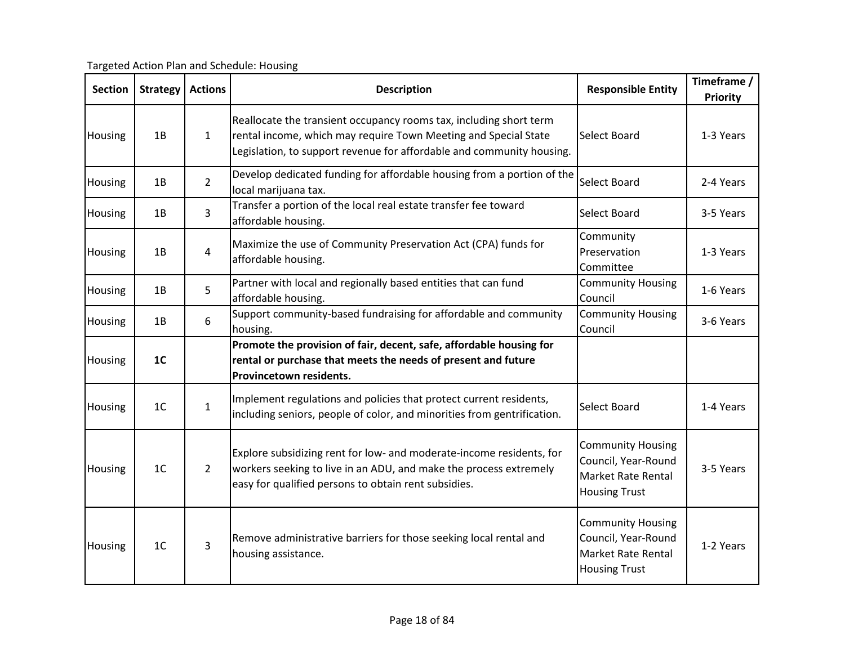| <b>Section</b> | <b>Strategy</b> | <b>Actions</b> | <b>Description</b>                                                                                                                                                                                             | <b>Responsible Entity</b>                                                                     | Timeframe /<br>Priority |
|----------------|-----------------|----------------|----------------------------------------------------------------------------------------------------------------------------------------------------------------------------------------------------------------|-----------------------------------------------------------------------------------------------|-------------------------|
| Housing        | 1B              | $\mathbf{1}$   | Reallocate the transient occupancy rooms tax, including short term<br>rental income, which may require Town Meeting and Special State<br>Legislation, to support revenue for affordable and community housing. | Select Board                                                                                  | 1-3 Years               |
| Housing        | 1B              | $\overline{2}$ | Develop dedicated funding for affordable housing from a portion of the<br>local marijuana tax.                                                                                                                 | Select Board                                                                                  | 2-4 Years               |
| Housing        | 1B              | $\overline{3}$ | Transfer a portion of the local real estate transfer fee toward<br>affordable housing.                                                                                                                         | Select Board                                                                                  | 3-5 Years               |
| Housing        | 1B              | $\overline{4}$ | Maximize the use of Community Preservation Act (CPA) funds for<br>affordable housing.                                                                                                                          | Community<br>Preservation<br>Committee                                                        | 1-3 Years               |
| Housing        | 1B              | 5              | Partner with local and regionally based entities that can fund<br>affordable housing.                                                                                                                          | <b>Community Housing</b><br>Council                                                           | 1-6 Years               |
| Housing        | 1B              | 6              | Support community-based fundraising for affordable and community<br>housing.                                                                                                                                   | <b>Community Housing</b><br>Council                                                           | 3-6 Years               |
| Housing        | 1 <sub>C</sub>  |                | Promote the provision of fair, decent, safe, affordable housing for<br>rental or purchase that meets the needs of present and future<br>Provincetown residents.                                                |                                                                                               |                         |
| Housing        | 1 <sup>C</sup>  | $\mathbf{1}$   | Implement regulations and policies that protect current residents,<br>including seniors, people of color, and minorities from gentrification.                                                                  | Select Board                                                                                  | 1-4 Years               |
| Housing        | 1 <sup>C</sup>  | $\overline{2}$ | Explore subsidizing rent for low- and moderate-income residents, for<br>workers seeking to live in an ADU, and make the process extremely<br>easy for qualified persons to obtain rent subsidies.              | <b>Community Housing</b><br>Council, Year-Round<br>Market Rate Rental<br><b>Housing Trust</b> | 3-5 Years               |
| Housing        | 1 <sup>C</sup>  | $\overline{3}$ | Remove administrative barriers for those seeking local rental and<br>housing assistance.                                                                                                                       | <b>Community Housing</b><br>Council, Year-Round<br>Market Rate Rental<br><b>Housing Trust</b> | 1-2 Years               |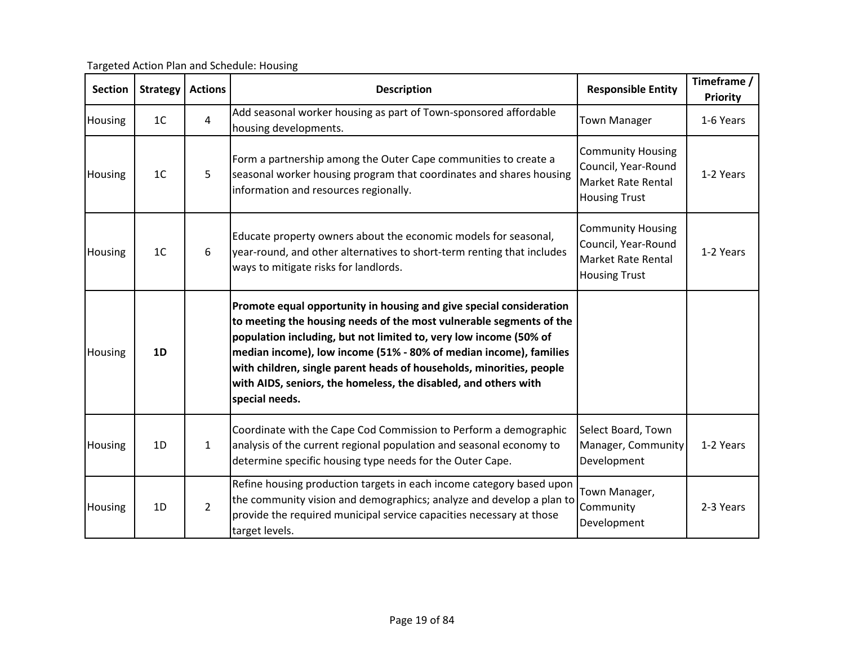Targeted Action Plan and Schedule: Housing

| <b>Section</b> | <b>Strategy</b> | <b>Actions</b> | <b>Description</b>                                                                                                                                                                                                                                                                                                                                                                                                                                | <b>Responsible Entity</b>                                                                            | Timeframe /<br><b>Priority</b> |
|----------------|-----------------|----------------|---------------------------------------------------------------------------------------------------------------------------------------------------------------------------------------------------------------------------------------------------------------------------------------------------------------------------------------------------------------------------------------------------------------------------------------------------|------------------------------------------------------------------------------------------------------|--------------------------------|
| Housing        | 1 <sup>C</sup>  | $\overline{4}$ | Add seasonal worker housing as part of Town-sponsored affordable<br>housing developments.                                                                                                                                                                                                                                                                                                                                                         | <b>Town Manager</b>                                                                                  | 1-6 Years                      |
| Housing        | 1 <sup>C</sup>  | 5              | Form a partnership among the Outer Cape communities to create a<br>seasonal worker housing program that coordinates and shares housing<br>information and resources regionally.                                                                                                                                                                                                                                                                   | <b>Community Housing</b><br>Council, Year-Round<br><b>Market Rate Rental</b><br><b>Housing Trust</b> | 1-2 Years                      |
| Housing        | 1 <sup>C</sup>  | 6              | Educate property owners about the economic models for seasonal,<br>year-round, and other alternatives to short-term renting that includes<br>ways to mitigate risks for landlords.                                                                                                                                                                                                                                                                | <b>Community Housing</b><br>Council, Year-Round<br><b>Market Rate Rental</b><br><b>Housing Trust</b> | 1-2 Years                      |
| Housing        | 1D              |                | Promote equal opportunity in housing and give special consideration<br>to meeting the housing needs of the most vulnerable segments of the<br>population including, but not limited to, very low income (50% of<br>median income), low income (51% - 80% of median income), families<br>with children, single parent heads of households, minorities, people<br>with AIDS, seniors, the homeless, the disabled, and others with<br>special needs. |                                                                                                      |                                |
| Housing        | 1D              | $\mathbf{1}$   | Coordinate with the Cape Cod Commission to Perform a demographic<br>analysis of the current regional population and seasonal economy to<br>determine specific housing type needs for the Outer Cape.                                                                                                                                                                                                                                              | Select Board, Town<br>Manager, Community<br>Development                                              | 1-2 Years                      |
| <b>Housing</b> | 1D              | $\overline{2}$ | Refine housing production targets in each income category based upon<br>the community vision and demographics; analyze and develop a plan to<br>provide the required municipal service capacities necessary at those<br>target levels.                                                                                                                                                                                                            | Town Manager,<br>Community<br>Development                                                            | 2-3 Years                      |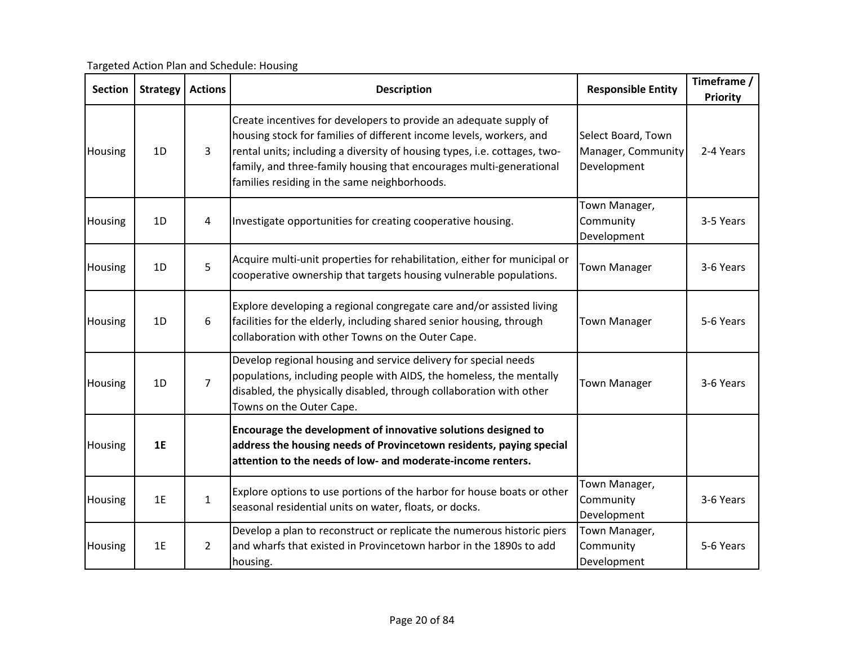| <b>Section</b> | <b>Strategy</b> | <b>Actions</b> | <b>Description</b>                                                                                                                                                                                                                                                                                                                           | <b>Responsible Entity</b>                               | Timeframe /<br><b>Priority</b> |
|----------------|-----------------|----------------|----------------------------------------------------------------------------------------------------------------------------------------------------------------------------------------------------------------------------------------------------------------------------------------------------------------------------------------------|---------------------------------------------------------|--------------------------------|
| Housing        | 1D              | 3              | Create incentives for developers to provide an adequate supply of<br>housing stock for families of different income levels, workers, and<br>rental units; including a diversity of housing types, i.e. cottages, two-<br>family, and three-family housing that encourages multi-generational<br>families residing in the same neighborhoods. | Select Board, Town<br>Manager, Community<br>Development | 2-4 Years                      |
| Housing        | 1D              | 4              | Investigate opportunities for creating cooperative housing.                                                                                                                                                                                                                                                                                  | Town Manager,<br>Community<br>Development               | 3-5 Years                      |
| Housing        | 1D              | 5              | Acquire multi-unit properties for rehabilitation, either for municipal or<br>cooperative ownership that targets housing vulnerable populations.                                                                                                                                                                                              | <b>Town Manager</b>                                     | 3-6 Years                      |
| Housing        | 1D              | 6              | Explore developing a regional congregate care and/or assisted living<br>facilities for the elderly, including shared senior housing, through<br>collaboration with other Towns on the Outer Cape.                                                                                                                                            | <b>Town Manager</b>                                     | 5-6 Years                      |
| Housing        | 1D              | $\overline{7}$ | Develop regional housing and service delivery for special needs<br>populations, including people with AIDS, the homeless, the mentally<br>disabled, the physically disabled, through collaboration with other<br>Towns on the Outer Cape.                                                                                                    | <b>Town Manager</b>                                     | 3-6 Years                      |
| Housing        | 1E              |                | Encourage the development of innovative solutions designed to<br>address the housing needs of Provincetown residents, paying special<br>attention to the needs of low- and moderate-income renters.                                                                                                                                          |                                                         |                                |
| Housing        | 1E              | $\mathbf{1}$   | Explore options to use portions of the harbor for house boats or other<br>seasonal residential units on water, floats, or docks.                                                                                                                                                                                                             | Town Manager,<br>Community<br>Development               | 3-6 Years                      |
| Housing        | 1E              | $\overline{2}$ | Develop a plan to reconstruct or replicate the numerous historic piers<br>and wharfs that existed in Provincetown harbor in the 1890s to add<br>housing.                                                                                                                                                                                     | Town Manager,<br>Community<br>Development               | 5-6 Years                      |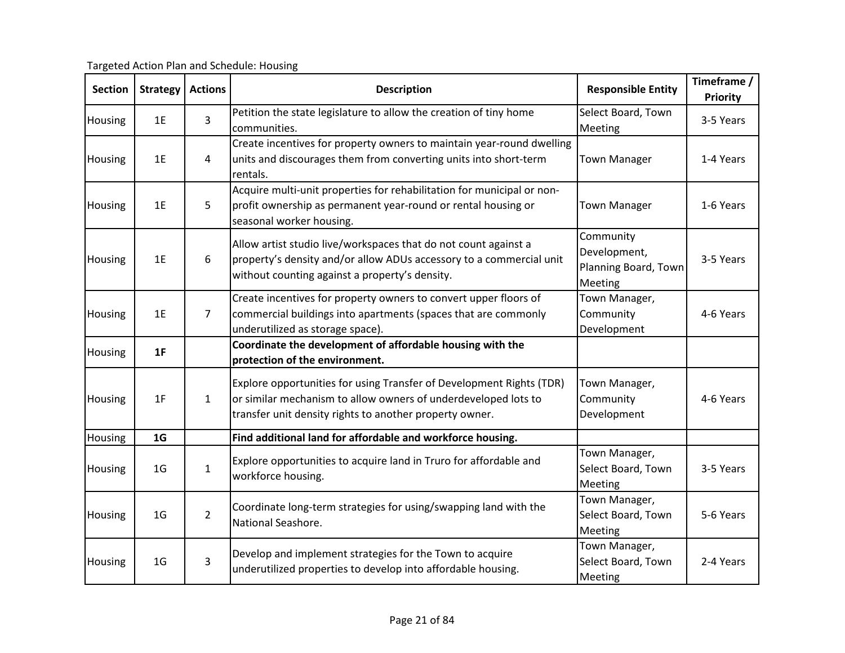| <b>Section</b> | <b>Strategy</b> | <b>Actions</b> | <b>Description</b>                                                                                                                                                                                | <b>Responsible Entity</b>                                    | Timeframe /<br><b>Priority</b> |
|----------------|-----------------|----------------|---------------------------------------------------------------------------------------------------------------------------------------------------------------------------------------------------|--------------------------------------------------------------|--------------------------------|
| Housing        | 1E              | 3              | Petition the state legislature to allow the creation of tiny home<br>communities.                                                                                                                 | Select Board, Town<br>Meeting                                | 3-5 Years                      |
| Housing        | 1E              | 4              | Create incentives for property owners to maintain year-round dwelling<br>units and discourages them from converting units into short-term<br>rentals.                                             | <b>Town Manager</b>                                          | 1-4 Years                      |
| Housing        | 1E              | 5              | Acquire multi-unit properties for rehabilitation for municipal or non-<br>profit ownership as permanent year-round or rental housing or<br>seasonal worker housing.                               | <b>Town Manager</b>                                          | 1-6 Years                      |
| Housing        | 1E              | 6              | Allow artist studio live/workspaces that do not count against a<br>property's density and/or allow ADUs accessory to a commercial unit<br>without counting against a property's density.          | Community<br>Development,<br>Planning Board, Town<br>Meeting | 3-5 Years                      |
| Housing        | 1E              | $\overline{7}$ | Create incentives for property owners to convert upper floors of<br>commercial buildings into apartments (spaces that are commonly<br>underutilized as storage space).                            | Town Manager,<br>Community<br>Development                    | 4-6 Years                      |
| Housing        | 1F              |                | Coordinate the development of affordable housing with the<br>protection of the environment.                                                                                                       |                                                              |                                |
| Housing        | 1F              | $\mathbf{1}$   | Explore opportunities for using Transfer of Development Rights (TDR)<br>or similar mechanism to allow owners of underdeveloped lots to<br>transfer unit density rights to another property owner. | Town Manager,<br>Community<br>Development                    | 4-6 Years                      |
| Housing        | 1 <sub>G</sub>  |                | Find additional land for affordable and workforce housing.                                                                                                                                        |                                                              |                                |
| Housing        | 1 <sub>G</sub>  | $\mathbf{1}$   | Explore opportunities to acquire land in Truro for affordable and<br>workforce housing.                                                                                                           | Town Manager,<br>Select Board, Town<br>Meeting               | 3-5 Years                      |
| Housing        | 1 <sub>G</sub>  | $\overline{2}$ | Coordinate long-term strategies for using/swapping land with the<br>National Seashore.                                                                                                            | Town Manager,<br>Select Board, Town<br>Meeting               | 5-6 Years                      |
| Housing        | 1 <sub>G</sub>  | 3              | Develop and implement strategies for the Town to acquire<br>underutilized properties to develop into affordable housing.                                                                          | Town Manager,<br>Select Board, Town<br>Meeting               | 2-4 Years                      |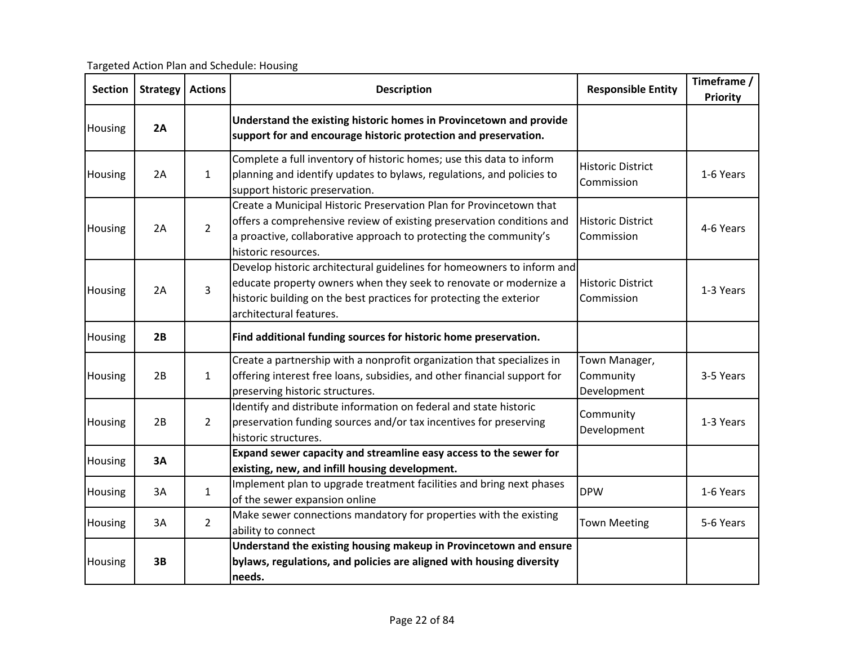| <b>Section</b> | <b>Strategy</b> | <b>Actions</b> | <b>Description</b>                                                                                                                                                                                                                            | <b>Responsible Entity</b>                 | Timeframe /<br>Priority |
|----------------|-----------------|----------------|-----------------------------------------------------------------------------------------------------------------------------------------------------------------------------------------------------------------------------------------------|-------------------------------------------|-------------------------|
| Housing        | 2A              |                | Understand the existing historic homes in Provincetown and provide<br>support for and encourage historic protection and preservation.                                                                                                         |                                           |                         |
| Housing        | 2A              | $\mathbf{1}$   | Complete a full inventory of historic homes; use this data to inform<br>planning and identify updates to bylaws, regulations, and policies to<br>support historic preservation.                                                               | <b>Historic District</b><br>Commission    | 1-6 Years               |
| Housing        | 2A              | $\overline{2}$ | Create a Municipal Historic Preservation Plan for Provincetown that<br>offers a comprehensive review of existing preservation conditions and<br>a proactive, collaborative approach to protecting the community's<br>historic resources.      | <b>Historic District</b><br>Commission    | 4-6 Years               |
| Housing        | 2A              | 3              | Develop historic architectural guidelines for homeowners to inform and<br>educate property owners when they seek to renovate or modernize a<br>historic building on the best practices for protecting the exterior<br>architectural features. | <b>Historic District</b><br>Commission    | 1-3 Years               |
| Housing        | 2B              |                | Find additional funding sources for historic home preservation.                                                                                                                                                                               |                                           |                         |
| Housing        | 2B              | $\mathbf{1}$   | Create a partnership with a nonprofit organization that specializes in<br>offering interest free loans, subsidies, and other financial support for<br>preserving historic structures.                                                         | Town Manager,<br>Community<br>Development | 3-5 Years               |
| Housing        | 2B              | $\overline{2}$ | Identify and distribute information on federal and state historic<br>preservation funding sources and/or tax incentives for preserving<br>historic structures.                                                                                | Community<br>Development                  | 1-3 Years               |
| Housing        | 3A              |                | Expand sewer capacity and streamline easy access to the sewer for<br>existing, new, and infill housing development.                                                                                                                           |                                           |                         |
| Housing        | 3A              | $\mathbf{1}$   | Implement plan to upgrade treatment facilities and bring next phases<br>of the sewer expansion online                                                                                                                                         | <b>DPW</b>                                | 1-6 Years               |
| Housing        | 3A              | $\overline{2}$ | Make sewer connections mandatory for properties with the existing<br>ability to connect                                                                                                                                                       | <b>Town Meeting</b>                       | 5-6 Years               |
| Housing        | 3B              |                | Understand the existing housing makeup in Provincetown and ensure<br>bylaws, regulations, and policies are aligned with housing diversity<br>needs.                                                                                           |                                           |                         |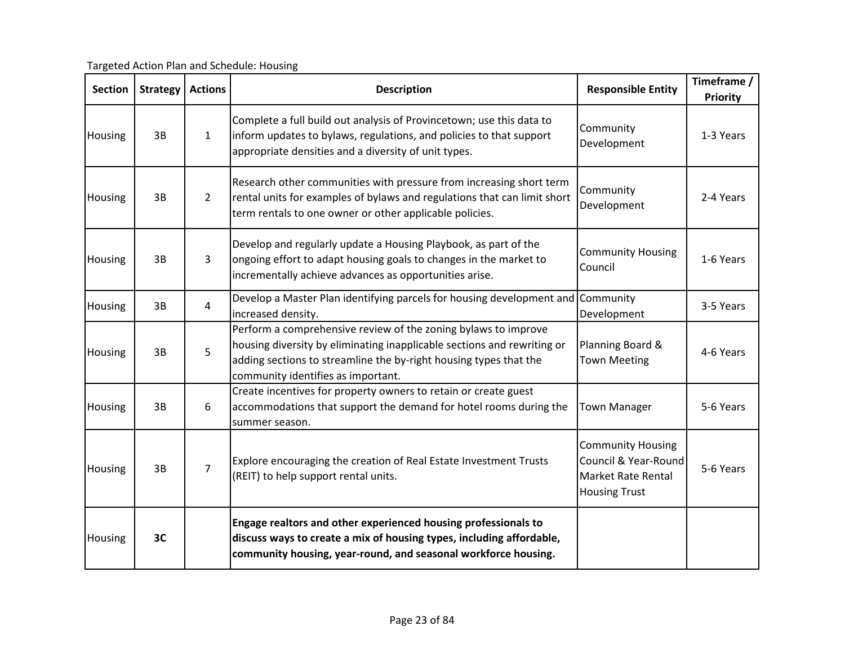| <b>Section</b> | <b>Strategy</b> | <b>Actions</b> | <b>Description</b>                                                                                                                                                                                                                                   | <b>Responsible Entity</b>                                                                             | Timeframe /<br>Priority |
|----------------|-----------------|----------------|------------------------------------------------------------------------------------------------------------------------------------------------------------------------------------------------------------------------------------------------------|-------------------------------------------------------------------------------------------------------|-------------------------|
| Housing        | 3B              | $\mathbf{1}$   | Complete a full build out analysis of Provincetown; use this data to<br>inform updates to bylaws, regulations, and policies to that support<br>appropriate densities and a diversity of unit types.                                                  | Community<br>Development                                                                              | 1-3 Years               |
| Housing        | 3B              | $\overline{2}$ | Research other communities with pressure from increasing short term<br>rental units for examples of bylaws and regulations that can limit short<br>term rentals to one owner or other applicable policies.                                           | Community<br>Development                                                                              | 2-4 Years               |
| Housing        | 3B              | 3              | Develop and regularly update a Housing Playbook, as part of the<br>ongoing effort to adapt housing goals to changes in the market to<br>incrementally achieve advances as opportunities arise.                                                       | <b>Community Housing</b><br>Council                                                                   | 1-6 Years               |
| Housing        | 3B              | $\overline{4}$ | Develop a Master Plan identifying parcels for housing development and Community<br>increased density.                                                                                                                                                | Development                                                                                           | 3-5 Years               |
| Housing        | 3B              | 5              | Perform a comprehensive review of the zoning bylaws to improve<br>housing diversity by eliminating inapplicable sections and rewriting or<br>adding sections to streamline the by-right housing types that the<br>community identifies as important. | Planning Board &<br><b>Town Meeting</b>                                                               | 4-6 Years               |
| Housing        | 3B              | 6              | Create incentives for property owners to retain or create guest<br>accommodations that support the demand for hotel rooms during the<br>summer season.                                                                                               | <b>Town Manager</b>                                                                                   | 5-6 Years               |
| Housing        | 3B              | $\overline{7}$ | Explore encouraging the creation of Real Estate Investment Trusts<br>(REIT) to help support rental units.                                                                                                                                            | <b>Community Housing</b><br>Council & Year-Round<br><b>Market Rate Rental</b><br><b>Housing Trust</b> | 5-6 Years               |
| Housing        | 3C              |                | Engage realtors and other experienced housing professionals to<br>discuss ways to create a mix of housing types, including affordable,<br>community housing, year-round, and seasonal workforce housing.                                             |                                                                                                       |                         |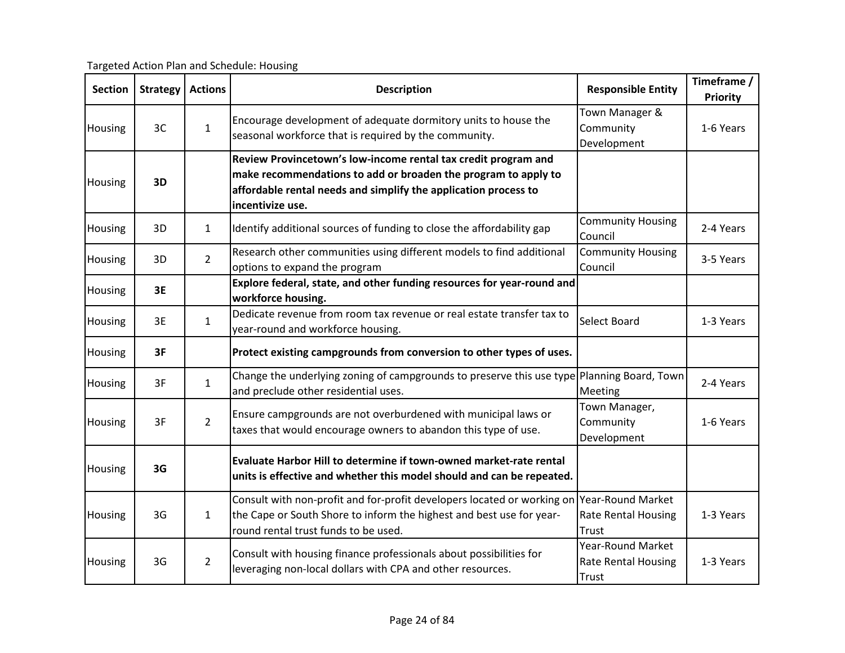Targeted Action Plan and Schedule: Housing

| <b>Section</b> | <b>Strategy</b> | <b>Actions</b> | <b>Description</b>                                                                                                                                                                                                      | <b>Responsible Entity</b>                                       | Timeframe /<br>Priority |
|----------------|-----------------|----------------|-------------------------------------------------------------------------------------------------------------------------------------------------------------------------------------------------------------------------|-----------------------------------------------------------------|-------------------------|
| Housing        | 3C              | $\mathbf{1}$   | Encourage development of adequate dormitory units to house the<br>seasonal workforce that is required by the community.                                                                                                 | Town Manager &<br>Community<br>Development                      | 1-6 Years               |
| Housing        | 3D              |                | Review Provincetown's low-income rental tax credit program and<br>make recommendations to add or broaden the program to apply to<br>affordable rental needs and simplify the application process to<br>incentivize use. |                                                                 |                         |
| Housing        | 3D              | $\mathbf{1}$   | Identify additional sources of funding to close the affordability gap                                                                                                                                                   | <b>Community Housing</b><br>Council                             | 2-4 Years               |
| Housing        | 3D              | $\overline{2}$ | Research other communities using different models to find additional<br>options to expand the program                                                                                                                   | <b>Community Housing</b><br>Council                             | 3-5 Years               |
| Housing        | 3E              |                | Explore federal, state, and other funding resources for year-round and<br>workforce housing.                                                                                                                            |                                                                 |                         |
| Housing        | 3E              | $\mathbf{1}$   | Dedicate revenue from room tax revenue or real estate transfer tax to<br>year-round and workforce housing.                                                                                                              | Select Board                                                    | 1-3 Years               |
| Housing        | 3F              |                | Protect existing campgrounds from conversion to other types of uses.                                                                                                                                                    |                                                                 |                         |
| Housing        | 3F              | $\mathbf{1}$   | Change the underlying zoning of campgrounds to preserve this use type<br>and preclude other residential uses.                                                                                                           | Planning Board, Town<br>Meeting                                 | 2-4 Years               |
| Housing        | 3F              | $\overline{2}$ | Ensure campgrounds are not overburdened with municipal laws or<br>taxes that would encourage owners to abandon this type of use.                                                                                        | Town Manager,<br>Community<br>Development                       | 1-6 Years               |
| Housing        | 3G              |                | Evaluate Harbor Hill to determine if town-owned market-rate rental<br>units is effective and whether this model should and can be repeated.                                                                             |                                                                 |                         |
| Housing        | 3G              | $\mathbf{1}$   | Consult with non-profit and for-profit developers located or working on<br>the Cape or South Shore to inform the highest and best use for year-<br>round rental trust funds to be used.                                 | <b>Year-Round Market</b><br>Rate Rental Housing<br>Trust        | 1-3 Years               |
| Housing        | 3G              | $\overline{2}$ | Consult with housing finance professionals about possibilities for<br>leveraging non-local dollars with CPA and other resources.                                                                                        | <b>Year-Round Market</b><br><b>Rate Rental Housing</b><br>Trust | 1-3 Years               |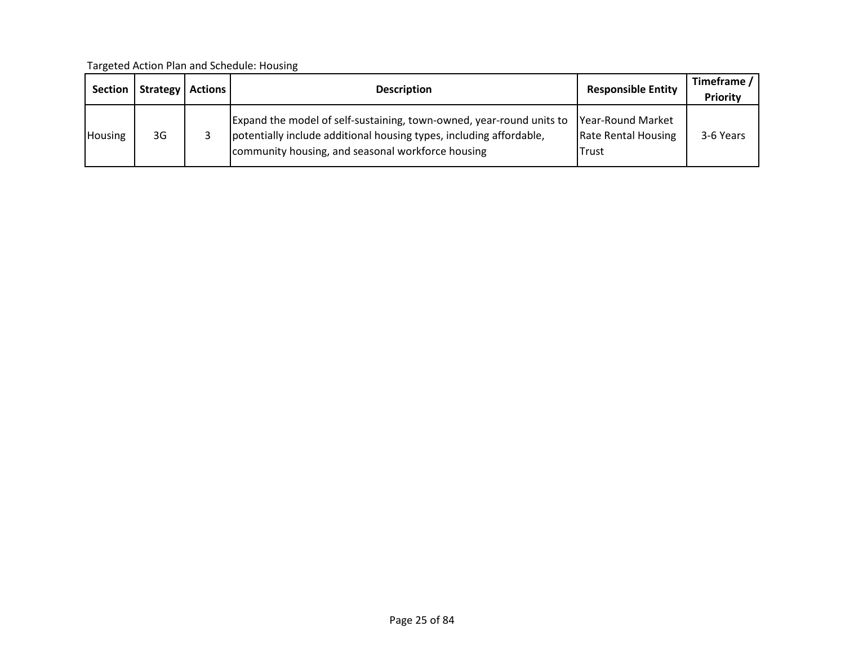| <b>Section</b> | Strategy | <b>Actions</b> | <b>Description</b>                                                                                                                                                                               | <b>Responsible Entity</b>                                        | Timeframe /<br><b>Priority</b> |
|----------------|----------|----------------|--------------------------------------------------------------------------------------------------------------------------------------------------------------------------------------------------|------------------------------------------------------------------|--------------------------------|
| <b>Housing</b> | 3G       |                | Expand the model of self-sustaining, town-owned, year-round units to<br>potentially include additional housing types, including affordable,<br>community housing, and seasonal workforce housing | Year-Round Market<br><b>Rate Rental Housing</b><br><b>ITrust</b> | 3-6 Years                      |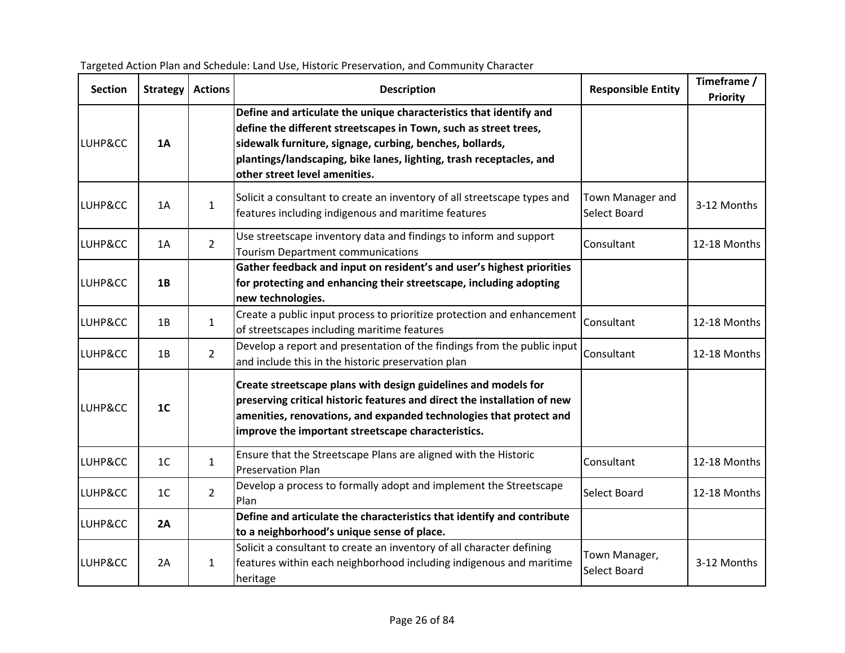| <b>Section</b> | <b>Strategy</b> | <b>Actions</b> | <b>Description</b>                                                                                                                                                                                                                                                                                         | <b>Responsible Entity</b>        | Timeframe /<br><b>Priority</b> |
|----------------|-----------------|----------------|------------------------------------------------------------------------------------------------------------------------------------------------------------------------------------------------------------------------------------------------------------------------------------------------------------|----------------------------------|--------------------------------|
| LUHP&CC        | 1A              |                | Define and articulate the unique characteristics that identify and<br>define the different streetscapes in Town, such as street trees,<br>sidewalk furniture, signage, curbing, benches, bollards,<br>plantings/landscaping, bike lanes, lighting, trash receptacles, and<br>other street level amenities. |                                  |                                |
| LUHP&CC        | 1A              | $\mathbf{1}$   | Solicit a consultant to create an inventory of all streetscape types and<br>features including indigenous and maritime features                                                                                                                                                                            | Town Manager and<br>Select Board | 3-12 Months                    |
| LUHP&CC        | 1A              | $\overline{2}$ | Use streetscape inventory data and findings to inform and support<br><b>Tourism Department communications</b>                                                                                                                                                                                              | Consultant                       | 12-18 Months                   |
| LUHP&CC        | 1B              |                | Gather feedback and input on resident's and user's highest priorities<br>for protecting and enhancing their streetscape, including adopting<br>new technologies.                                                                                                                                           |                                  |                                |
| LUHP&CC        | 1B              | $\mathbf{1}$   | Create a public input process to prioritize protection and enhancement<br>of streetscapes including maritime features                                                                                                                                                                                      | Consultant                       | 12-18 Months                   |
| LUHP&CC        | 1B              | $2^{\circ}$    | Develop a report and presentation of the findings from the public input<br>and include this in the historic preservation plan                                                                                                                                                                              | Consultant                       | 12-18 Months                   |
| LUHP&CC        | 1 <sub>C</sub>  |                | Create streetscape plans with design guidelines and models for<br>preserving critical historic features and direct the installation of new<br>amenities, renovations, and expanded technologies that protect and<br>improve the important streetscape characteristics.                                     |                                  |                                |
| LUHP&CC        | 1 <sub>C</sub>  | $\mathbf{1}$   | Ensure that the Streetscape Plans are aligned with the Historic<br><b>Preservation Plan</b>                                                                                                                                                                                                                | Consultant                       | 12-18 Months                   |
| LUHP&CC        | 1 <sup>C</sup>  | $\overline{2}$ | Develop a process to formally adopt and implement the Streetscape<br>Plan                                                                                                                                                                                                                                  | Select Board                     | 12-18 Months                   |
| LUHP&CC        | 2A              |                | Define and articulate the characteristics that identify and contribute<br>to a neighborhood's unique sense of place.                                                                                                                                                                                       |                                  |                                |
| LUHP&CC        | 2A              | $\mathbf{1}$   | Solicit a consultant to create an inventory of all character defining<br>features within each neighborhood including indigenous and maritime<br>heritage                                                                                                                                                   | Town Manager,<br>Select Board    | 3-12 Months                    |

| Targeted Action Plan and Schedule: Land Use, Historic Preservation, and Community Character |  |
|---------------------------------------------------------------------------------------------|--|
|---------------------------------------------------------------------------------------------|--|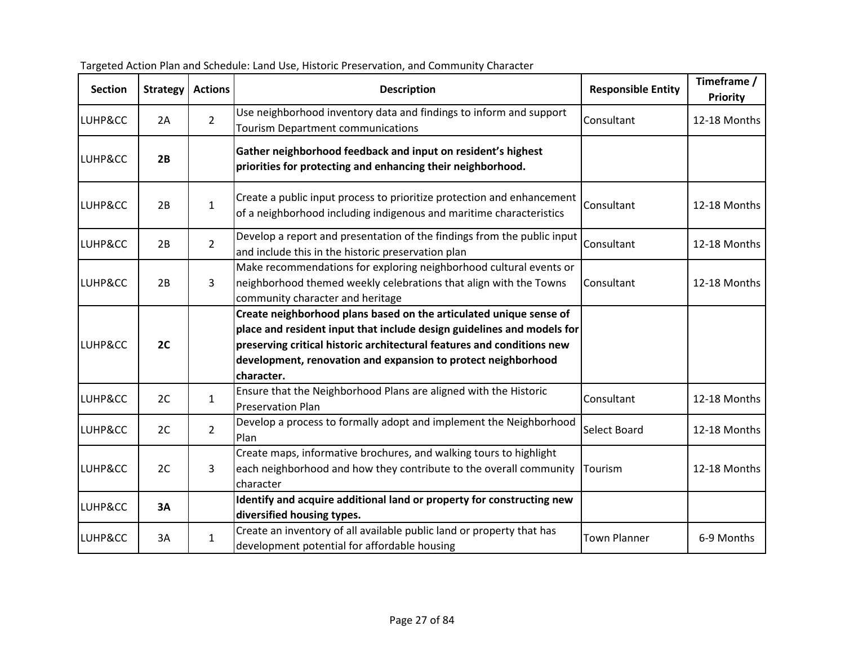| <b>Section</b> | <b>Strategy</b> | <b>Actions</b> | <b>Description</b>                                                                                                                                                                                                                                                                                    | <b>Responsible Entity</b> | Timeframe /<br>Priority |
|----------------|-----------------|----------------|-------------------------------------------------------------------------------------------------------------------------------------------------------------------------------------------------------------------------------------------------------------------------------------------------------|---------------------------|-------------------------|
| LUHP&CC        | 2A              | $\overline{2}$ | Use neighborhood inventory data and findings to inform and support<br>Tourism Department communications                                                                                                                                                                                               | Consultant                | 12-18 Months            |
| LUHP&CC        | 2B              |                | Gather neighborhood feedback and input on resident's highest<br>priorities for protecting and enhancing their neighborhood.                                                                                                                                                                           |                           |                         |
| LUHP&CC        | 2B              | $\mathbf{1}$   | Create a public input process to prioritize protection and enhancement<br>of a neighborhood including indigenous and maritime characteristics                                                                                                                                                         | Consultant                | 12-18 Months            |
| LUHP&CC        | 2B              | $\overline{2}$ | Develop a report and presentation of the findings from the public input<br>and include this in the historic preservation plan                                                                                                                                                                         | Consultant                | 12-18 Months            |
| LUHP&CC        | 2B              | 3              | Make recommendations for exploring neighborhood cultural events or<br>neighborhood themed weekly celebrations that align with the Towns<br>community character and heritage                                                                                                                           | Consultant                | 12-18 Months            |
| LUHP&CC        | 2C              |                | Create neighborhood plans based on the articulated unique sense of<br>place and resident input that include design guidelines and models for<br>preserving critical historic architectural features and conditions new<br>development, renovation and expansion to protect neighborhood<br>character. |                           |                         |
| LUHP&CC        | 2C              | $\mathbf{1}$   | Ensure that the Neighborhood Plans are aligned with the Historic<br><b>Preservation Plan</b>                                                                                                                                                                                                          | Consultant                | 12-18 Months            |
| LUHP&CC        | 2C              | $\overline{2}$ | Develop a process to formally adopt and implement the Neighborhood<br>Plan                                                                                                                                                                                                                            | Select Board              | 12-18 Months            |
| LUHP&CC        | 2C              | 3              | Create maps, informative brochures, and walking tours to highlight<br>each neighborhood and how they contribute to the overall community<br>character                                                                                                                                                 | Tourism                   | 12-18 Months            |
| LUHP&CC        | 3A              |                | Identify and acquire additional land or property for constructing new<br>diversified housing types.                                                                                                                                                                                                   |                           |                         |
| LUHP&CC        | 3A              | $\mathbf{1}$   | Create an inventory of all available public land or property that has<br>development potential for affordable housing                                                                                                                                                                                 | <b>Town Planner</b>       | 6-9 Months              |

| Targeted Action Plan and Schedule: Land Use, Historic Preservation, and Community Character |  |
|---------------------------------------------------------------------------------------------|--|
|---------------------------------------------------------------------------------------------|--|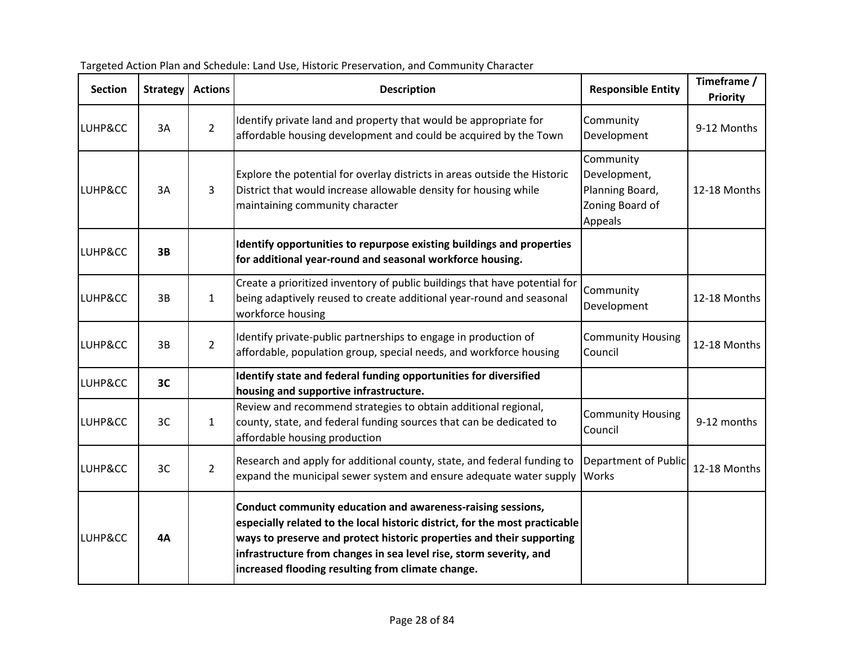| <b>Section</b> | <b>Strategy</b> | <b>Actions</b> | <b>Description</b>                                                                                                                                                                                                                                                                                                                             | <b>Responsible Entity</b>                                                  | Timeframe /<br>Priority |
|----------------|-----------------|----------------|------------------------------------------------------------------------------------------------------------------------------------------------------------------------------------------------------------------------------------------------------------------------------------------------------------------------------------------------|----------------------------------------------------------------------------|-------------------------|
| LUHP&CC        | 3A              | $\overline{2}$ | Identify private land and property that would be appropriate for<br>affordable housing development and could be acquired by the Town                                                                                                                                                                                                           | Community<br>Development                                                   | 9-12 Months             |
| LUHP&CC        | 3A              | 3              | Explore the potential for overlay districts in areas outside the Historic<br>District that would increase allowable density for housing while<br>maintaining community character                                                                                                                                                               | Community<br>Development,<br>Planning Board,<br>Zoning Board of<br>Appeals | 12-18 Months            |
| LUHP&CC        | 3B              |                | Identify opportunities to repurpose existing buildings and properties<br>for additional year-round and seasonal workforce housing.                                                                                                                                                                                                             |                                                                            |                         |
| LUHP&CC        | 3B              | $\mathbf{1}$   | Create a prioritized inventory of public buildings that have potential for<br>being adaptively reused to create additional year-round and seasonal<br>workforce housing                                                                                                                                                                        | Community<br>Development                                                   | 12-18 Months            |
| LUHP&CC        | 3B              | $2^{\circ}$    | Identify private-public partnerships to engage in production of<br>affordable, population group, special needs, and workforce housing                                                                                                                                                                                                          | <b>Community Housing</b><br>Council                                        | 12-18 Months            |
| LUHP&CC        | 3C              |                | Identify state and federal funding opportunities for diversified<br>housing and supportive infrastructure.                                                                                                                                                                                                                                     |                                                                            |                         |
| LUHP&CC        | 3C              | $\mathbf{1}$   | Review and recommend strategies to obtain additional regional,<br>county, state, and federal funding sources that can be dedicated to<br>affordable housing production                                                                                                                                                                         | <b>Community Housing</b><br>Council                                        | 9-12 months             |
| LUHP&CC        | 3C              | $2^{\circ}$    | Research and apply for additional county, state, and federal funding to<br>expand the municipal sewer system and ensure adequate water supply                                                                                                                                                                                                  | <b>Department of Public</b><br>Works                                       | 12-18 Months            |
| LUHP&CC        | 4A              |                | Conduct community education and awareness-raising sessions,<br>especially related to the local historic district, for the most practicable<br>ways to preserve and protect historic properties and their supporting<br>infrastructure from changes in sea level rise, storm severity, and<br>increased flooding resulting from climate change. |                                                                            |                         |

| Targeted Action Plan and Schedule: Land Use, Historic Preservation, and Community Character |  |  |
|---------------------------------------------------------------------------------------------|--|--|
|---------------------------------------------------------------------------------------------|--|--|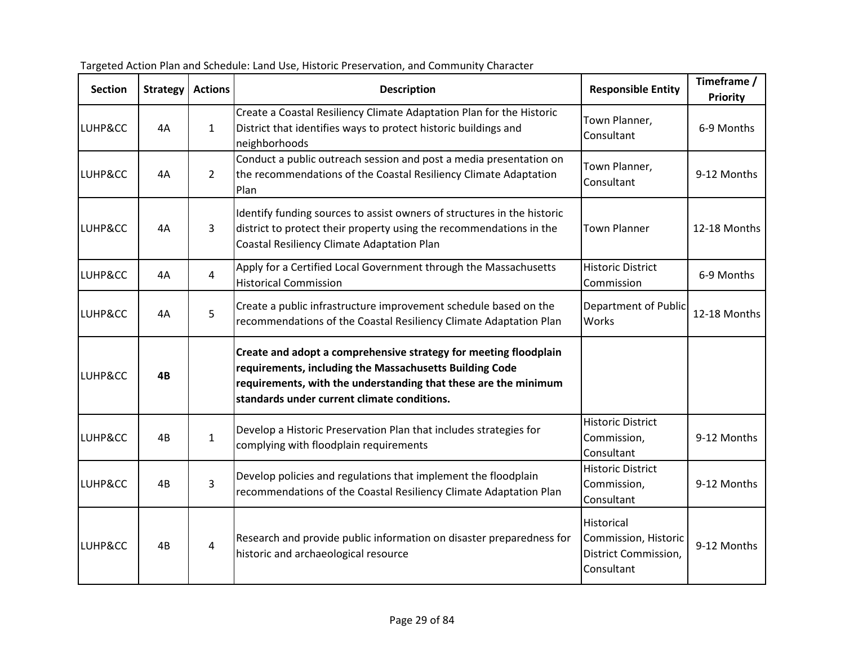| <b>Section</b> | <b>Strategy</b> | <b>Actions</b> | <b>Description</b>                                                                                                                                                                                                                            | <b>Responsible Entity</b>                                                | Timeframe /<br>Priority |
|----------------|-----------------|----------------|-----------------------------------------------------------------------------------------------------------------------------------------------------------------------------------------------------------------------------------------------|--------------------------------------------------------------------------|-------------------------|
| LUHP&CC        | 4A              | $\mathbf{1}$   | Create a Coastal Resiliency Climate Adaptation Plan for the Historic<br>District that identifies ways to protect historic buildings and<br>neighborhoods                                                                                      | Town Planner,<br>Consultant                                              | 6-9 Months              |
| LUHP&CC        | 4A              | $2^{\circ}$    | Conduct a public outreach session and post a media presentation on<br>the recommendations of the Coastal Resiliency Climate Adaptation<br>Plan                                                                                                | Town Planner,<br>Consultant                                              | 9-12 Months             |
| LUHP&CC        | 4A              | 3              | Identify funding sources to assist owners of structures in the historic<br>district to protect their property using the recommendations in the<br>Coastal Resiliency Climate Adaptation Plan                                                  | <b>Town Planner</b>                                                      | 12-18 Months            |
| LUHP&CC        | 4A              | $\overline{4}$ | Apply for a Certified Local Government through the Massachusetts<br><b>Historical Commission</b>                                                                                                                                              | <b>Historic District</b><br>Commission                                   | 6-9 Months              |
| LUHP&CC        | 4A              | 5              | Create a public infrastructure improvement schedule based on the<br>recommendations of the Coastal Resiliency Climate Adaptation Plan                                                                                                         | <b>Department of Public</b><br>Works                                     | 12-18 Months            |
| LUHP&CC        | 4B              |                | Create and adopt a comprehensive strategy for meeting floodplain<br>requirements, including the Massachusetts Building Code<br>requirements, with the understanding that these are the minimum<br>standards under current climate conditions. |                                                                          |                         |
| LUHP&CC        | 4B              | $\mathbf{1}$   | Develop a Historic Preservation Plan that includes strategies for<br>complying with floodplain requirements                                                                                                                                   | <b>Historic District</b><br>Commission,<br>Consultant                    | 9-12 Months             |
| LUHP&CC        | 4B              | $\overline{3}$ | Develop policies and regulations that implement the floodplain<br>recommendations of the Coastal Resiliency Climate Adaptation Plan                                                                                                           | <b>Historic District</b><br>Commission,<br>Consultant                    | 9-12 Months             |
| LUHP&CC        | 4B              | 4              | Research and provide public information on disaster preparedness for<br>historic and archaeological resource                                                                                                                                  | Historical<br>Commission, Historic<br>District Commission,<br>Consultant | 9-12 Months             |

| Targeted Action Plan and Schedule: Land Use, Historic Preservation, and Community Character |  |
|---------------------------------------------------------------------------------------------|--|
|---------------------------------------------------------------------------------------------|--|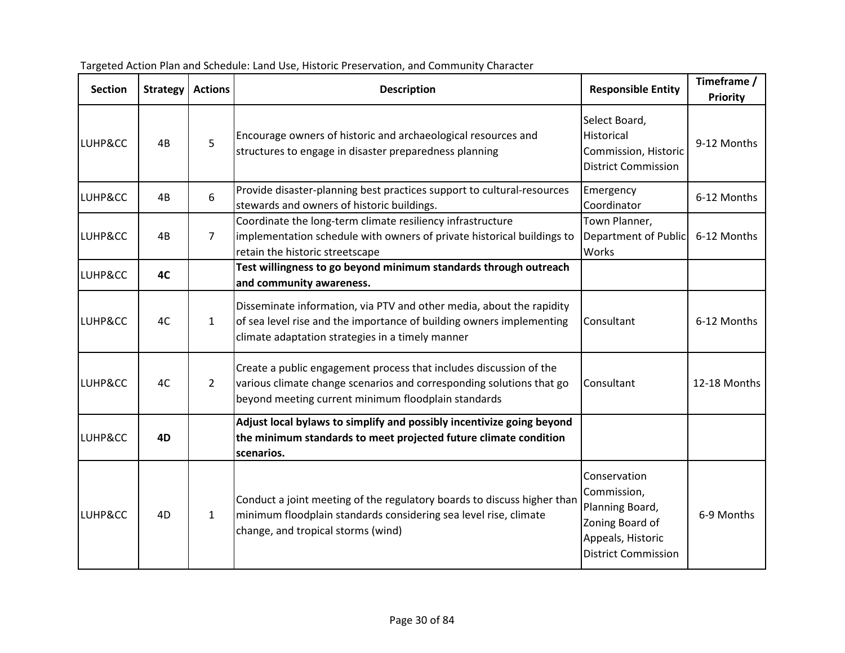| <b>Section</b> | <b>Strategy</b> | <b>Actions</b> | <b>Description</b>                                                                                                                                                                                | <b>Responsible Entity</b>                                                                                            | Timeframe /<br><b>Priority</b> |
|----------------|-----------------|----------------|---------------------------------------------------------------------------------------------------------------------------------------------------------------------------------------------------|----------------------------------------------------------------------------------------------------------------------|--------------------------------|
| LUHP&CC        | 4B              | 5              | Encourage owners of historic and archaeological resources and<br>structures to engage in disaster preparedness planning                                                                           | Select Board,<br>Historical<br>Commission, Historic<br><b>District Commission</b>                                    | 9-12 Months                    |
| LUHP&CC        | 4B              | 6              | Provide disaster-planning best practices support to cultural-resources<br>stewards and owners of historic buildings.                                                                              | Emergency<br>Coordinator                                                                                             | 6-12 Months                    |
| LUHP&CC        | 4B              | $\overline{7}$ | Coordinate the long-term climate resiliency infrastructure<br>implementation schedule with owners of private historical buildings to<br>retain the historic streetscape                           | Town Planner,<br><b>Department of Public</b><br>Works                                                                | 6-12 Months                    |
| LUHP&CC        | 4C              |                | Test willingness to go beyond minimum standards through outreach<br>and community awareness.                                                                                                      |                                                                                                                      |                                |
| LUHP&CC        | 4C              | $\mathbf{1}$   | Disseminate information, via PTV and other media, about the rapidity<br>of sea level rise and the importance of building owners implementing<br>climate adaptation strategies in a timely manner  | Consultant                                                                                                           | 6-12 Months                    |
| LUHP&CC        | 4C              | $\overline{2}$ | Create a public engagement process that includes discussion of the<br>various climate change scenarios and corresponding solutions that go<br>beyond meeting current minimum floodplain standards | Consultant                                                                                                           | 12-18 Months                   |
| LUHP&CC        | 4D              |                | Adjust local bylaws to simplify and possibly incentivize going beyond<br>the minimum standards to meet projected future climate condition<br>scenarios.                                           |                                                                                                                      |                                |
| LUHP&CC        | 4D              | $\mathbf{1}$   | Conduct a joint meeting of the regulatory boards to discuss higher than<br>minimum floodplain standards considering sea level rise, climate<br>change, and tropical storms (wind)                 | Conservation<br>Commission,<br>Planning Board,<br>Zoning Board of<br>Appeals, Historic<br><b>District Commission</b> | 6-9 Months                     |

Targeted Action Plan and Schedule: Land Use, Historic Preservation, and Community Character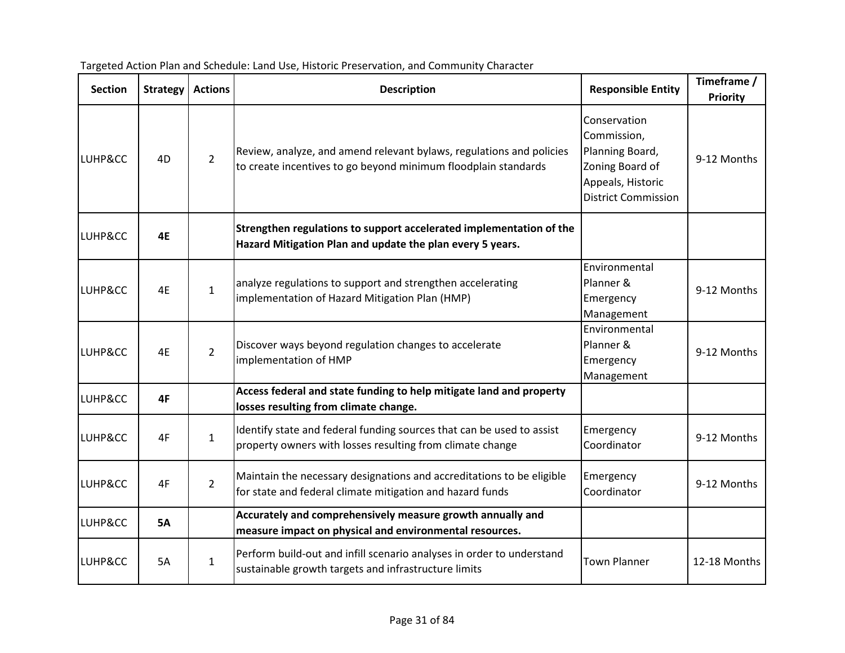| <b>Section</b> | <b>Strategy</b> | <b>Actions</b> | <b>Description</b>                                                                                                                     | <b>Responsible Entity</b>                                                                                            | Timeframe /<br>Priority |
|----------------|-----------------|----------------|----------------------------------------------------------------------------------------------------------------------------------------|----------------------------------------------------------------------------------------------------------------------|-------------------------|
| LUHP&CC        | 4D              | $\overline{2}$ | Review, analyze, and amend relevant bylaws, regulations and policies<br>to create incentives to go beyond minimum floodplain standards | Conservation<br>Commission,<br>Planning Board,<br>Zoning Board of<br>Appeals, Historic<br><b>District Commission</b> | 9-12 Months             |
| LUHP&CC        | 4E              |                | Strengthen regulations to support accelerated implementation of the<br>Hazard Mitigation Plan and update the plan every 5 years.       |                                                                                                                      |                         |
| LUHP&CC        | 4E              | $\mathbf{1}$   | analyze regulations to support and strengthen accelerating<br>implementation of Hazard Mitigation Plan (HMP)                           | Environmental<br>Planner &<br>Emergency<br>Management                                                                | 9-12 Months             |
| LUHP&CC        | 4E              | $\overline{2}$ | Discover ways beyond regulation changes to accelerate<br>implementation of HMP                                                         | Environmental<br>Planner &<br>Emergency<br>Management                                                                | 9-12 Months             |
| LUHP&CC        | 4F              |                | Access federal and state funding to help mitigate land and property<br>losses resulting from climate change.                           |                                                                                                                      |                         |
| LUHP&CC        | 4F              | $\mathbf{1}$   | Identify state and federal funding sources that can be used to assist<br>property owners with losses resulting from climate change     | Emergency<br>Coordinator                                                                                             | 9-12 Months             |
| LUHP&CC        | 4F              | $\overline{2}$ | Maintain the necessary designations and accreditations to be eligible<br>for state and federal climate mitigation and hazard funds     | Emergency<br>Coordinator                                                                                             | 9-12 Months             |
| LUHP&CC        | <b>5A</b>       |                | Accurately and comprehensively measure growth annually and<br>measure impact on physical and environmental resources.                  |                                                                                                                      |                         |
| LUHP&CC        | <b>5A</b>       | $\mathbf{1}$   | Perform build-out and infill scenario analyses in order to understand<br>sustainable growth targets and infrastructure limits          | <b>Town Planner</b>                                                                                                  | 12-18 Months            |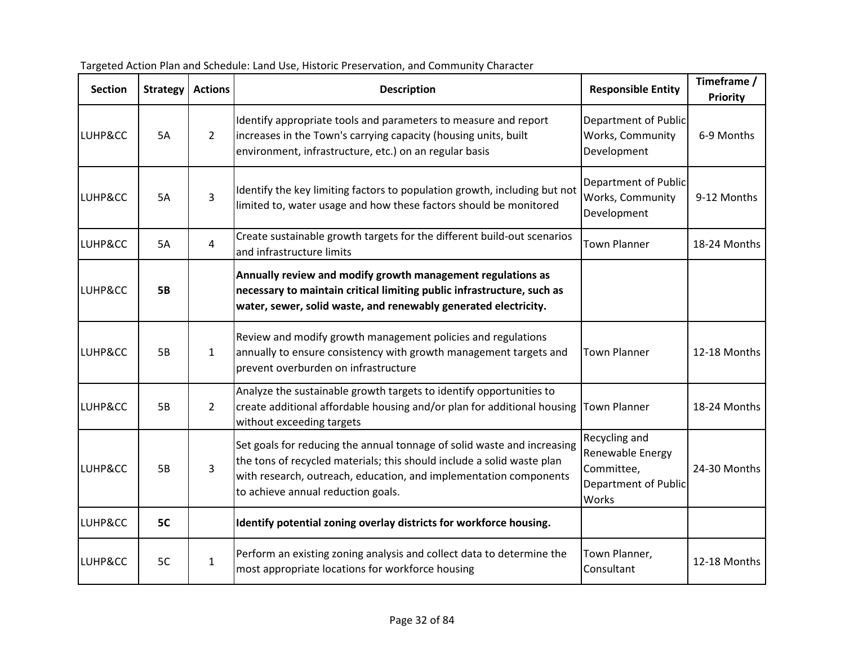| <b>Section</b> | <b>Strategy</b> | <b>Actions</b> | <b>Description</b>                                                                                                                                                                                                                                           | <b>Responsible Entity</b>                                                                      | Timeframe /<br>Priority |
|----------------|-----------------|----------------|--------------------------------------------------------------------------------------------------------------------------------------------------------------------------------------------------------------------------------------------------------------|------------------------------------------------------------------------------------------------|-------------------------|
| LUHP&CC        | 5A              | $2^{\circ}$    | Identify appropriate tools and parameters to measure and report<br>increases in the Town's carrying capacity (housing units, built<br>environment, infrastructure, etc.) on an regular basis                                                                 | Department of Public<br>Works, Community<br>Development                                        | 6-9 Months              |
| LUHP&CC        | 5A              | 3              | Identify the key limiting factors to population growth, including but not<br>limited to, water usage and how these factors should be monitored                                                                                                               | <b>Department of Public</b><br>Works, Community<br>Development                                 | 9-12 Months             |
| LUHP&CC        | 5A              | $\overline{4}$ | Create sustainable growth targets for the different build-out scenarios<br>and infrastructure limits                                                                                                                                                         | <b>Town Planner</b>                                                                            | 18-24 Months            |
| LUHP&CC        | <b>5B</b>       |                | Annually review and modify growth management regulations as<br>necessary to maintain critical limiting public infrastructure, such as<br>water, sewer, solid waste, and renewably generated electricity.                                                     |                                                                                                |                         |
| LUHP&CC        | 5B              | $\mathbf{1}$   | Review and modify growth management policies and regulations<br>annually to ensure consistency with growth management targets and<br>prevent overburden on infrastructure                                                                                    | <b>Town Planner</b>                                                                            | 12-18 Months            |
| LUHP&CC        | 5B              | $2^{\circ}$    | Analyze the sustainable growth targets to identify opportunities to<br>create additional affordable housing and/or plan for additional housing<br>without exceeding targets                                                                                  | <b>Town Planner</b>                                                                            | 18-24 Months            |
| LUHP&CC        | 5B              | $\overline{3}$ | Set goals for reducing the annual tonnage of solid waste and increasing<br>the tons of recycled materials; this should include a solid waste plan<br>with research, outreach, education, and implementation components<br>to achieve annual reduction goals. | Recycling and<br>Renewable Energy<br>Committee,<br><b>Department of Public</b><br><b>Works</b> | 24-30 Months            |
| LUHP&CC        | 5C              |                | Identify potential zoning overlay districts for workforce housing.                                                                                                                                                                                           |                                                                                                |                         |
| LUHP&CC        | 5C              | $\mathbf{1}$   | Perform an existing zoning analysis and collect data to determine the<br>most appropriate locations for workforce housing                                                                                                                                    | Town Planner,<br>Consultant                                                                    | 12-18 Months            |

| Targeted Action Plan and Schedule: Land Use, Historic Preservation, and Community Character |  |
|---------------------------------------------------------------------------------------------|--|
|---------------------------------------------------------------------------------------------|--|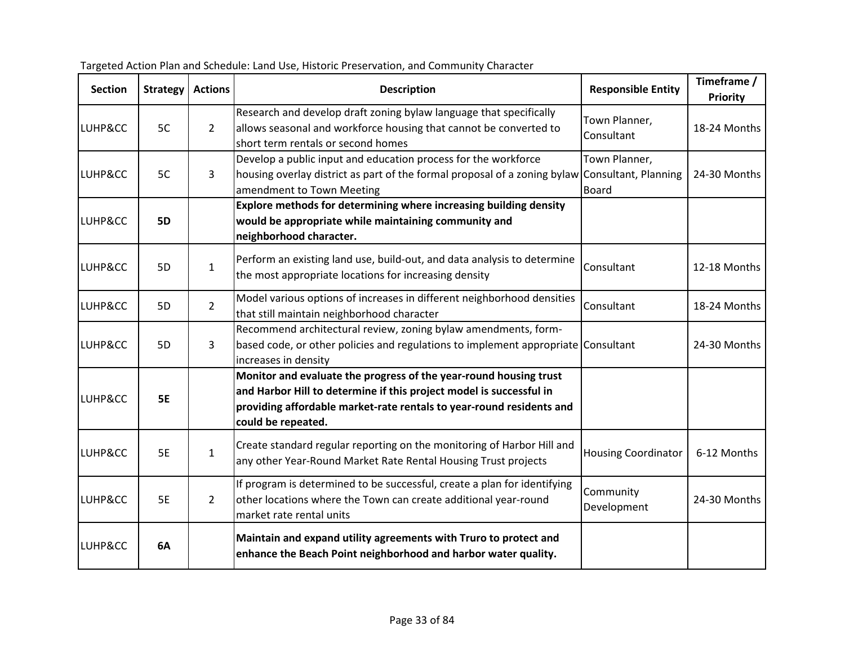| <b>Section</b> | <b>Strategy</b> | <b>Actions</b> | <b>Description</b>                                                                                                                                                                                                                     | <b>Responsible Entity</b>     | Timeframe /<br><b>Priority</b> |
|----------------|-----------------|----------------|----------------------------------------------------------------------------------------------------------------------------------------------------------------------------------------------------------------------------------------|-------------------------------|--------------------------------|
| LUHP&CC        | 5C              | $\overline{2}$ | Research and develop draft zoning bylaw language that specifically<br>allows seasonal and workforce housing that cannot be converted to<br>short term rentals or second homes                                                          | Town Planner,<br>Consultant   | 18-24 Months                   |
| LUHP&CC        | 5C              | $\mathbf{3}$   | Develop a public input and education process for the workforce<br>housing overlay district as part of the formal proposal of a zoning bylaw Consultant, Planning<br>amendment to Town Meeting                                          | Town Planner,<br><b>Board</b> | 24-30 Months                   |
| LUHP&CC        | <b>5D</b>       |                | Explore methods for determining where increasing building density<br>would be appropriate while maintaining community and<br>neighborhood character.                                                                                   |                               |                                |
| LUHP&CC        | 5D              | $\mathbf{1}$   | Perform an existing land use, build-out, and data analysis to determine<br>the most appropriate locations for increasing density                                                                                                       | Consultant                    | 12-18 Months                   |
| LUHP&CC        | 5D              | $\overline{2}$ | Model various options of increases in different neighborhood densities<br>that still maintain neighborhood character                                                                                                                   | Consultant                    | 18-24 Months                   |
| LUHP&CC        | 5D              | 3              | Recommend architectural review, zoning bylaw amendments, form-<br>based code, or other policies and regulations to implement appropriate Consultant<br>increases in density                                                            |                               | 24-30 Months                   |
| LUHP&CC        | <b>5E</b>       |                | Monitor and evaluate the progress of the year-round housing trust<br>and Harbor Hill to determine if this project model is successful in<br>providing affordable market-rate rentals to year-round residents and<br>could be repeated. |                               |                                |
| LUHP&CC        | <b>5E</b>       | $\mathbf{1}$   | Create standard regular reporting on the monitoring of Harbor Hill and<br>any other Year-Round Market Rate Rental Housing Trust projects                                                                                               | <b>Housing Coordinator</b>    | 6-12 Months                    |
| LUHP&CC        | <b>5E</b>       | $\overline{2}$ | If program is determined to be successful, create a plan for identifying<br>other locations where the Town can create additional year-round<br>market rate rental units                                                                | Community<br>Development      | 24-30 Months                   |
| LUHP&CC        | 6A              |                | Maintain and expand utility agreements with Truro to protect and<br>enhance the Beach Point neighborhood and harbor water quality.                                                                                                     |                               |                                |

Targeted Action Plan and Schedule: Land Use, Historic Preservation, and Community Character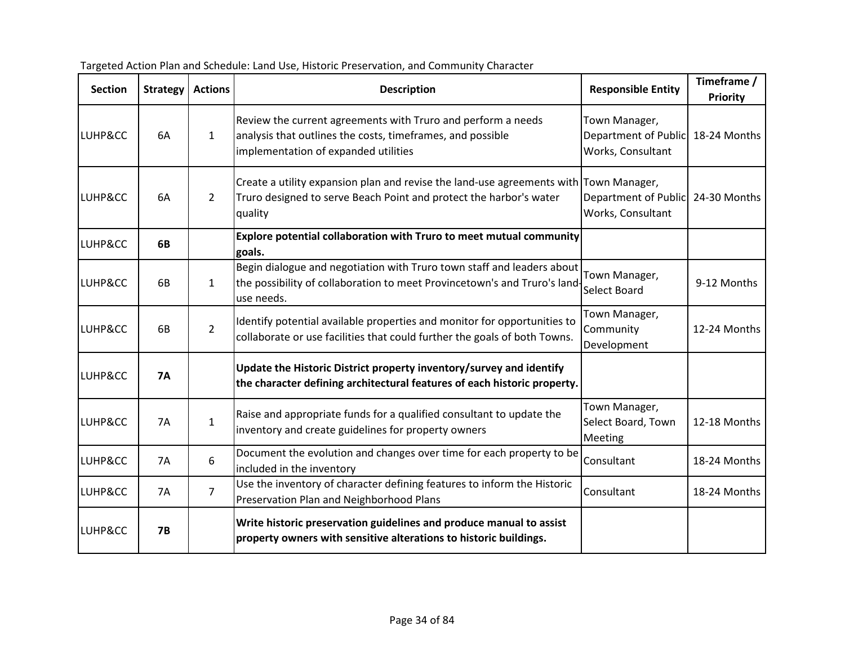| <b>Section</b> | <b>Strategy</b> | <b>Actions</b> | <b>Description</b>                                                                                                                                                     | <b>Responsible Entity</b>                                  | Timeframe /<br>Priority |
|----------------|-----------------|----------------|------------------------------------------------------------------------------------------------------------------------------------------------------------------------|------------------------------------------------------------|-------------------------|
| LUHP&CC        | 6A              | $\mathbf{1}$   | Review the current agreements with Truro and perform a needs<br>analysis that outlines the costs, timeframes, and possible<br>implementation of expanded utilities     | Town Manager,<br>Department of Public<br>Works, Consultant | 18-24 Months            |
| LUHP&CC        | 6A              | $\overline{2}$ | Create a utility expansion plan and revise the land-use agreements with Town Manager,<br>Truro designed to serve Beach Point and protect the harbor's water<br>quality | Department of Public<br>Works, Consultant                  | 24-30 Months            |
| LUHP&CC        | 6B              |                | Explore potential collaboration with Truro to meet mutual community<br>goals.                                                                                          |                                                            |                         |
| LUHP&CC        | 6B              | $\mathbf{1}$   | Begin dialogue and negotiation with Truro town staff and leaders about<br>the possibility of collaboration to meet Provincetown's and Truro's land<br>use needs.       | Town Manager,<br>Select Board                              | 9-12 Months             |
| LUHP&CC        | 6B              | $\overline{2}$ | Identify potential available properties and monitor for opportunities to<br>collaborate or use facilities that could further the goals of both Towns.                  | Town Manager,<br>Community<br>Development                  | 12-24 Months            |
| LUHP&CC        | <b>7A</b>       |                | Update the Historic District property inventory/survey and identify<br>the character defining architectural features of each historic property.                        |                                                            |                         |
| LUHP&CC        | <b>7A</b>       | $\mathbf{1}$   | Raise and appropriate funds for a qualified consultant to update the<br>inventory and create guidelines for property owners                                            | Town Manager,<br>Select Board, Town<br>Meeting             | 12-18 Months            |
| LUHP&CC        | 7A              | 6              | Document the evolution and changes over time for each property to be<br>included in the inventory                                                                      | Consultant                                                 | 18-24 Months            |
| LUHP&CC        | <b>7A</b>       | $\overline{7}$ | Use the inventory of character defining features to inform the Historic<br>Preservation Plan and Neighborhood Plans                                                    | Consultant                                                 | 18-24 Months            |
| LUHP&CC        | <b>7B</b>       |                | Write historic preservation guidelines and produce manual to assist<br>property owners with sensitive alterations to historic buildings.                               |                                                            |                         |

Targeted Action Plan and Schedule: Land Use, Historic Preservation, and Community Character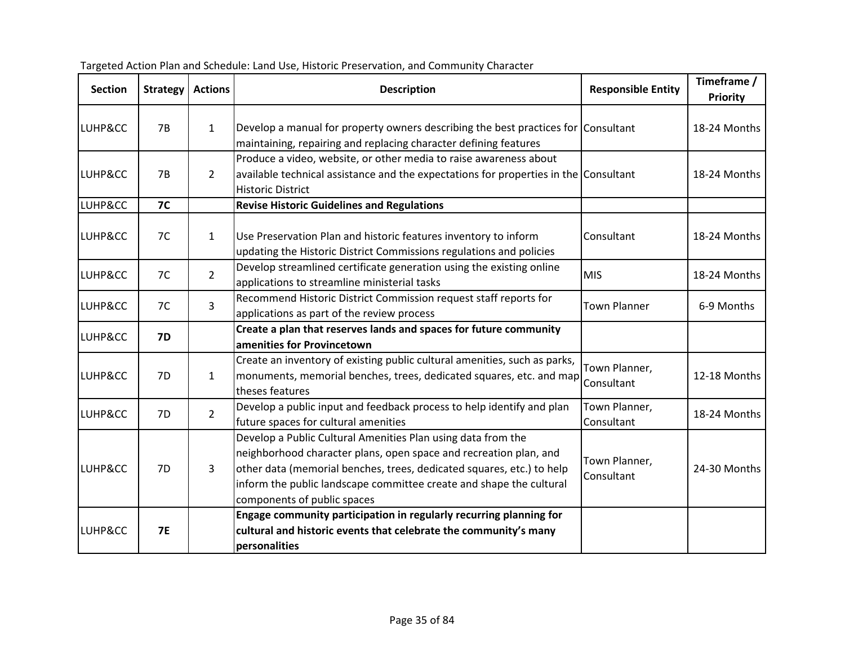| <b>Section</b> | <b>Strategy</b> | <b>Actions</b> | <b>Description</b>                                                                                                                                                                                                                                                                                               | <b>Responsible Entity</b>   | Timeframe /<br>Priority |
|----------------|-----------------|----------------|------------------------------------------------------------------------------------------------------------------------------------------------------------------------------------------------------------------------------------------------------------------------------------------------------------------|-----------------------------|-------------------------|
| LUHP&CC        | 7B              | $\mathbf{1}$   | Develop a manual for property owners describing the best practices for Consultant<br>maintaining, repairing and replacing character defining features                                                                                                                                                            |                             | 18-24 Months            |
| LUHP&CC        | 7B              | $\overline{2}$ | Produce a video, website, or other media to raise awareness about<br>available technical assistance and the expectations for properties in the Consultant<br><b>Historic District</b>                                                                                                                            |                             | 18-24 Months            |
| LUHP&CC        | <b>7C</b>       |                | <b>Revise Historic Guidelines and Regulations</b>                                                                                                                                                                                                                                                                |                             |                         |
| LUHP&CC        | 7C              | $\mathbf{1}$   | Use Preservation Plan and historic features inventory to inform<br>updating the Historic District Commissions regulations and policies                                                                                                                                                                           | Consultant                  | 18-24 Months            |
| LUHP&CC        | 7C              | $2^{\circ}$    | Develop streamlined certificate generation using the existing online<br>applications to streamline ministerial tasks                                                                                                                                                                                             | <b>MIS</b>                  | 18-24 Months            |
| LUHP&CC        | 7C              | $\overline{3}$ | Recommend Historic District Commission request staff reports for<br>applications as part of the review process                                                                                                                                                                                                   | <b>Town Planner</b>         | 6-9 Months              |
| LUHP&CC        | <b>7D</b>       |                | Create a plan that reserves lands and spaces for future community<br>amenities for Provincetown                                                                                                                                                                                                                  |                             |                         |
| LUHP&CC        | 7D              | $\mathbf{1}$   | Create an inventory of existing public cultural amenities, such as parks,<br>monuments, memorial benches, trees, dedicated squares, etc. and map<br>theses features                                                                                                                                              | Town Planner,<br>Consultant | 12-18 Months            |
| LUHP&CC        | 7D              | $\overline{2}$ | Develop a public input and feedback process to help identify and plan<br>future spaces for cultural amenities                                                                                                                                                                                                    | Town Planner,<br>Consultant | 18-24 Months            |
| LUHP&CC        | 7D              | 3              | Develop a Public Cultural Amenities Plan using data from the<br>neighborhood character plans, open space and recreation plan, and<br>other data (memorial benches, trees, dedicated squares, etc.) to help<br>inform the public landscape committee create and shape the cultural<br>components of public spaces | Town Planner,<br>Consultant | 24-30 Months            |
| LUHP&CC        | <b>7E</b>       |                | Engage community participation in regularly recurring planning for<br>cultural and historic events that celebrate the community's many<br>personalities                                                                                                                                                          |                             |                         |

Targeted Action Plan and Schedule: Land Use, Historic Preservation, and Community Character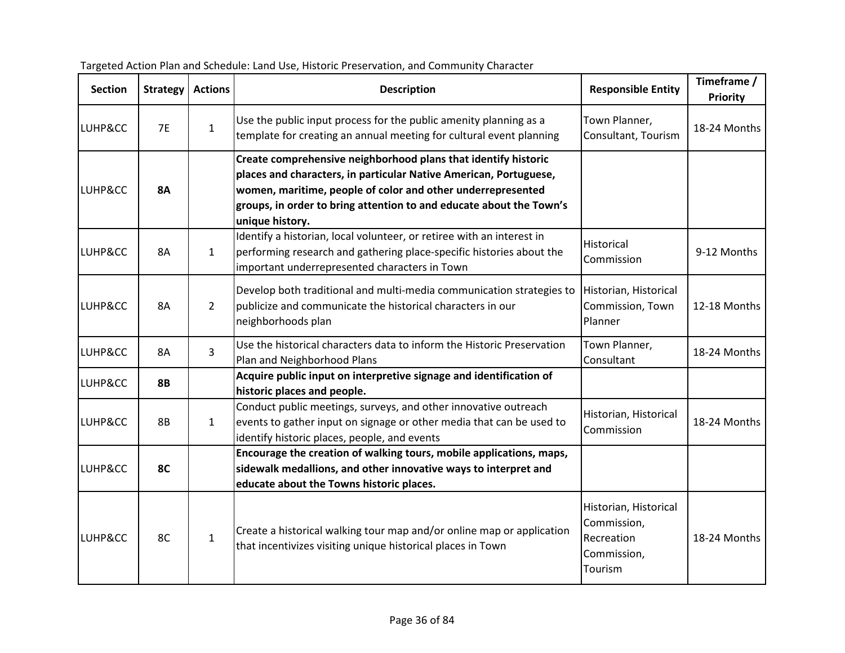| <b>Section</b> | <b>Strategy</b> | <b>Actions</b> | <b>Description</b>                                                                                                                                                                                                                                                                           | <b>Responsible Entity</b>                                                    | Timeframe /<br>Priority |
|----------------|-----------------|----------------|----------------------------------------------------------------------------------------------------------------------------------------------------------------------------------------------------------------------------------------------------------------------------------------------|------------------------------------------------------------------------------|-------------------------|
| LUHP&CC        | <b>7E</b>       | $\mathbf{1}$   | Use the public input process for the public amenity planning as a<br>template for creating an annual meeting for cultural event planning                                                                                                                                                     | Town Planner,<br>Consultant, Tourism                                         | 18-24 Months            |
| LUHP&CC        | <b>8A</b>       |                | Create comprehensive neighborhood plans that identify historic<br>places and characters, in particular Native American, Portuguese,<br>women, maritime, people of color and other underrepresented<br>groups, in order to bring attention to and educate about the Town's<br>unique history. |                                                                              |                         |
| LUHP&CC        | 8A              | $\mathbf{1}$   | Identify a historian, local volunteer, or retiree with an interest in<br>performing research and gathering place-specific histories about the<br>important underrepresented characters in Town                                                                                               | Historical<br>Commission                                                     | 9-12 Months             |
| LUHP&CC        | 8A              | $\overline{2}$ | Develop both traditional and multi-media communication strategies to<br>publicize and communicate the historical characters in our<br>neighborhoods plan                                                                                                                                     | Historian, Historical<br>Commission, Town<br>Planner                         | 12-18 Months            |
| LUHP&CC        | 8A              | $\overline{3}$ | Use the historical characters data to inform the Historic Preservation<br>Plan and Neighborhood Plans                                                                                                                                                                                        | Town Planner,<br>Consultant                                                  | 18-24 Months            |
| LUHP&CC        | <b>8B</b>       |                | Acquire public input on interpretive signage and identification of<br>historic places and people.                                                                                                                                                                                            |                                                                              |                         |
| LUHP&CC        | <b>8B</b>       | $\mathbf{1}$   | Conduct public meetings, surveys, and other innovative outreach<br>events to gather input on signage or other media that can be used to<br>identify historic places, people, and events                                                                                                      | Historian, Historical<br>Commission                                          | 18-24 Months            |
| LUHP&CC        | 8C              |                | Encourage the creation of walking tours, mobile applications, maps,<br>sidewalk medallions, and other innovative ways to interpret and<br>educate about the Towns historic places.                                                                                                           |                                                                              |                         |
| LUHP&CC        | 8C              | $\mathbf{1}$   | Create a historical walking tour map and/or online map or application<br>that incentivizes visiting unique historical places in Town                                                                                                                                                         | Historian, Historical<br>Commission,<br>Recreation<br>Commission,<br>Tourism | 18-24 Months            |

|  | Targeted Action Plan and Schedule: Land Use, Historic Preservation, and Community Character |  |
|--|---------------------------------------------------------------------------------------------|--|
|--|---------------------------------------------------------------------------------------------|--|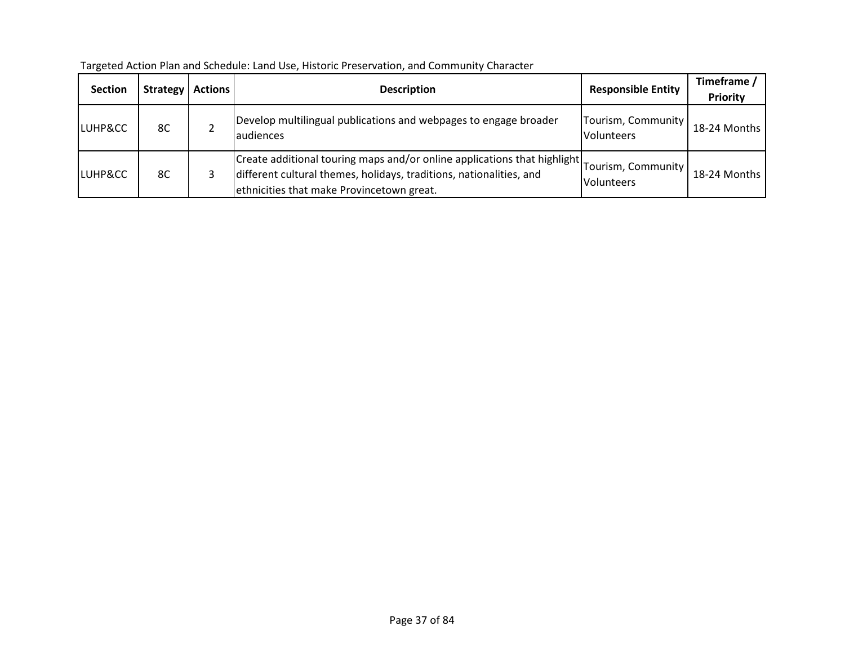| <b>Section</b>     | <b>Strategy</b> | <b>Actions</b> | <b>Description</b>                                                                                                                                                                                              | <b>Responsible Entity</b>               | Timeframe /<br><b>Priority</b> |
|--------------------|-----------------|----------------|-----------------------------------------------------------------------------------------------------------------------------------------------------------------------------------------------------------------|-----------------------------------------|--------------------------------|
| <b>LUHP&amp;CC</b> | 8C              |                | Develop multilingual publications and webpages to engage broader<br>laudiences                                                                                                                                  | Tourism, Community<br><b>Volunteers</b> | 18-24 Months                   |
| <b>LUHP&amp;CC</b> | 8C              |                | Create additional touring maps and/or online applications that highlight Tourism, Community<br>different cultural themes, holidays, traditions, nationalities, and<br>ethnicities that make Provincetown great. | <b>Volunteers</b>                       | 18-24 Months                   |

Targeted Action Plan and Schedule: Land Use, Historic Preservation, and Community Character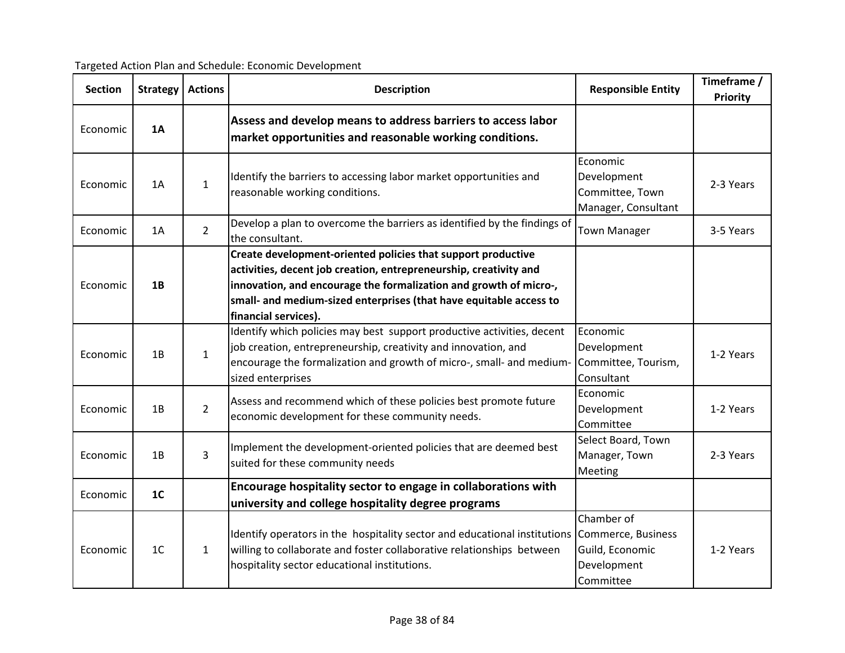| Targeted Action Plan and Schedule: Economic Development |  |  |
|---------------------------------------------------------|--|--|
|                                                         |  |  |

| <b>Section</b> | <b>Strategy</b> | <b>Actions</b> | <b>Description</b>                                                                                                                                                                                                                                                                                   | <b>Responsible Entity</b>                                                       | Timeframe /<br>Priority |
|----------------|-----------------|----------------|------------------------------------------------------------------------------------------------------------------------------------------------------------------------------------------------------------------------------------------------------------------------------------------------------|---------------------------------------------------------------------------------|-------------------------|
| Economic       | 1A              |                | Assess and develop means to address barriers to access labor<br>market opportunities and reasonable working conditions.                                                                                                                                                                              |                                                                                 |                         |
| Economic       | 1A              | $\mathbf{1}$   | Identify the barriers to accessing labor market opportunities and<br>reasonable working conditions.                                                                                                                                                                                                  | Economic<br>Development<br>Committee, Town<br>Manager, Consultant               | 2-3 Years               |
| Economic       | 1A              | $\overline{2}$ | Develop a plan to overcome the barriers as identified by the findings of<br>the consultant.                                                                                                                                                                                                          | <b>Town Manager</b>                                                             | 3-5 Years               |
| Economic       | 1B              |                | Create development-oriented policies that support productive<br>activities, decent job creation, entrepreneurship, creativity and<br>innovation, and encourage the formalization and growth of micro-,<br>small- and medium-sized enterprises (that have equitable access to<br>financial services). |                                                                                 |                         |
| Economic       | 1B              | $\mathbf{1}$   | Identify which policies may best support productive activities, decent<br>job creation, entrepreneurship, creativity and innovation, and<br>encourage the formalization and growth of micro-, small- and medium-<br>sized enterprises                                                                | Economic<br>Development<br>Committee, Tourism,<br>Consultant                    | 1-2 Years               |
| Economic       | 1B              | $\overline{2}$ | Assess and recommend which of these policies best promote future<br>economic development for these community needs.                                                                                                                                                                                  | Economic<br>Development<br>Committee                                            | 1-2 Years               |
| Economic       | 1B              | 3              | Implement the development-oriented policies that are deemed best<br>suited for these community needs                                                                                                                                                                                                 | Select Board, Town<br>Manager, Town<br>Meeting                                  | 2-3 Years               |
| Economic       | 1 <sub>C</sub>  |                | Encourage hospitality sector to engage in collaborations with<br>university and college hospitality degree programs                                                                                                                                                                                  |                                                                                 |                         |
| Economic       | 1 <sup>C</sup>  | $\mathbf{1}$   | Identify operators in the hospitality sector and educational institutions<br>willing to collaborate and foster collaborative relationships between<br>hospitality sector educational institutions.                                                                                                   | Chamber of<br>Commerce, Business<br>Guild, Economic<br>Development<br>Committee | 1-2 Years               |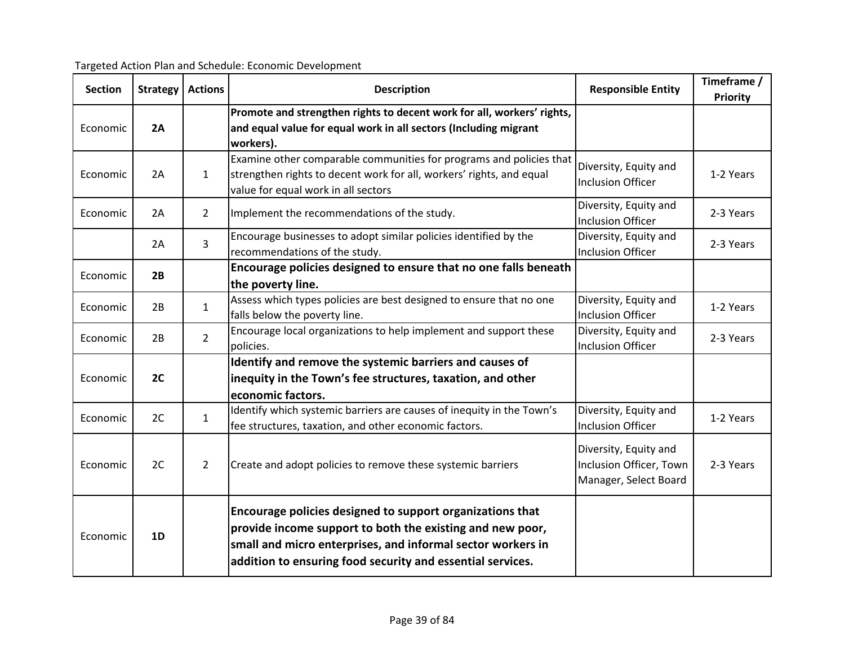| <b>Section</b> | Strategy | <b>Actions</b> | <b>Description</b>                                                                                                                                                                                                                                  | <b>Responsible Entity</b>                                                 | Timeframe /<br>Priority |
|----------------|----------|----------------|-----------------------------------------------------------------------------------------------------------------------------------------------------------------------------------------------------------------------------------------------------|---------------------------------------------------------------------------|-------------------------|
| Economic       | 2A       |                | Promote and strengthen rights to decent work for all, workers' rights,<br>and equal value for equal work in all sectors (Including migrant<br>workers).                                                                                             |                                                                           |                         |
| Economic       | 2A       | $\mathbf{1}$   | Examine other comparable communities for programs and policies that<br>strengthen rights to decent work for all, workers' rights, and equal<br>value for equal work in all sectors                                                                  | Diversity, Equity and<br><b>Inclusion Officer</b>                         | 1-2 Years               |
| Economic       | 2A       | $\overline{2}$ | Implement the recommendations of the study.                                                                                                                                                                                                         | Diversity, Equity and<br>Inclusion Officer                                | 2-3 Years               |
|                | 2A       | 3              | Encourage businesses to adopt similar policies identified by the<br>recommendations of the study.                                                                                                                                                   | Diversity, Equity and<br><b>Inclusion Officer</b>                         | 2-3 Years               |
| Economic       | 2B       |                | Encourage policies designed to ensure that no one falls beneath<br>the poverty line.                                                                                                                                                                |                                                                           |                         |
| Economic       | 2B       | $\mathbf{1}$   | Assess which types policies are best designed to ensure that no one<br>falls below the poverty line.                                                                                                                                                | Diversity, Equity and<br><b>Inclusion Officer</b>                         | 1-2 Years               |
| Economic       | 2B       | $\overline{2}$ | Encourage local organizations to help implement and support these<br>policies.                                                                                                                                                                      | Diversity, Equity and<br><b>Inclusion Officer</b>                         | 2-3 Years               |
| Economic       | 2C       |                | Identify and remove the systemic barriers and causes of<br>inequity in the Town's fee structures, taxation, and other<br>economic factors.                                                                                                          |                                                                           |                         |
| Economic       | 2C       | $\mathbf{1}$   | Identify which systemic barriers are causes of inequity in the Town's<br>fee structures, taxation, and other economic factors.                                                                                                                      | Diversity, Equity and<br><b>Inclusion Officer</b>                         | 1-2 Years               |
| Economic       | 2C       | $\overline{2}$ | Create and adopt policies to remove these systemic barriers                                                                                                                                                                                         | Diversity, Equity and<br>Inclusion Officer, Town<br>Manager, Select Board | 2-3 Years               |
| Economic       | 1D       |                | Encourage policies designed to support organizations that<br>provide income support to both the existing and new poor,<br>small and micro enterprises, and informal sector workers in<br>addition to ensuring food security and essential services. |                                                                           |                         |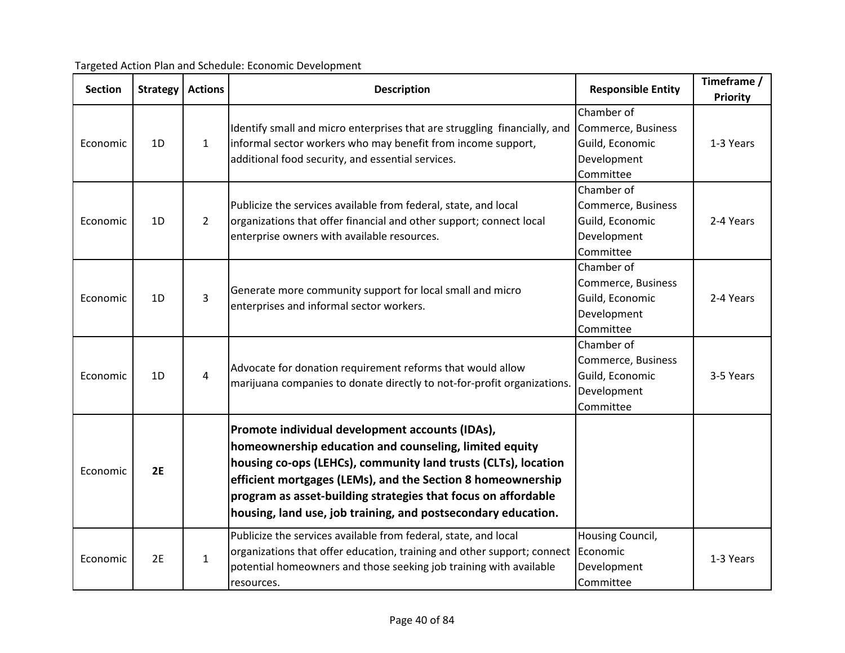| <b>Section</b> | Strategy       | <b>Actions</b> | <b>Description</b>                                                                                                                                                                                                                                                                                                                                                           | <b>Responsible Entity</b>                                                       | Timeframe /     |
|----------------|----------------|----------------|------------------------------------------------------------------------------------------------------------------------------------------------------------------------------------------------------------------------------------------------------------------------------------------------------------------------------------------------------------------------------|---------------------------------------------------------------------------------|-----------------|
|                |                |                |                                                                                                                                                                                                                                                                                                                                                                              |                                                                                 | <b>Priority</b> |
| Economic       | 1 <sub>D</sub> | $\mathbf{1}$   | Identify small and micro enterprises that are struggling financially, and<br>informal sector workers who may benefit from income support,<br>additional food security, and essential services.                                                                                                                                                                               | Chamber of<br>Commerce, Business<br>Guild, Economic<br>Development              | 1-3 Years       |
|                |                |                |                                                                                                                                                                                                                                                                                                                                                                              | Committee                                                                       |                 |
| Economic       | 1D             | $\overline{2}$ | Publicize the services available from federal, state, and local<br>organizations that offer financial and other support; connect local<br>enterprise owners with available resources.                                                                                                                                                                                        | Chamber of<br>Commerce, Business<br>Guild, Economic<br>Development<br>Committee | 2-4 Years       |
| Economic       | 1D             | 3              | Generate more community support for local small and micro<br>enterprises and informal sector workers.                                                                                                                                                                                                                                                                        | Chamber of<br>Commerce, Business<br>Guild, Economic<br>Development<br>Committee | 2-4 Years       |
| Economic       | 1D             | 4              | Advocate for donation requirement reforms that would allow<br>marijuana companies to donate directly to not-for-profit organizations.                                                                                                                                                                                                                                        | Chamber of<br>Commerce, Business<br>Guild, Economic<br>Development<br>Committee | 3-5 Years       |
| Economic       | 2E             |                | Promote individual development accounts (IDAs),<br>homeownership education and counseling, limited equity<br>housing co-ops (LEHCs), community land trusts (CLTs), location<br>efficient mortgages (LEMs), and the Section 8 homeownership<br>program as asset-building strategies that focus on affordable<br>housing, land use, job training, and postsecondary education. |                                                                                 |                 |
| Economic       | 2E             | $\mathbf{1}$   | Publicize the services available from federal, state, and local<br>organizations that offer education, training and other support; connect<br>potential homeowners and those seeking job training with available<br>resources.                                                                                                                                               | Housing Council,<br>Economic<br>Development<br>Committee                        | 1-3 Years       |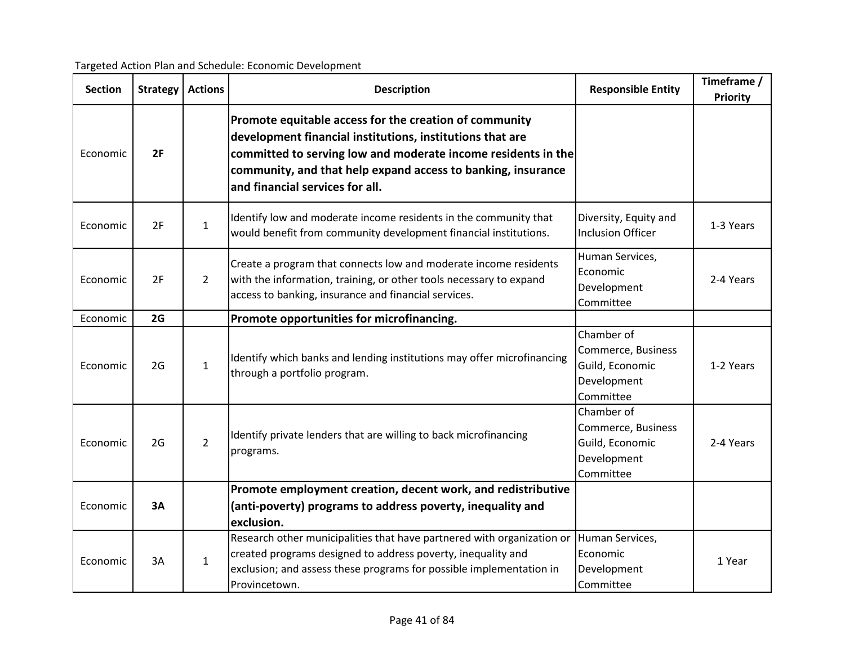| <b>Section</b> | <b>Strategy</b> | <b>Actions</b> | <b>Description</b>                                                                                                                                                                                                                                                                      | <b>Responsible Entity</b>                                                       | Timeframe /<br><b>Priority</b> |
|----------------|-----------------|----------------|-----------------------------------------------------------------------------------------------------------------------------------------------------------------------------------------------------------------------------------------------------------------------------------------|---------------------------------------------------------------------------------|--------------------------------|
| Economic       | 2F              |                | Promote equitable access for the creation of community<br>development financial institutions, institutions that are<br>committed to serving low and moderate income residents in the<br>community, and that help expand access to banking, insurance<br>and financial services for all. |                                                                                 |                                |
| Economic       | 2F              | $\mathbf{1}$   | Identify low and moderate income residents in the community that<br>would benefit from community development financial institutions.                                                                                                                                                    | Diversity, Equity and<br><b>Inclusion Officer</b>                               | 1-3 Years                      |
| Economic       | 2F              | $\overline{2}$ | Create a program that connects low and moderate income residents<br>with the information, training, or other tools necessary to expand<br>access to banking, insurance and financial services.                                                                                          | Human Services,<br>Economic<br>Development<br>Committee                         | 2-4 Years                      |
| Economic       | 2G              |                | Promote opportunities for microfinancing.                                                                                                                                                                                                                                               |                                                                                 |                                |
| Economic       | 2G              | $\mathbf{1}$   | Identify which banks and lending institutions may offer microfinancing<br>through a portfolio program.                                                                                                                                                                                  | Chamber of<br>Commerce, Business<br>Guild, Economic<br>Development<br>Committee | 1-2 Years                      |
| Economic       | 2G              | $\overline{2}$ | Identify private lenders that are willing to back microfinancing<br>programs.                                                                                                                                                                                                           | Chamber of<br>Commerce, Business<br>Guild, Economic<br>Development<br>Committee | 2-4 Years                      |
| Economic       | 3A              |                | Promote employment creation, decent work, and redistributive<br>(anti-poverty) programs to address poverty, inequality and<br>exclusion.                                                                                                                                                |                                                                                 |                                |
| Economic       | 3A              | $\mathbf{1}$   | Research other municipalities that have partnered with organization or<br>created programs designed to address poverty, inequality and<br>exclusion; and assess these programs for possible implementation in<br>Provincetown.                                                          | Human Services,<br>Economic<br>Development<br>Committee                         | 1 Year                         |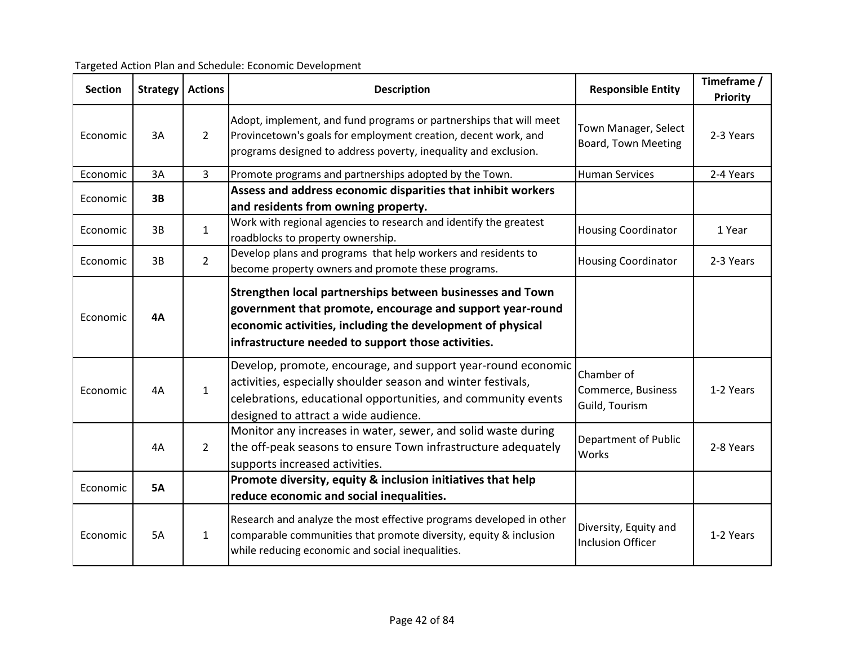| <b>Section</b> | Strategy  | <b>Actions</b> | <b>Description</b>                                                                                                                                                                                                                         | <b>Responsible Entity</b>                          | Timeframe /<br>Priority |
|----------------|-----------|----------------|--------------------------------------------------------------------------------------------------------------------------------------------------------------------------------------------------------------------------------------------|----------------------------------------------------|-------------------------|
| Economic       | 3A        | $\overline{2}$ | Adopt, implement, and fund programs or partnerships that will meet<br>Provincetown's goals for employment creation, decent work, and<br>programs designed to address poverty, inequality and exclusion.                                    | Town Manager, Select<br>Board, Town Meeting        | 2-3 Years               |
| Economic       | 3A        | $\overline{3}$ | Promote programs and partnerships adopted by the Town.                                                                                                                                                                                     | <b>Human Services</b>                              | 2-4 Years               |
| Economic       | 3B        |                | Assess and address economic disparities that inhibit workers<br>and residents from owning property.                                                                                                                                        |                                                    |                         |
| Economic       | 3B        | $\mathbf{1}$   | Work with regional agencies to research and identify the greatest<br>roadblocks to property ownership.                                                                                                                                     | <b>Housing Coordinator</b>                         | 1 Year                  |
| Economic       | 3B        | $\overline{2}$ | Develop plans and programs that help workers and residents to<br>become property owners and promote these programs.                                                                                                                        | <b>Housing Coordinator</b>                         | 2-3 Years               |
| Economic       | <b>4A</b> |                | Strengthen local partnerships between businesses and Town<br>government that promote, encourage and support year-round<br>economic activities, including the development of physical<br>infrastructure needed to support those activities. |                                                    |                         |
| Economic       | 4A        | $\mathbf{1}$   | Develop, promote, encourage, and support year-round economic<br>activities, especially shoulder season and winter festivals,<br>celebrations, educational opportunities, and community events<br>designed to attract a wide audience.      | Chamber of<br>Commerce, Business<br>Guild, Tourism | 1-2 Years               |
|                | 4A        | $\overline{2}$ | Monitor any increases in water, sewer, and solid waste during<br>the off-peak seasons to ensure Town infrastructure adequately<br>supports increased activities.                                                                           | <b>Department of Public</b><br><b>Works</b>        | 2-8 Years               |
| Economic       | <b>5A</b> |                | Promote diversity, equity & inclusion initiatives that help<br>reduce economic and social inequalities.                                                                                                                                    |                                                    |                         |
| Economic       | <b>5A</b> | $\mathbf{1}$   | Research and analyze the most effective programs developed in other<br>comparable communities that promote diversity, equity & inclusion<br>while reducing economic and social inequalities.                                               | Diversity, Equity and<br><b>Inclusion Officer</b>  | 1-2 Years               |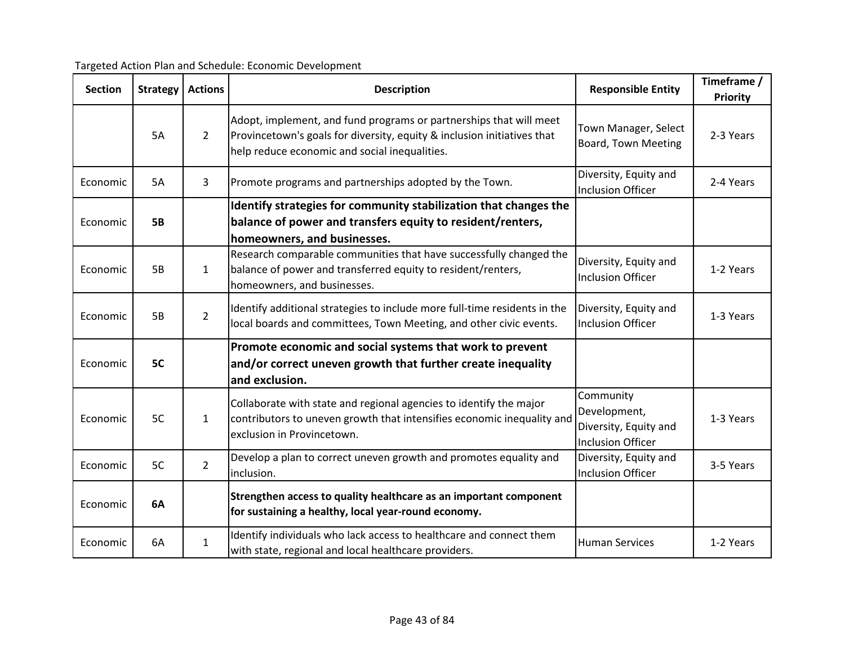Targeted Action Plan and Schedule: Economic Development

| <b>Section</b> | <b>Strategy</b> | <b>Actions</b> | <b>Description</b>                                                                                                                                                                             | <b>Responsible Entity</b>                                                      | Timeframe /<br>Priority |
|----------------|-----------------|----------------|------------------------------------------------------------------------------------------------------------------------------------------------------------------------------------------------|--------------------------------------------------------------------------------|-------------------------|
|                | 5A              | $\overline{2}$ | Adopt, implement, and fund programs or partnerships that will meet<br>Provincetown's goals for diversity, equity & inclusion initiatives that<br>help reduce economic and social inequalities. | Town Manager, Select<br><b>Board, Town Meeting</b>                             | 2-3 Years               |
| Economic       | 5A              | 3              | Promote programs and partnerships adopted by the Town.                                                                                                                                         | Diversity, Equity and<br><b>Inclusion Officer</b>                              | 2-4 Years               |
| Economic       | <b>5B</b>       |                | Identify strategies for community stabilization that changes the<br>balance of power and transfers equity to resident/renters,<br>homeowners, and businesses.                                  |                                                                                |                         |
| Economic       | 5B              | $\mathbf{1}$   | Research comparable communities that have successfully changed the<br>balance of power and transferred equity to resident/renters,<br>homeowners, and businesses.                              | Diversity, Equity and<br><b>Inclusion Officer</b>                              | 1-2 Years               |
| Economic       | <b>5B</b>       | $\overline{2}$ | Identify additional strategies to include more full-time residents in the<br>local boards and committees, Town Meeting, and other civic events.                                                | Diversity, Equity and<br><b>Inclusion Officer</b>                              | 1-3 Years               |
| Economic       | 5C              |                | Promote economic and social systems that work to prevent<br>and/or correct uneven growth that further create inequality<br>and exclusion.                                                      |                                                                                |                         |
| Economic       | 5C              | $\mathbf{1}$   | Collaborate with state and regional agencies to identify the major<br>contributors to uneven growth that intensifies economic inequality and<br>exclusion in Provincetown.                     | Community<br>Development,<br>Diversity, Equity and<br><b>Inclusion Officer</b> | 1-3 Years               |
| Economic       | 5C              | $\overline{2}$ | Develop a plan to correct uneven growth and promotes equality and<br>inclusion.                                                                                                                | Diversity, Equity and<br>Inclusion Officer                                     | 3-5 Years               |
| Economic       | 6A              |                | Strengthen access to quality healthcare as an important component<br>for sustaining a healthy, local year-round economy.                                                                       |                                                                                |                         |
| Economic       | 6A              | $\mathbf{1}$   | Identify individuals who lack access to healthcare and connect them<br>with state, regional and local healthcare providers.                                                                    | <b>Human Services</b>                                                          | 1-2 Years               |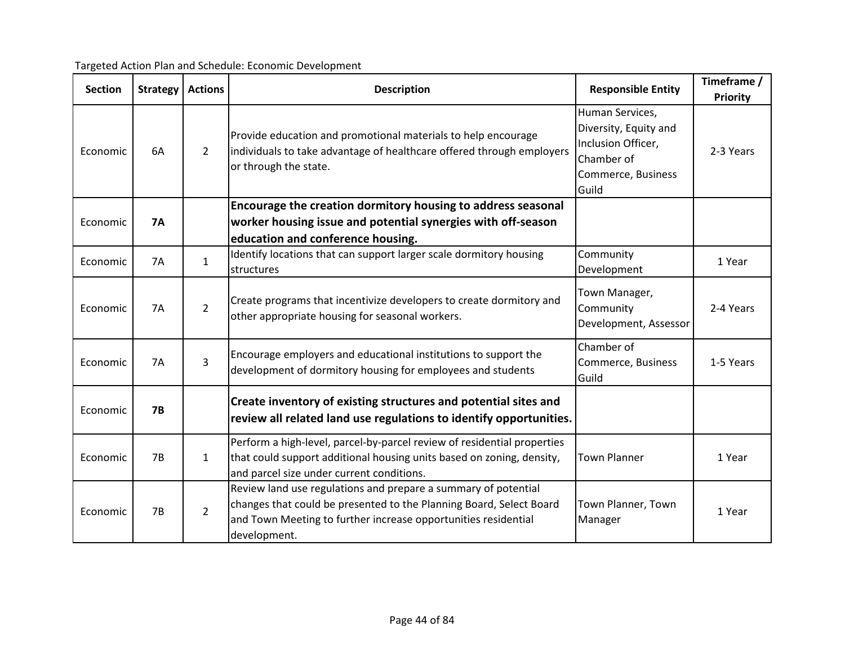| <b>Section</b> | Strategy  | <b>Actions</b> | <b>Description</b>                                                                                                                                                                                                      | <b>Responsible Entity</b>                                                                                   | Timeframe /<br>Priority |
|----------------|-----------|----------------|-------------------------------------------------------------------------------------------------------------------------------------------------------------------------------------------------------------------------|-------------------------------------------------------------------------------------------------------------|-------------------------|
| Economic       | 6A        | $\overline{2}$ | Provide education and promotional materials to help encourage<br>individuals to take advantage of healthcare offered through employers<br>or through the state.                                                         | Human Services,<br>Diversity, Equity and<br>Inclusion Officer,<br>Chamber of<br>Commerce, Business<br>Guild | 2-3 Years               |
|                |           |                | Encourage the creation dormitory housing to address seasonal                                                                                                                                                            |                                                                                                             |                         |
| Economic       | <b>7A</b> |                | worker housing issue and potential synergies with off-season                                                                                                                                                            |                                                                                                             |                         |
|                |           |                | education and conference housing.                                                                                                                                                                                       |                                                                                                             |                         |
| Economic       | 7A        | $\mathbf{1}$   | Identify locations that can support larger scale dormitory housing<br>structures                                                                                                                                        | Community<br>Development                                                                                    | 1 Year                  |
| Economic       | <b>7A</b> | $\overline{2}$ | Create programs that incentivize developers to create dormitory and<br>other appropriate housing for seasonal workers.                                                                                                  | Town Manager,<br>Community<br>Development, Assessor                                                         | 2-4 Years               |
| Economic       | 7A        | $\mathbf{3}$   | Encourage employers and educational institutions to support the<br>development of dormitory housing for employees and students                                                                                          | Chamber of<br>Commerce, Business<br>Guild                                                                   | 1-5 Years               |
| Economic       | <b>7B</b> |                | Create inventory of existing structures and potential sites and<br>review all related land use regulations to identify opportunities.                                                                                   |                                                                                                             |                         |
| Economic       | 7B        | $\mathbf{1}$   | Perform a high-level, parcel-by-parcel review of residential properties<br>that could support additional housing units based on zoning, density,<br>and parcel size under current conditions.                           | <b>Town Planner</b>                                                                                         | 1 Year                  |
| Economic       | 7B        | $\overline{2}$ | Review land use regulations and prepare a summary of potential<br>changes that could be presented to the Planning Board, Select Board<br>and Town Meeting to further increase opportunities residential<br>development. | Town Planner, Town<br>Manager                                                                               | 1 Year                  |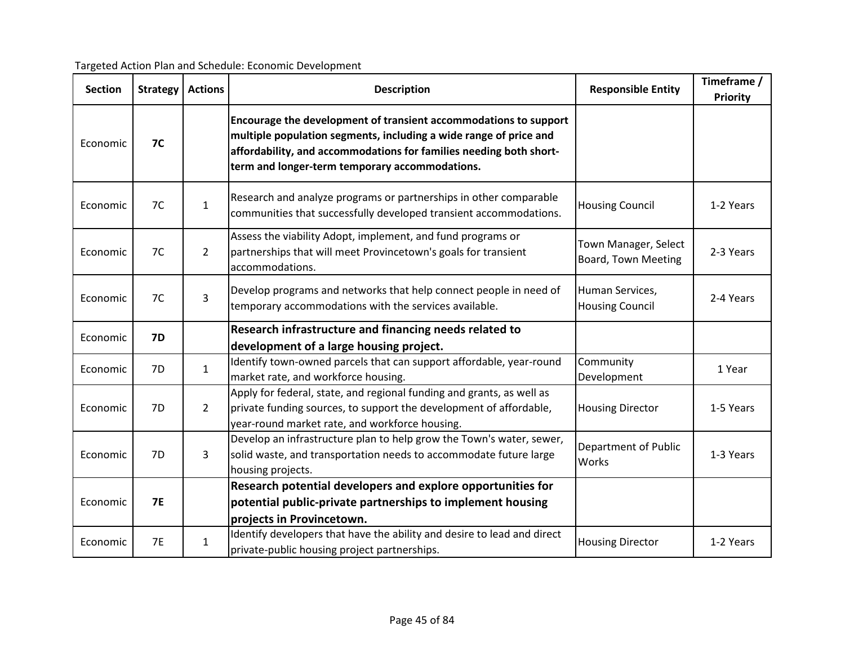| <b>Section</b> | <b>Strategy</b> | <b>Actions</b> | <b>Description</b>                                                                                                                                                                                                                                            | <b>Responsible Entity</b>                          | Timeframe /<br>Priority |
|----------------|-----------------|----------------|---------------------------------------------------------------------------------------------------------------------------------------------------------------------------------------------------------------------------------------------------------------|----------------------------------------------------|-------------------------|
| Economic       | <b>7C</b>       |                | Encourage the development of transient accommodations to support<br>multiple population segments, including a wide range of price and<br>affordability, and accommodations for families needing both short-<br>term and longer-term temporary accommodations. |                                                    |                         |
| Economic       | 7C              | $\mathbf{1}$   | Research and analyze programs or partnerships in other comparable<br>communities that successfully developed transient accommodations.                                                                                                                        | <b>Housing Council</b>                             | 1-2 Years               |
| Economic       | 7C              | $\overline{2}$ | Assess the viability Adopt, implement, and fund programs or<br>partnerships that will meet Provincetown's goals for transient<br>accommodations.                                                                                                              | Town Manager, Select<br><b>Board, Town Meeting</b> | 2-3 Years               |
| Economic       | 7C              | 3              | Develop programs and networks that help connect people in need of<br>temporary accommodations with the services available.                                                                                                                                    | Human Services,<br><b>Housing Council</b>          | 2-4 Years               |
| Economic       | <b>7D</b>       |                | Research infrastructure and financing needs related to<br>development of a large housing project.                                                                                                                                                             |                                                    |                         |
| Economic       | 7D              | $\mathbf{1}$   | Identify town-owned parcels that can support affordable, year-round<br>market rate, and workforce housing.                                                                                                                                                    | Community<br>Development                           | 1 Year                  |
| Economic       | 7D              | $\overline{2}$ | Apply for federal, state, and regional funding and grants, as well as<br>private funding sources, to support the development of affordable,<br>year-round market rate, and workforce housing.                                                                 | <b>Housing Director</b>                            | 1-5 Years               |
| Economic       | 7D              | 3              | Develop an infrastructure plan to help grow the Town's water, sewer,<br>solid waste, and transportation needs to accommodate future large<br>housing projects.                                                                                                | Department of Public<br>Works                      | 1-3 Years               |
| Economic       | <b>7E</b>       |                | Research potential developers and explore opportunities for<br>potential public-private partnerships to implement housing<br>projects in Provincetown.                                                                                                        |                                                    |                         |
| Economic       | <b>7E</b>       | $\mathbf{1}$   | Identify developers that have the ability and desire to lead and direct<br>private-public housing project partnerships.                                                                                                                                       | <b>Housing Director</b>                            | 1-2 Years               |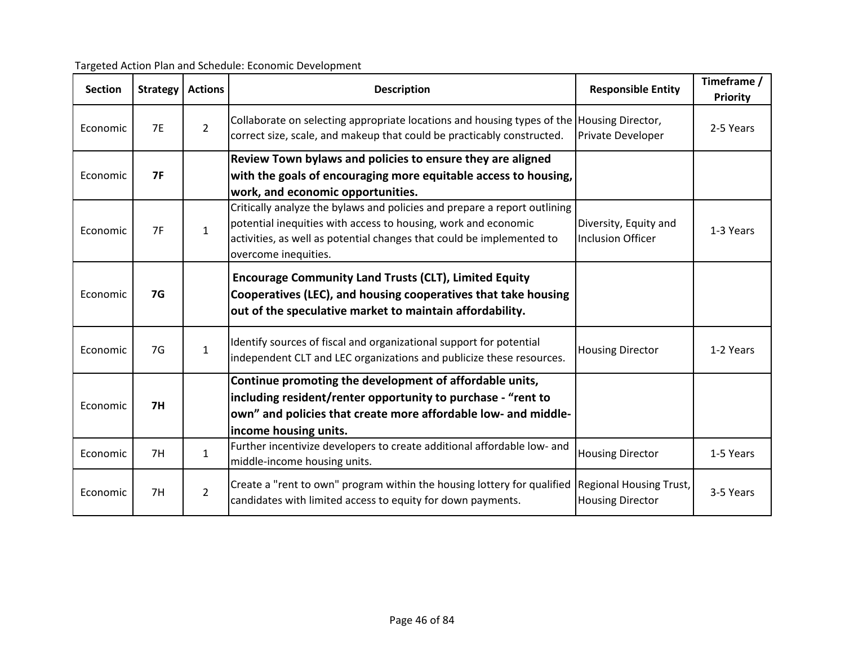| Targeted Action Plan and Schedule: Economic Development |
|---------------------------------------------------------|
|---------------------------------------------------------|

| <b>Section</b> | <b>Strategy</b> | <b>Actions</b> | <b>Description</b>                                                                                                                                                                                                                           | <b>Responsible Entity</b>                          | Timeframe /<br><b>Priority</b> |
|----------------|-----------------|----------------|----------------------------------------------------------------------------------------------------------------------------------------------------------------------------------------------------------------------------------------------|----------------------------------------------------|--------------------------------|
| Economic       | <b>7E</b>       | $\overline{2}$ | Collaborate on selecting appropriate locations and housing types of the Housing Director,<br>correct size, scale, and makeup that could be practicably constructed.                                                                          | Private Developer                                  | 2-5 Years                      |
| Economic       | 7F              |                | Review Town bylaws and policies to ensure they are aligned<br>with the goals of encouraging more equitable access to housing,<br>work, and economic opportunities.                                                                           |                                                    |                                |
| Economic       | 7F              | $\mathbf{1}$   | Critically analyze the bylaws and policies and prepare a report outlining<br>potential inequities with access to housing, work and economic<br>activities, as well as potential changes that could be implemented to<br>overcome inequities. | Diversity, Equity and<br><b>Inclusion Officer</b>  | 1-3 Years                      |
| Economic       | <b>7G</b>       |                | <b>Encourage Community Land Trusts (CLT), Limited Equity</b><br>Cooperatives (LEC), and housing cooperatives that take housing<br>out of the speculative market to maintain affordability.                                                   |                                                    |                                |
| Economic       | 7G              | $\mathbf{1}$   | Identify sources of fiscal and organizational support for potential<br>independent CLT and LEC organizations and publicize these resources.                                                                                                  | <b>Housing Director</b>                            | 1-2 Years                      |
| Economic       | 7H              |                | Continue promoting the development of affordable units,<br>including resident/renter opportunity to purchase - "rent to<br>own" and policies that create more affordable low- and middle-<br>income housing units.                           |                                                    |                                |
| Economic       | 7H              | $\mathbf{1}$   | Further incentivize developers to create additional affordable low- and<br>middle-income housing units.                                                                                                                                      | <b>Housing Director</b>                            | 1-5 Years                      |
| Economic       | 7H              | $\overline{2}$ | Create a "rent to own" program within the housing lottery for qualified<br>candidates with limited access to equity for down payments.                                                                                                       | Regional Housing Trust,<br><b>Housing Director</b> | 3-5 Years                      |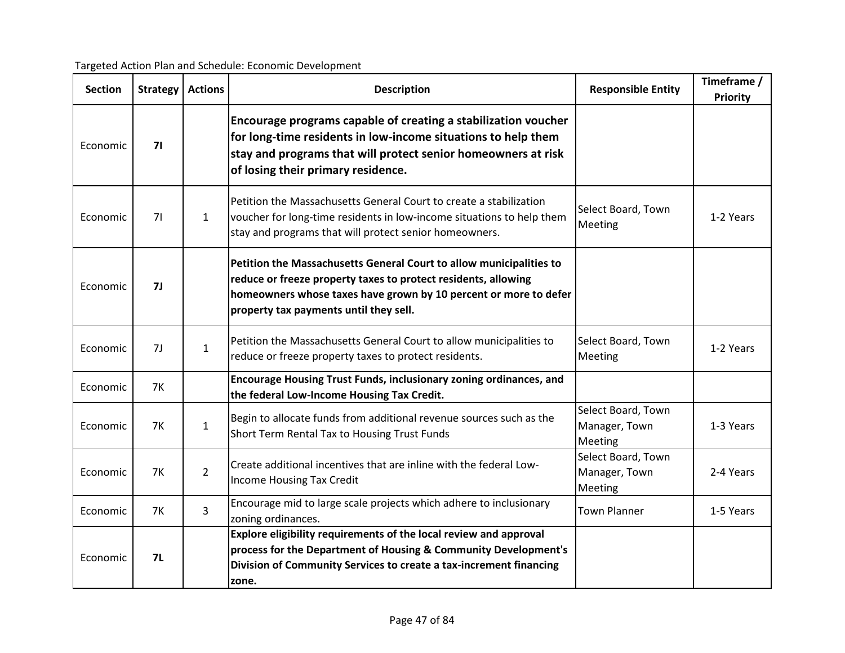| <b>Section</b> | <b>Strategy</b> | <b>Actions</b> | <b>Description</b>                                                                                                                                                                                                                                  | <b>Responsible Entity</b>                      | Timeframe /<br>Priority |
|----------------|-----------------|----------------|-----------------------------------------------------------------------------------------------------------------------------------------------------------------------------------------------------------------------------------------------------|------------------------------------------------|-------------------------|
| Economic       | 71              |                | Encourage programs capable of creating a stabilization voucher<br>for long-time residents in low-income situations to help them<br>stay and programs that will protect senior homeowners at risk<br>of losing their primary residence.              |                                                |                         |
| Economic       | 71              | $\mathbf{1}$   | Petition the Massachusetts General Court to create a stabilization<br>voucher for long-time residents in low-income situations to help them<br>stay and programs that will protect senior homeowners.                                               | Select Board, Town<br>Meeting                  | 1-2 Years               |
| Economic       | 7 <sub>J</sub>  |                | Petition the Massachusetts General Court to allow municipalities to<br>reduce or freeze property taxes to protect residents, allowing<br>homeowners whose taxes have grown by 10 percent or more to defer<br>property tax payments until they sell. |                                                |                         |
| Economic       | 7J              | $\mathbf{1}$   | Petition the Massachusetts General Court to allow municipalities to<br>reduce or freeze property taxes to protect residents.                                                                                                                        | Select Board, Town<br>Meeting                  | 1-2 Years               |
| Economic       | <b>7K</b>       |                | <b>Encourage Housing Trust Funds, inclusionary zoning ordinances, and</b><br>the federal Low-Income Housing Tax Credit.                                                                                                                             |                                                |                         |
| Economic       | <b>7K</b>       | $\mathbf{1}$   | Begin to allocate funds from additional revenue sources such as the<br>Short Term Rental Tax to Housing Trust Funds                                                                                                                                 | Select Board, Town<br>Manager, Town<br>Meeting | 1-3 Years               |
| Economic       | <b>7K</b>       | $\overline{2}$ | Create additional incentives that are inline with the federal Low-<br><b>Income Housing Tax Credit</b>                                                                                                                                              | Select Board, Town<br>Manager, Town<br>Meeting | 2-4 Years               |
| Economic       | <b>7K</b>       | $\overline{3}$ | Encourage mid to large scale projects which adhere to inclusionary<br>zoning ordinances.                                                                                                                                                            | <b>Town Planner</b>                            | 1-5 Years               |
| Economic       | <b>7L</b>       |                | Explore eligibility requirements of the local review and approval<br>process for the Department of Housing & Community Development's<br>Division of Community Services to create a tax-increment financing<br>zone.                                 |                                                |                         |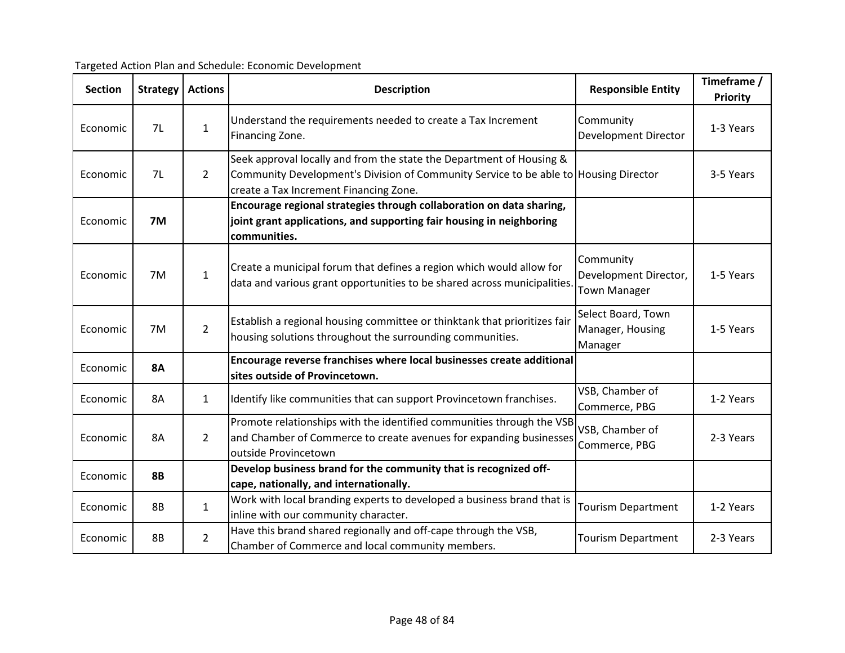Targeted Action Plan and Schedule: Economic Development

| <b>Section</b> | <b>Strategy</b> | <b>Actions</b> | <b>Description</b>                                                                                                                                                                                     | <b>Responsible Entity</b>                                 | Timeframe /<br><b>Priority</b> |
|----------------|-----------------|----------------|--------------------------------------------------------------------------------------------------------------------------------------------------------------------------------------------------------|-----------------------------------------------------------|--------------------------------|
| Economic       | 7L              | $\mathbf{1}$   | Understand the requirements needed to create a Tax Increment<br>Financing Zone.                                                                                                                        | Community<br>Development Director                         | 1-3 Years                      |
| Economic       | 7L              | $\overline{2}$ | Seek approval locally and from the state the Department of Housing &<br>Community Development's Division of Community Service to be able to Housing Director<br>create a Tax Increment Financing Zone. |                                                           | 3-5 Years                      |
| Economic       | 7M              |                | Encourage regional strategies through collaboration on data sharing,<br>joint grant applications, and supporting fair housing in neighboring<br>communities.                                           |                                                           |                                |
| Economic       | 7M              | $\mathbf{1}$   | Create a municipal forum that defines a region which would allow for<br>data and various grant opportunities to be shared across municipalities                                                        | Community<br>Development Director,<br><b>Town Manager</b> | 1-5 Years                      |
| Economic       | 7M              | $\overline{2}$ | Establish a regional housing committee or thinktank that prioritizes fair<br>housing solutions throughout the surrounding communities.                                                                 | Select Board, Town<br>Manager, Housing<br>Manager         | 1-5 Years                      |
| Economic       | <b>8A</b>       |                | Encourage reverse franchises where local businesses create additional<br>sites outside of Provincetown.                                                                                                |                                                           |                                |
| Economic       | 8A              | $\mathbf{1}$   | Identify like communities that can support Provincetown franchises.                                                                                                                                    | VSB, Chamber of<br>Commerce, PBG                          | 1-2 Years                      |
| Economic       | <b>8A</b>       | $\overline{2}$ | Promote relationships with the identified communities through the VSB<br>and Chamber of Commerce to create avenues for expanding businesses<br>outside Provincetown                                    | VSB, Chamber of<br>Commerce, PBG                          | 2-3 Years                      |
| Economic       | <b>8B</b>       |                | Develop business brand for the community that is recognized off-<br>cape, nationally, and internationally.                                                                                             |                                                           |                                |
| Economic       | <b>8B</b>       | $\mathbf{1}$   | Work with local branding experts to developed a business brand that is<br>inline with our community character.                                                                                         | <b>Tourism Department</b>                                 | 1-2 Years                      |
| Economic       | 8B              | $\overline{2}$ | Have this brand shared regionally and off-cape through the VSB,<br>Chamber of Commerce and local community members.                                                                                    | <b>Tourism Department</b>                                 | 2-3 Years                      |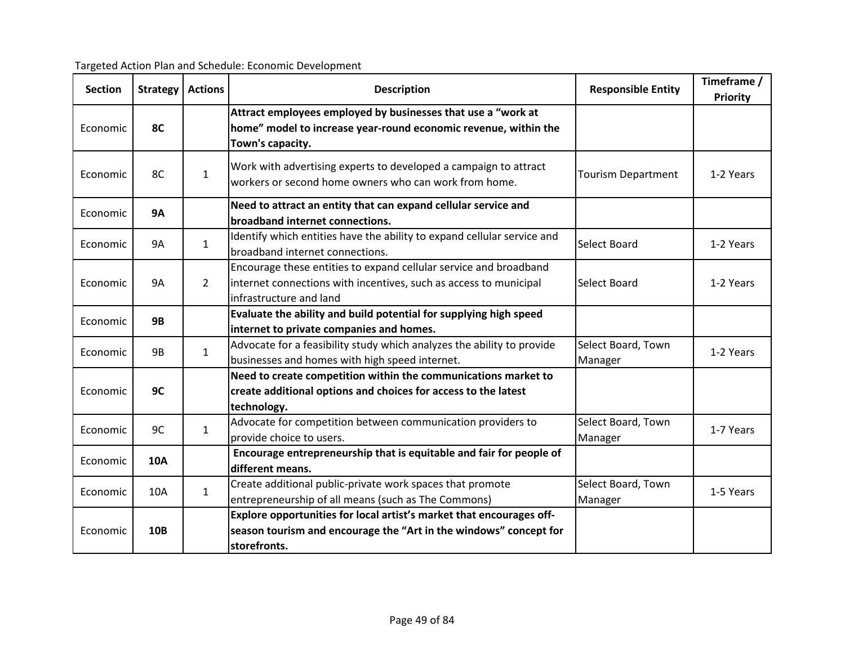| <b>Section</b> | <b>Strategy</b> | <b>Actions</b> | <b>Description</b>                                                                                                                                                | <b>Responsible Entity</b>     | Timeframe /<br>Priority |
|----------------|-----------------|----------------|-------------------------------------------------------------------------------------------------------------------------------------------------------------------|-------------------------------|-------------------------|
| Economic       | <b>8C</b>       |                | Attract employees employed by businesses that use a "work at<br>home" model to increase year-round economic revenue, within the<br>Town's capacity.               |                               |                         |
| Economic       | 8C              | $\mathbf{1}$   | Work with advertising experts to developed a campaign to attract<br>workers or second home owners who can work from home.                                         | <b>Tourism Department</b>     | 1-2 Years               |
| Economic       | <b>9A</b>       |                | Need to attract an entity that can expand cellular service and<br>broadband internet connections.                                                                 |                               |                         |
| Economic       | 9A              | $\mathbf{1}$   | Identify which entities have the ability to expand cellular service and<br>broadband internet connections.                                                        | Select Board                  | 1-2 Years               |
| Economic       | <b>9A</b>       | $\overline{2}$ | Encourage these entities to expand cellular service and broadband<br>internet connections with incentives, such as access to municipal<br>infrastructure and land | Select Board                  | 1-2 Years               |
| Economic       | <b>9B</b>       |                | Evaluate the ability and build potential for supplying high speed<br>internet to private companies and homes.                                                     |                               |                         |
| Economic       | 9B              | $\mathbf{1}$   | Advocate for a feasibility study which analyzes the ability to provide<br>businesses and homes with high speed internet.                                          | Select Board, Town<br>Manager | 1-2 Years               |
| Economic       | 9C              |                | Need to create competition within the communications market to<br>create additional options and choices for access to the latest<br>technology.                   |                               |                         |
| Economic       | 9C              | $\mathbf{1}$   | Advocate for competition between communication providers to<br>provide choice to users.                                                                           | Select Board, Town<br>Manager | 1-7 Years               |
| Economic       | <b>10A</b>      |                | Encourage entrepreneurship that is equitable and fair for people of<br>different means.                                                                           |                               |                         |
| Economic       | <b>10A</b>      | $\mathbf{1}$   | Create additional public-private work spaces that promote<br>entrepreneurship of all means (such as The Commons)                                                  | Select Board, Town<br>Manager | 1-5 Years               |
| Economic       | <b>10B</b>      |                | Explore opportunities for local artist's market that encourages off-<br>season tourism and encourage the "Art in the windows" concept for<br>storefronts.         |                               |                         |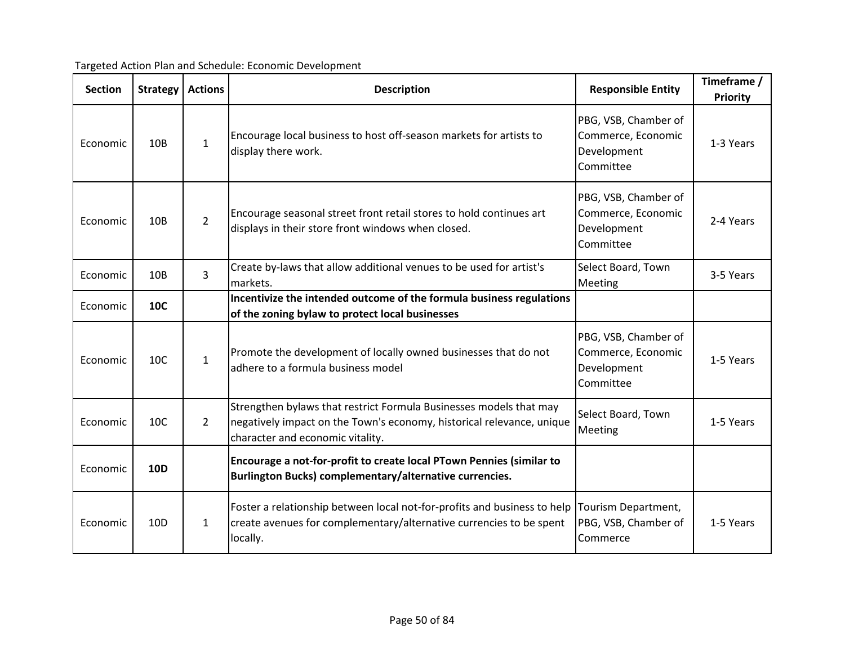Targeted Action Plan and Schedule: Economic Development

| <b>Section</b> | <b>Strategy</b> | <b>Actions</b> | <b>Description</b>                                                                                                                                                              | <b>Responsible Entity</b>                                              | Timeframe /<br><b>Priority</b> |
|----------------|-----------------|----------------|---------------------------------------------------------------------------------------------------------------------------------------------------------------------------------|------------------------------------------------------------------------|--------------------------------|
| Economic       | 10B             | $\mathbf{1}$   | Encourage local business to host off-season markets for artists to<br>display there work.                                                                                       | PBG, VSB, Chamber of<br>Commerce, Economic<br>Development<br>Committee | 1-3 Years                      |
| Economic       | 10B             | $\overline{2}$ | Encourage seasonal street front retail stores to hold continues art<br>displays in their store front windows when closed.                                                       | PBG, VSB, Chamber of<br>Commerce, Economic<br>Development<br>Committee | 2-4 Years                      |
| Economic       | 10B             | $\overline{3}$ | Create by-laws that allow additional venues to be used for artist's<br>markets.                                                                                                 | Select Board, Town<br>Meeting                                          | 3-5 Years                      |
| Economic       | <b>10C</b>      |                | Incentivize the intended outcome of the formula business regulations<br>of the zoning bylaw to protect local businesses                                                         |                                                                        |                                |
| Economic       | 10C             | $\mathbf{1}$   | Promote the development of locally owned businesses that do not<br>adhere to a formula business model                                                                           | PBG, VSB, Chamber of<br>Commerce, Economic<br>Development<br>Committee | 1-5 Years                      |
| Economic       | 10C             | $\overline{2}$ | Strengthen bylaws that restrict Formula Businesses models that may<br>negatively impact on the Town's economy, historical relevance, unique<br>character and economic vitality. | Select Board, Town<br>Meeting                                          | 1-5 Years                      |
| Economic       | <b>10D</b>      |                | Encourage a not-for-profit to create local PTown Pennies (similar to<br>Burlington Bucks) complementary/alternative currencies.                                                 |                                                                        |                                |
| Economic       | 10 <sub>D</sub> | $\mathbf{1}$   | Foster a relationship between local not-for-profits and business to help<br>create avenues for complementary/alternative currencies to be spent<br>locally.                     | Tourism Department,<br>PBG, VSB, Chamber of<br>Commerce                | 1-5 Years                      |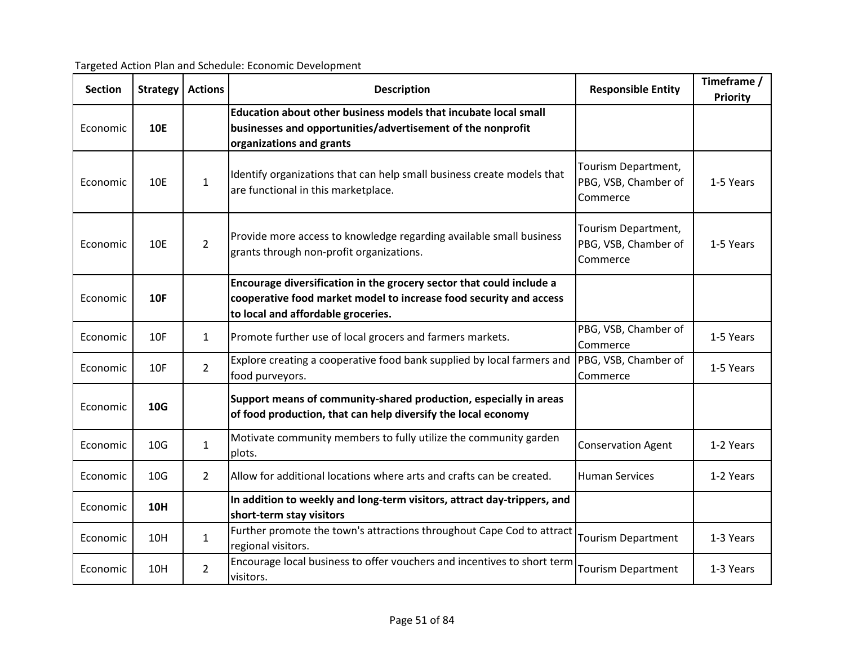| <b>Section</b> | Strategy        | <b>Actions</b> | <b>Description</b>                                                                                                                                                               | <b>Responsible Entity</b>                               | Timeframe /<br>Priority |
|----------------|-----------------|----------------|----------------------------------------------------------------------------------------------------------------------------------------------------------------------------------|---------------------------------------------------------|-------------------------|
| Economic       | <b>10E</b>      |                | Education about other business models that incubate local small<br>businesses and opportunities/advertisement of the nonprofit<br>organizations and grants                       |                                                         |                         |
| Economic       | 10E             | $\mathbf{1}$   | Identify organizations that can help small business create models that<br>are functional in this marketplace.                                                                    | Tourism Department,<br>PBG, VSB, Chamber of<br>Commerce | 1-5 Years               |
| Economic       | <b>10E</b>      | $\overline{2}$ | Provide more access to knowledge regarding available small business<br>grants through non-profit organizations.                                                                  | Tourism Department,<br>PBG, VSB, Chamber of<br>Commerce | 1-5 Years               |
| Economic       | <b>10F</b>      |                | Encourage diversification in the grocery sector that could include a<br>cooperative food market model to increase food security and access<br>to local and affordable groceries. |                                                         |                         |
| Economic       | 10F             | $\mathbf{1}$   | Promote further use of local grocers and farmers markets.                                                                                                                        | PBG, VSB, Chamber of<br>Commerce                        | 1-5 Years               |
| Economic       | 10F             | $\overline{2}$ | Explore creating a cooperative food bank supplied by local farmers and<br>food purveyors.                                                                                        | PBG, VSB, Chamber of<br>Commerce                        | 1-5 Years               |
| Economic       | 10G             |                | Support means of community-shared production, especially in areas<br>of food production, that can help diversify the local economy                                               |                                                         |                         |
| Economic       | 10 <sub>G</sub> | $\mathbf{1}$   | Motivate community members to fully utilize the community garden<br>plots.                                                                                                       | <b>Conservation Agent</b>                               | 1-2 Years               |
| Economic       | 10 <sub>G</sub> | $\overline{2}$ | Allow for additional locations where arts and crafts can be created.                                                                                                             | <b>Human Services</b>                                   | 1-2 Years               |
| Economic       | <b>10H</b>      |                | In addition to weekly and long-term visitors, attract day-trippers, and<br>short-term stay visitors                                                                              |                                                         |                         |
| Economic       | <b>10H</b>      | 1              | Further promote the town's attractions throughout Cape Cod to attract<br>regional visitors.                                                                                      | <b>Tourism Department</b>                               | 1-3 Years               |
| Economic       | 10H             | $\overline{2}$ | Encourage local business to offer vouchers and incentives to short term<br>visitors.                                                                                             | <b>Tourism Department</b>                               | 1-3 Years               |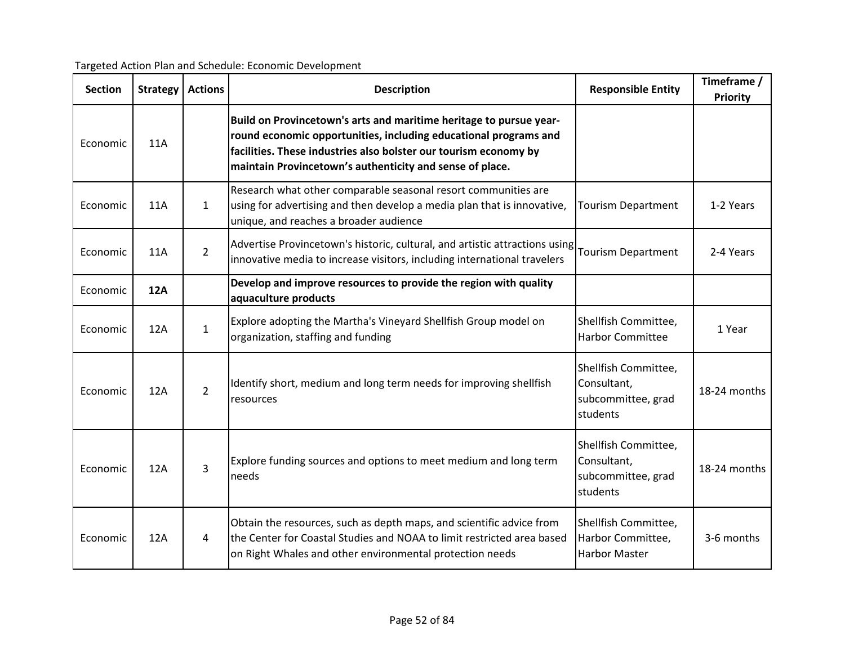| <b>Section</b> | <b>Strategy</b> | <b>Actions</b> | <b>Description</b>                                                                                                                                                                                                                                                     | <b>Responsible Entity</b>                                             | Timeframe /<br>Priority |
|----------------|-----------------|----------------|------------------------------------------------------------------------------------------------------------------------------------------------------------------------------------------------------------------------------------------------------------------------|-----------------------------------------------------------------------|-------------------------|
| Economic       | <b>11A</b>      |                | Build on Provincetown's arts and maritime heritage to pursue year-<br>round economic opportunities, including educational programs and<br>facilities. These industries also bolster our tourism economy by<br>maintain Provincetown's authenticity and sense of place. |                                                                       |                         |
| Economic       | <b>11A</b>      | $\mathbf{1}$   | Research what other comparable seasonal resort communities are<br>using for advertising and then develop a media plan that is innovative,<br>unique, and reaches a broader audience                                                                                    | <b>Tourism Department</b>                                             | 1-2 Years               |
| Economic       | <b>11A</b>      | $\overline{2}$ | Advertise Provincetown's historic, cultural, and artistic attractions using<br>innovative media to increase visitors, including international travelers                                                                                                                | <b>Tourism Department</b>                                             | 2-4 Years               |
| Economic       | <b>12A</b>      |                | Develop and improve resources to provide the region with quality<br>aquaculture products                                                                                                                                                                               |                                                                       |                         |
| Economic       | 12A             | $\mathbf{1}$   | Explore adopting the Martha's Vineyard Shellfish Group model on<br>organization, staffing and funding                                                                                                                                                                  | Shellfish Committee,<br><b>Harbor Committee</b>                       | 1 Year                  |
| Economic       | 12A             | $\overline{2}$ | Identify short, medium and long term needs for improving shellfish<br>resources                                                                                                                                                                                        | Shellfish Committee,<br>Consultant,<br>subcommittee, grad<br>students | 18-24 months            |
| Economic       | 12A             | 3              | Explore funding sources and options to meet medium and long term<br>needs                                                                                                                                                                                              | Shellfish Committee,<br>Consultant,<br>subcommittee, grad<br>students | 18-24 months            |
| Economic       | 12A             | 4              | Obtain the resources, such as depth maps, and scientific advice from<br>the Center for Coastal Studies and NOAA to limit restricted area based<br>on Right Whales and other environmental protection needs                                                             | Shellfish Committee,<br>Harbor Committee,<br><b>Harbor Master</b>     | 3-6 months              |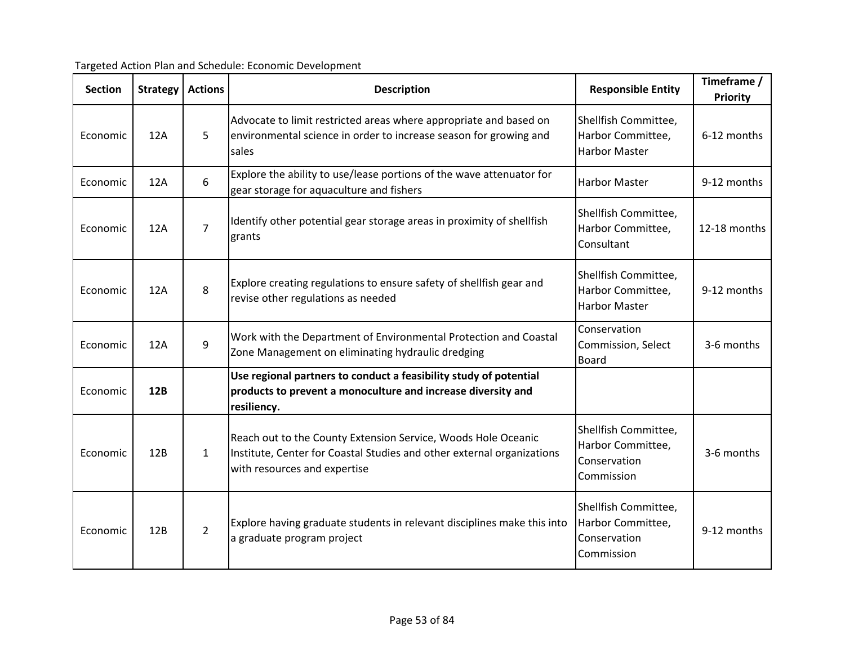|  | Targeted Action Plan and Schedule: Economic Development |
|--|---------------------------------------------------------|
|  |                                                         |

| <b>Section</b> | <b>Strategy</b> | <b>Actions</b> | <b>Description</b>                                                                                                                                                      | <b>Responsible Entity</b>                                               | Timeframe /<br>Priority |
|----------------|-----------------|----------------|-------------------------------------------------------------------------------------------------------------------------------------------------------------------------|-------------------------------------------------------------------------|-------------------------|
| Economic       | 12A             | 5              | Advocate to limit restricted areas where appropriate and based on<br>environmental science in order to increase season for growing and<br>sales                         | Shellfish Committee,<br>Harbor Committee,<br><b>Harbor Master</b>       | 6-12 months             |
| Economic       | 12A             | 6              | Explore the ability to use/lease portions of the wave attenuator for<br>gear storage for aquaculture and fishers                                                        | <b>Harbor Master</b>                                                    | 9-12 months             |
| Economic       | 12A             | $\overline{7}$ | Identify other potential gear storage areas in proximity of shellfish<br>grants                                                                                         | Shellfish Committee,<br>Harbor Committee,<br>Consultant                 | 12-18 months            |
| Economic       | 12A             | 8              | Explore creating regulations to ensure safety of shellfish gear and<br>revise other regulations as needed                                                               | Shellfish Committee,<br>Harbor Committee,<br><b>Harbor Master</b>       | 9-12 months             |
| Economic       | 12A             | 9              | Work with the Department of Environmental Protection and Coastal<br>Zone Management on eliminating hydraulic dredging                                                   | Conservation<br>Commission, Select<br><b>Board</b>                      | 3-6 months              |
| Economic       | 12B             |                | Use regional partners to conduct a feasibility study of potential<br>products to prevent a monoculture and increase diversity and<br>resiliency.                        |                                                                         |                         |
| Economic       | 12B             | $\mathbf{1}$   | Reach out to the County Extension Service, Woods Hole Oceanic<br>Institute, Center for Coastal Studies and other external organizations<br>with resources and expertise | Shellfish Committee,<br>Harbor Committee,<br>Conservation<br>Commission | 3-6 months              |
| Economic       | 12B             | $\overline{2}$ | Explore having graduate students in relevant disciplines make this into<br>a graduate program project                                                                   | Shellfish Committee,<br>Harbor Committee,<br>Conservation<br>Commission | 9-12 months             |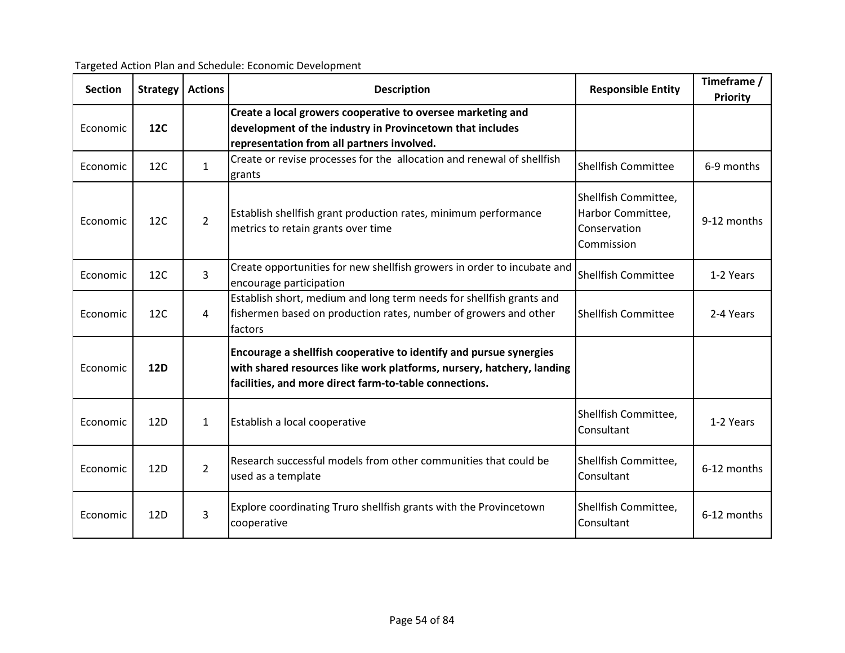| <b>Section</b> | <b>Strategy</b> | <b>Actions</b> | <b>Description</b>                                                                                                                                                                                    | <b>Responsible Entity</b>                                               | Timeframe /<br>Priority |
|----------------|-----------------|----------------|-------------------------------------------------------------------------------------------------------------------------------------------------------------------------------------------------------|-------------------------------------------------------------------------|-------------------------|
| Economic       | 12C             |                | Create a local growers cooperative to oversee marketing and<br>development of the industry in Provincetown that includes<br>representation from all partners involved.                                |                                                                         |                         |
| Economic       | 12C             | $\mathbf{1}$   | Create or revise processes for the allocation and renewal of shellfish<br>grants                                                                                                                      | Shellfish Committee                                                     | 6-9 months              |
| Economic       | 12C             | $\overline{2}$ | Establish shellfish grant production rates, minimum performance<br>metrics to retain grants over time                                                                                                 | Shellfish Committee,<br>Harbor Committee,<br>Conservation<br>Commission | 9-12 months             |
| Economic       | 12C             | 3              | Create opportunities for new shellfish growers in order to incubate and<br>encourage participation                                                                                                    | Shellfish Committee                                                     | 1-2 Years               |
| Economic       | 12C             | 4              | Establish short, medium and long term needs for shellfish grants and<br>fishermen based on production rates, number of growers and other<br>factors                                                   | <b>Shellfish Committee</b>                                              | 2-4 Years               |
| Economic       | <b>12D</b>      |                | Encourage a shellfish cooperative to identify and pursue synergies<br>with shared resources like work platforms, nursery, hatchery, landing<br>facilities, and more direct farm-to-table connections. |                                                                         |                         |
| Economic       | 12D             | $\mathbf{1}$   | Establish a local cooperative                                                                                                                                                                         | Shellfish Committee,<br>Consultant                                      | 1-2 Years               |
| Economic       | 12D             | $\overline{2}$ | Research successful models from other communities that could be<br>used as a template                                                                                                                 | Shellfish Committee,<br>Consultant                                      | 6-12 months             |
| Economic       | 12D             | $\overline{3}$ | Explore coordinating Truro shellfish grants with the Provincetown<br>cooperative                                                                                                                      | Shellfish Committee,<br>Consultant                                      | 6-12 months             |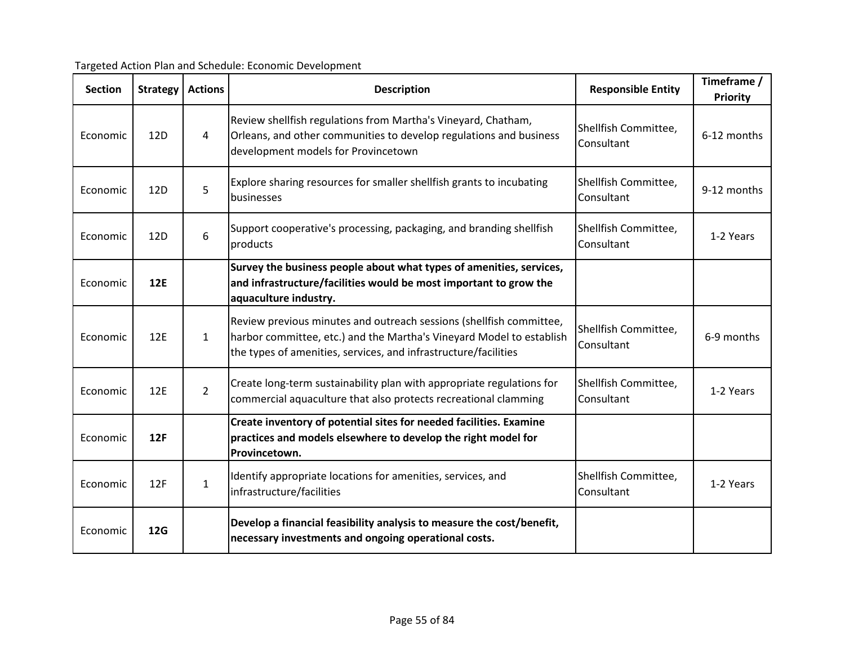| <b>Section</b> | <b>Strategy</b> | <b>Actions</b> | <b>Description</b>                                                                                                                                                                                             | <b>Responsible Entity</b>          | Timeframe /<br>Priority |
|----------------|-----------------|----------------|----------------------------------------------------------------------------------------------------------------------------------------------------------------------------------------------------------------|------------------------------------|-------------------------|
| Economic       | 12D             | $\overline{4}$ | Review shellfish regulations from Martha's Vineyard, Chatham,<br>Orleans, and other communities to develop regulations and business<br>development models for Provincetown                                     | Shellfish Committee,<br>Consultant | 6-12 months             |
| Economic       | 12D             | 5              | Explore sharing resources for smaller shellfish grants to incubating<br>businesses                                                                                                                             | Shellfish Committee,<br>Consultant | 9-12 months             |
| Economic       | 12D             | 6              | Support cooperative's processing, packaging, and branding shellfish<br>products                                                                                                                                | Shellfish Committee,<br>Consultant | 1-2 Years               |
| Economic       | <b>12E</b>      |                | Survey the business people about what types of amenities, services,<br>and infrastructure/facilities would be most important to grow the<br>aquaculture industry.                                              |                                    |                         |
| Economic       | 12E             | $\mathbf{1}$   | Review previous minutes and outreach sessions (shellfish committee,<br>harbor committee, etc.) and the Martha's Vineyard Model to establish<br>the types of amenities, services, and infrastructure/facilities | Shellfish Committee,<br>Consultant | 6-9 months              |
| Economic       | 12E             | $\overline{2}$ | Create long-term sustainability plan with appropriate regulations for<br>commercial aquaculture that also protects recreational clamming                                                                       | Shellfish Committee,<br>Consultant | 1-2 Years               |
| Economic       | 12F             |                | Create inventory of potential sites for needed facilities. Examine<br>practices and models elsewhere to develop the right model for<br>Provincetown.                                                           |                                    |                         |
| Economic       | 12F             | $\mathbf{1}$   | Identify appropriate locations for amenities, services, and<br>infrastructure/facilities                                                                                                                       | Shellfish Committee,<br>Consultant | 1-2 Years               |
| Economic       | <b>12G</b>      |                | Develop a financial feasibility analysis to measure the cost/benefit,<br>necessary investments and ongoing operational costs.                                                                                  |                                    |                         |

Targeted Action Plan and Schedule: Economic Development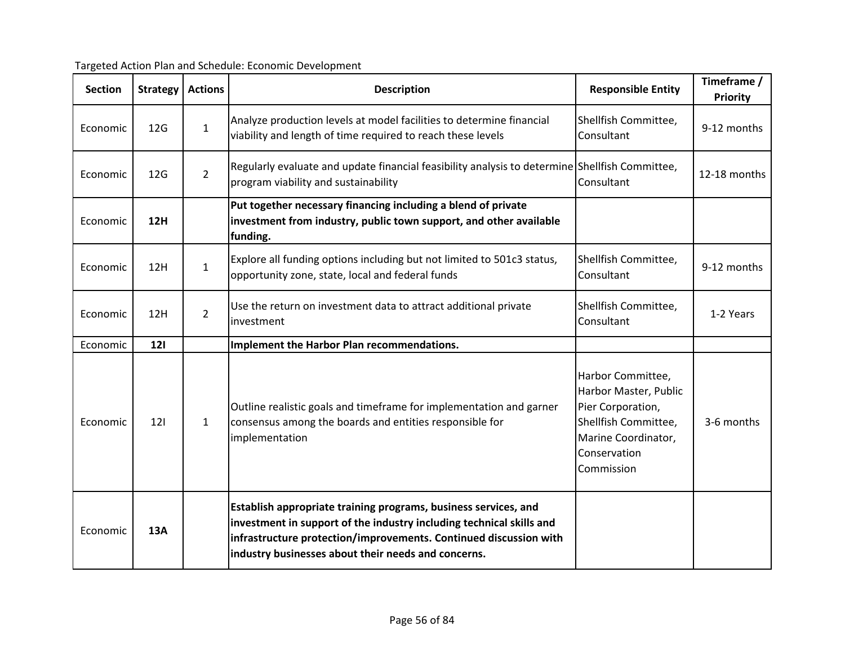| Targeted Action Plan and Schedule: Economic Development |  |
|---------------------------------------------------------|--|
|                                                         |  |

| <b>Section</b> | <b>Strategy</b> | <b>Actions</b> | <b>Description</b>                                                                                                                                                                                                                                                  | <b>Responsible Entity</b>                                                                                                                    | Timeframe /<br><b>Priority</b> |
|----------------|-----------------|----------------|---------------------------------------------------------------------------------------------------------------------------------------------------------------------------------------------------------------------------------------------------------------------|----------------------------------------------------------------------------------------------------------------------------------------------|--------------------------------|
| Economic       | 12G             | $\mathbf{1}$   | Analyze production levels at model facilities to determine financial<br>viability and length of time required to reach these levels                                                                                                                                 | Shellfish Committee,<br>Consultant                                                                                                           | 9-12 months                    |
| Economic       | 12 <sub>G</sub> | $\overline{2}$ | Regularly evaluate and update financial feasibility analysis to determine Shellfish Committee,<br>program viability and sustainability                                                                                                                              | Consultant                                                                                                                                   | 12-18 months                   |
| Economic       | <b>12H</b>      |                | Put together necessary financing including a blend of private<br>investment from industry, public town support, and other available<br>funding.                                                                                                                     |                                                                                                                                              |                                |
| Economic       | 12H             | $\mathbf{1}$   | Explore all funding options including but not limited to 501c3 status,<br>opportunity zone, state, local and federal funds                                                                                                                                          | Shellfish Committee,<br>Consultant                                                                                                           | 9-12 months                    |
| Economic       | 12H             | $\overline{2}$ | Use the return on investment data to attract additional private<br>investment                                                                                                                                                                                       | Shellfish Committee,<br>Consultant                                                                                                           | 1-2 Years                      |
| Economic       | <b>121</b>      |                | Implement the Harbor Plan recommendations.                                                                                                                                                                                                                          |                                                                                                                                              |                                |
| Economic       | 121             | $\mathbf{1}$   | Outline realistic goals and timeframe for implementation and garner<br>consensus among the boards and entities responsible for<br>implementation                                                                                                                    | Harbor Committee,<br>Harbor Master, Public<br>Pier Corporation,<br>Shellfish Committee,<br>Marine Coordinator,<br>Conservation<br>Commission | 3-6 months                     |
| Economic       | 13A             |                | Establish appropriate training programs, business services, and<br>investment in support of the industry including technical skills and<br>infrastructure protection/improvements. Continued discussion with<br>industry businesses about their needs and concerns. |                                                                                                                                              |                                |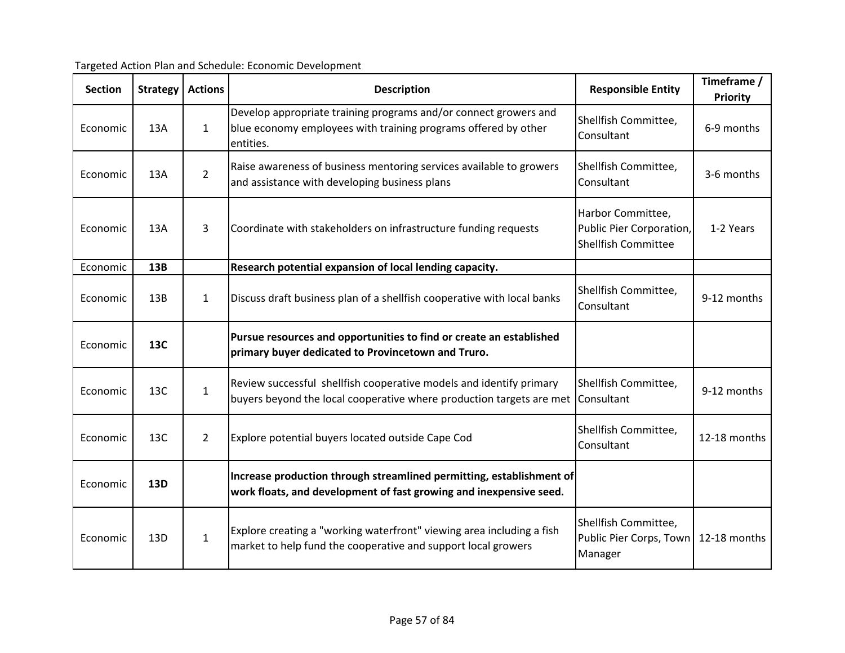| <b>Section</b> | Strategy | <b>Actions</b> | <b>Description</b>                                                                                                                              | <b>Responsible Entity</b>                                            | Timeframe /<br><b>Priority</b> |
|----------------|----------|----------------|-------------------------------------------------------------------------------------------------------------------------------------------------|----------------------------------------------------------------------|--------------------------------|
| Economic       | 13A      | $\mathbf{1}$   | Develop appropriate training programs and/or connect growers and<br>blue economy employees with training programs offered by other<br>entities. | Shellfish Committee,<br>Consultant                                   | 6-9 months                     |
| Economic       | 13A      | $\overline{2}$ | Raise awareness of business mentoring services available to growers<br>and assistance with developing business plans                            | Shellfish Committee,<br>Consultant                                   | 3-6 months                     |
| Economic       | 13A      | 3              | Coordinate with stakeholders on infrastructure funding requests                                                                                 | Harbor Committee,<br>Public Pier Corporation,<br>Shellfish Committee | 1-2 Years                      |
| Economic       | 13B      |                | Research potential expansion of local lending capacity.                                                                                         |                                                                      |                                |
| Economic       | 13B      | $\mathbf{1}$   | Discuss draft business plan of a shellfish cooperative with local banks                                                                         | Shellfish Committee,<br>Consultant                                   | 9-12 months                    |
| Economic       | 13C      |                | Pursue resources and opportunities to find or create an established<br>primary buyer dedicated to Provincetown and Truro.                       |                                                                      |                                |
| Economic       | 13C      | $\mathbf{1}$   | Review successful shellfish cooperative models and identify primary<br>buyers beyond the local cooperative where production targets are met     | Shellfish Committee,<br>Consultant                                   | 9-12 months                    |
| Economic       | 13C      | $\overline{2}$ | Explore potential buyers located outside Cape Cod                                                                                               | Shellfish Committee,<br>Consultant                                   | 12-18 months                   |
| Economic       | 13D      |                | Increase production through streamlined permitting, establishment of<br>work floats, and development of fast growing and inexpensive seed.      |                                                                      |                                |
| Economic       | 13D      | $\mathbf{1}$   | Explore creating a "working waterfront" viewing area including a fish<br>market to help fund the cooperative and support local growers          | Shellfish Committee,<br>Public Pier Corps, Town<br>Manager           | 12-18 months                   |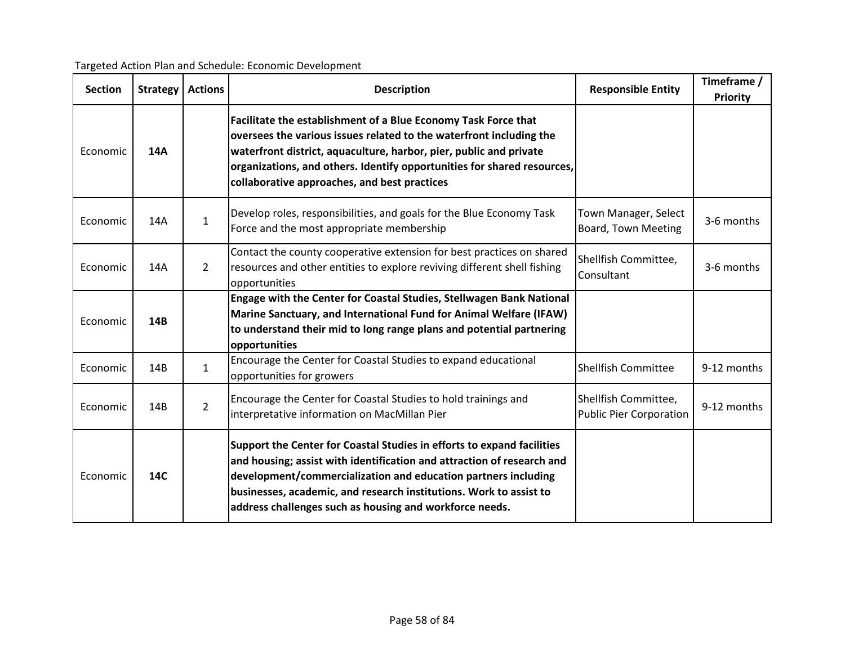| <b>Section</b> | Strategy | <b>Actions</b> | <b>Description</b>                                                                                                                                                                                                                                                                                                                                  | <b>Responsible Entity</b>                              | Timeframe /<br><b>Priority</b> |
|----------------|----------|----------------|-----------------------------------------------------------------------------------------------------------------------------------------------------------------------------------------------------------------------------------------------------------------------------------------------------------------------------------------------------|--------------------------------------------------------|--------------------------------|
| Economic       | 14A      |                | Facilitate the establishment of a Blue Economy Task Force that<br>oversees the various issues related to the waterfront including the<br>waterfront district, aquaculture, harbor, pier, public and private<br>organizations, and others. Identify opportunities for shared resources,<br>collaborative approaches, and best practices              |                                                        |                                |
| Economic       | 14A      | $\mathbf{1}$   | Develop roles, responsibilities, and goals for the Blue Economy Task<br>Force and the most appropriate membership                                                                                                                                                                                                                                   | Town Manager, Select<br>Board, Town Meeting            | 3-6 months                     |
| Economic       | 14A      | $\overline{2}$ | Contact the county cooperative extension for best practices on shared<br>resources and other entities to explore reviving different shell fishing<br>opportunities                                                                                                                                                                                  | Shellfish Committee,<br>Consultant                     | 3-6 months                     |
| Economic       | 14B      |                | Engage with the Center for Coastal Studies, Stellwagen Bank National<br>Marine Sanctuary, and International Fund for Animal Welfare (IFAW)<br>to understand their mid to long range plans and potential partnering<br>opportunities                                                                                                                 |                                                        |                                |
| Economic       | 14B      | $\mathbf{1}$   | Encourage the Center for Coastal Studies to expand educational<br>opportunities for growers                                                                                                                                                                                                                                                         | <b>Shellfish Committee</b>                             | 9-12 months                    |
| Economic       | 14B      | $\overline{2}$ | Encourage the Center for Coastal Studies to hold trainings and<br>interpretative information on MacMillan Pier                                                                                                                                                                                                                                      | Shellfish Committee,<br><b>Public Pier Corporation</b> | 9-12 months                    |
| Economic       | 14C      |                | Support the Center for Coastal Studies in efforts to expand facilities<br>and housing; assist with identification and attraction of research and<br>development/commercialization and education partners including<br>businesses, academic, and research institutions. Work to assist to<br>address challenges such as housing and workforce needs. |                                                        |                                |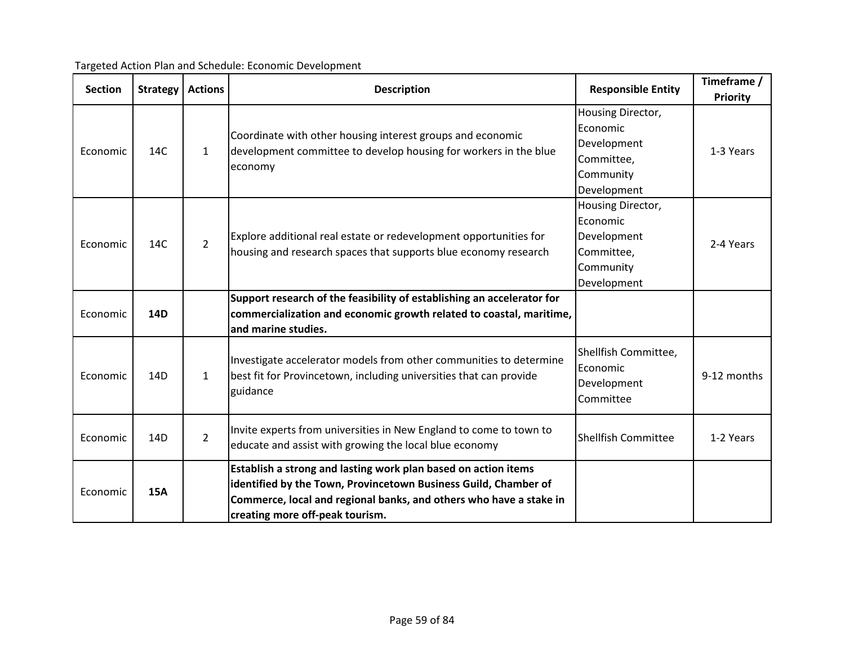| <b>Section</b> | Strategy        | <b>Actions</b> | <b>Description</b>                                                                                                                                                                                                                         | <b>Responsible Entity</b>                                                              | Timeframe /<br><b>Priority</b> |
|----------------|-----------------|----------------|--------------------------------------------------------------------------------------------------------------------------------------------------------------------------------------------------------------------------------------------|----------------------------------------------------------------------------------------|--------------------------------|
| Economic       | 14C             | $\mathbf{1}$   | Coordinate with other housing interest groups and economic<br>development committee to develop housing for workers in the blue<br>economy                                                                                                  | Housing Director,<br>Economic<br>Development<br>Committee,<br>Community<br>Development | 1-3 Years                      |
| Economic       | 14C             | $\overline{2}$ | Explore additional real estate or redevelopment opportunities for<br>housing and research spaces that supports blue economy research                                                                                                       | Housing Director,<br>Economic<br>Development<br>Committee,<br>Community<br>Development | 2-4 Years                      |
| Economic       | 14D             |                | Support research of the feasibility of establishing an accelerator for<br>commercialization and economic growth related to coastal, maritime,<br>and marine studies.                                                                       |                                                                                        |                                |
| Economic       | 14D             | $\mathbf{1}$   | Investigate accelerator models from other communities to determine<br>best fit for Provincetown, including universities that can provide<br>guidance                                                                                       | Shellfish Committee,<br>Economic<br>Development<br>Committee                           | 9-12 months                    |
| Economic       | 14 <sub>D</sub> | $\overline{2}$ | Invite experts from universities in New England to come to town to<br>educate and assist with growing the local blue economy                                                                                                               | <b>Shellfish Committee</b>                                                             | 1-2 Years                      |
| Economic       | <b>15A</b>      |                | Establish a strong and lasting work plan based on action items<br>identified by the Town, Provincetown Business Guild, Chamber of<br>Commerce, local and regional banks, and others who have a stake in<br>creating more off-peak tourism. |                                                                                        |                                |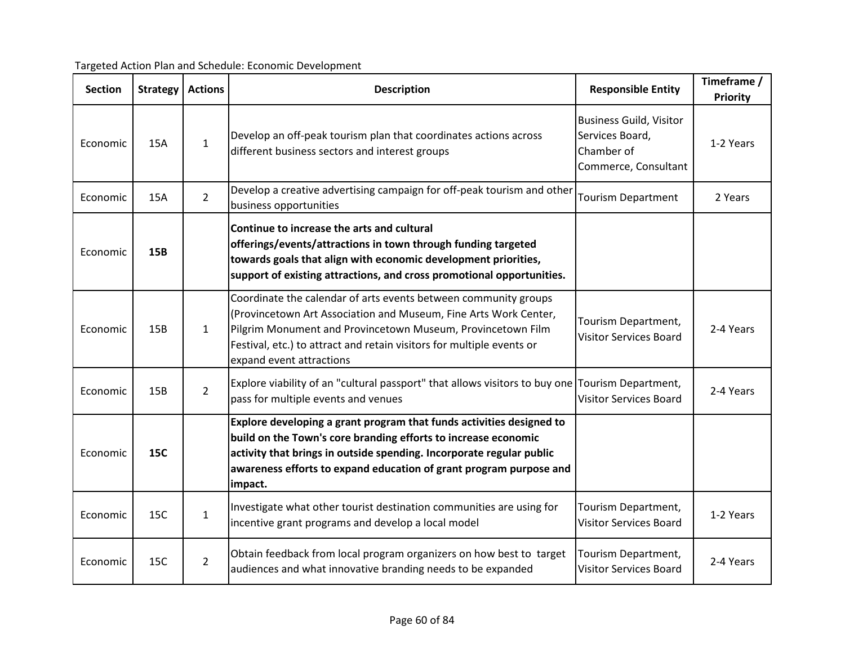| <b>Section</b> | <b>Strategy</b> | <b>Actions</b> | <b>Description</b><br><b>Responsible Entity</b>                                                                                                                                                                                                                                                         |                                                                                         | Timeframe /<br>Priority |
|----------------|-----------------|----------------|---------------------------------------------------------------------------------------------------------------------------------------------------------------------------------------------------------------------------------------------------------------------------------------------------------|-----------------------------------------------------------------------------------------|-------------------------|
| Economic       | <b>15A</b>      | $\mathbf{1}$   | Develop an off-peak tourism plan that coordinates actions across<br>different business sectors and interest groups                                                                                                                                                                                      | <b>Business Guild, Visitor</b><br>Services Board,<br>Chamber of<br>Commerce, Consultant | 1-2 Years               |
| Economic       | 15A             | $\overline{2}$ | Develop a creative advertising campaign for off-peak tourism and other<br>business opportunities                                                                                                                                                                                                        | <b>Tourism Department</b>                                                               | 2 Years                 |
| Economic       | <b>15B</b>      |                | Continue to increase the arts and cultural<br>offerings/events/attractions in town through funding targeted<br>towards goals that align with economic development priorities,<br>support of existing attractions, and cross promotional opportunities.                                                  |                                                                                         |                         |
| Economic       | 15B             | $\mathbf{1}$   | Coordinate the calendar of arts events between community groups<br>(Provincetown Art Association and Museum, Fine Arts Work Center,<br>Pilgrim Monument and Provincetown Museum, Provincetown Film<br>Festival, etc.) to attract and retain visitors for multiple events or<br>expand event attractions | Tourism Department,<br><b>Visitor Services Board</b>                                    | 2-4 Years               |
| Economic       | 15B             | $\overline{2}$ | Explore viability of an "cultural passport" that allows visitors to buy one Tourism Department,<br>pass for multiple events and venues                                                                                                                                                                  | <b>Visitor Services Board</b>                                                           | 2-4 Years               |
| Economic       | <b>15C</b>      |                | Explore developing a grant program that funds activities designed to<br>build on the Town's core branding efforts to increase economic<br>activity that brings in outside spending. Incorporate regular public<br>awareness efforts to expand education of grant program purpose and<br>impact.         |                                                                                         |                         |
| Economic       | 15C             | $\mathbf{1}$   | Investigate what other tourist destination communities are using for<br>incentive grant programs and develop a local model                                                                                                                                                                              | Tourism Department,<br><b>Visitor Services Board</b>                                    | 1-2 Years               |
| Economic       | 15C             | $\overline{2}$ | Obtain feedback from local program organizers on how best to target<br>audiences and what innovative branding needs to be expanded                                                                                                                                                                      | Tourism Department,<br><b>Visitor Services Board</b>                                    | 2-4 Years               |

Targeted Action Plan and Schedule: Economic Development

audiences and what innovative branding needs to be expanded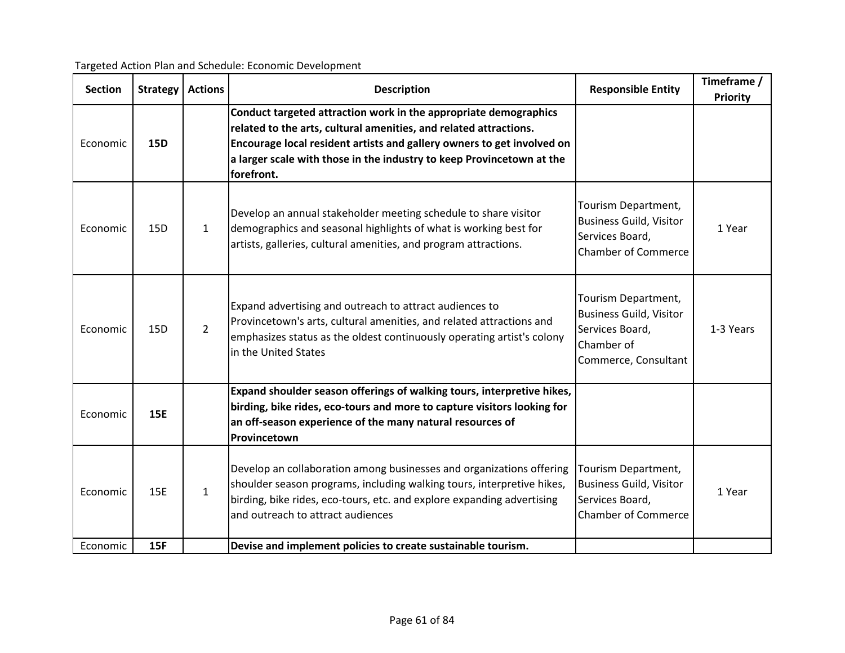| <b>Section</b> | <b>Strategy</b> | <b>Actions</b> | <b>Description</b>                                                                                                                                                                                                                                                                                     | <b>Responsible Entity</b>                                                                                      | Timeframe /<br><b>Priority</b> |
|----------------|-----------------|----------------|--------------------------------------------------------------------------------------------------------------------------------------------------------------------------------------------------------------------------------------------------------------------------------------------------------|----------------------------------------------------------------------------------------------------------------|--------------------------------|
| Economic       | <b>15D</b>      |                | Conduct targeted attraction work in the appropriate demographics<br>related to the arts, cultural amenities, and related attractions.<br>Encourage local resident artists and gallery owners to get involved on<br>a larger scale with those in the industry to keep Provincetown at the<br>forefront. |                                                                                                                |                                |
| Economic       | 15D             | $\mathbf{1}$   | Develop an annual stakeholder meeting schedule to share visitor<br>demographics and seasonal highlights of what is working best for<br>artists, galleries, cultural amenities, and program attractions.                                                                                                | Tourism Department,<br><b>Business Guild, Visitor</b><br>Services Board,<br><b>Chamber of Commerce</b>         | 1 Year                         |
| Economic       | 15 <sub>D</sub> | $2^{\circ}$    | Expand advertising and outreach to attract audiences to<br>Provincetown's arts, cultural amenities, and related attractions and<br>emphasizes status as the oldest continuously operating artist's colony<br>in the United States                                                                      | Tourism Department,<br><b>Business Guild, Visitor</b><br>Services Board,<br>Chamber of<br>Commerce, Consultant | 1-3 Years                      |
| Economic       | <b>15E</b>      |                | Expand shoulder season offerings of walking tours, interpretive hikes,<br>birding, bike rides, eco-tours and more to capture visitors looking for<br>an off-season experience of the many natural resources of<br>Provincetown                                                                         |                                                                                                                |                                |
| Economic       | 15E             | $\mathbf{1}$   | Develop an collaboration among businesses and organizations offering<br>shoulder season programs, including walking tours, interpretive hikes,<br>birding, bike rides, eco-tours, etc. and explore expanding advertising<br>and outreach to attract audiences                                          | Tourism Department,<br><b>Business Guild, Visitor</b><br>Services Board,<br><b>Chamber of Commerce</b>         | 1 Year                         |
| Economic       | <b>15F</b>      |                | Devise and implement policies to create sustainable tourism.                                                                                                                                                                                                                                           |                                                                                                                |                                |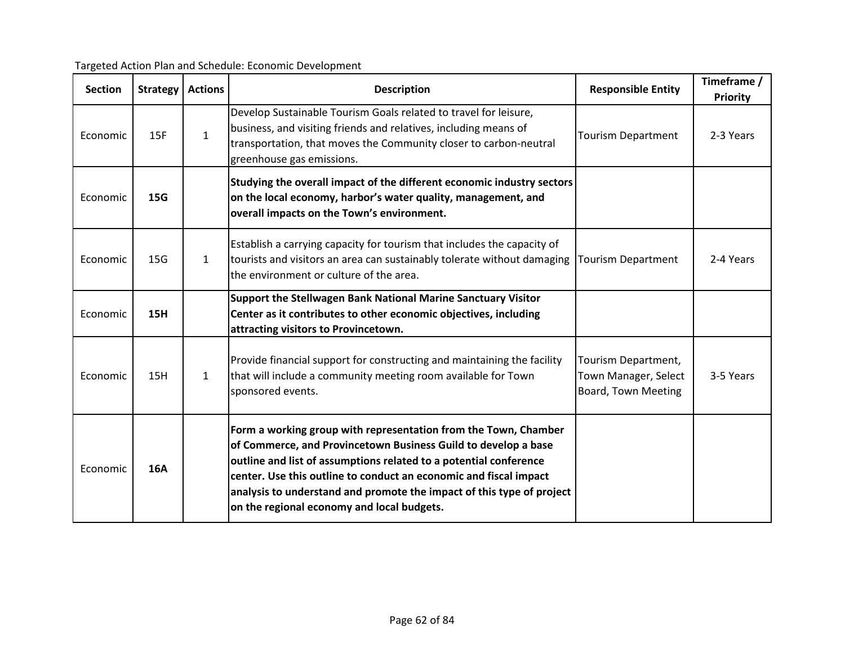| <b>Section</b> | <b>Strategy</b> | <b>Actions</b> | <b>Description</b>                                                                                                                                                                                                                                                                                                                                                                                 | <b>Responsible Entity</b>                                          | Timeframe /<br>Priority |
|----------------|-----------------|----------------|----------------------------------------------------------------------------------------------------------------------------------------------------------------------------------------------------------------------------------------------------------------------------------------------------------------------------------------------------------------------------------------------------|--------------------------------------------------------------------|-------------------------|
| Economic       | 15F             | $\mathbf{1}$   | Develop Sustainable Tourism Goals related to travel for leisure,<br>business, and visiting friends and relatives, including means of<br>transportation, that moves the Community closer to carbon-neutral<br>greenhouse gas emissions.                                                                                                                                                             | <b>Tourism Department</b>                                          | 2-3 Years               |
| Economic       | <b>15G</b>      |                | Studying the overall impact of the different economic industry sectors<br>on the local economy, harbor's water quality, management, and<br>overall impacts on the Town's environment.                                                                                                                                                                                                              |                                                                    |                         |
| Economic       | 15 <sub>G</sub> | $\mathbf{1}$   | Establish a carrying capacity for tourism that includes the capacity of<br>tourists and visitors an area can sustainably tolerate without damaging<br>the environment or culture of the area.                                                                                                                                                                                                      | <b>Tourism Department</b>                                          | 2-4 Years               |
| Economic       | <b>15H</b>      |                | Support the Stellwagen Bank National Marine Sanctuary Visitor<br>Center as it contributes to other economic objectives, including<br>attracting visitors to Provincetown.                                                                                                                                                                                                                          |                                                                    |                         |
| Economic       | 15H             | $\mathbf{1}$   | Provide financial support for constructing and maintaining the facility<br>that will include a community meeting room available for Town<br>sponsored events.                                                                                                                                                                                                                                      | Tourism Department,<br>Town Manager, Select<br>Board, Town Meeting | 3-5 Years               |
| Economic       | <b>16A</b>      |                | Form a working group with representation from the Town, Chamber<br>of Commerce, and Provincetown Business Guild to develop a base<br>outline and list of assumptions related to a potential conference<br>center. Use this outline to conduct an economic and fiscal impact<br>analysis to understand and promote the impact of this type of project<br>on the regional economy and local budgets. |                                                                    |                         |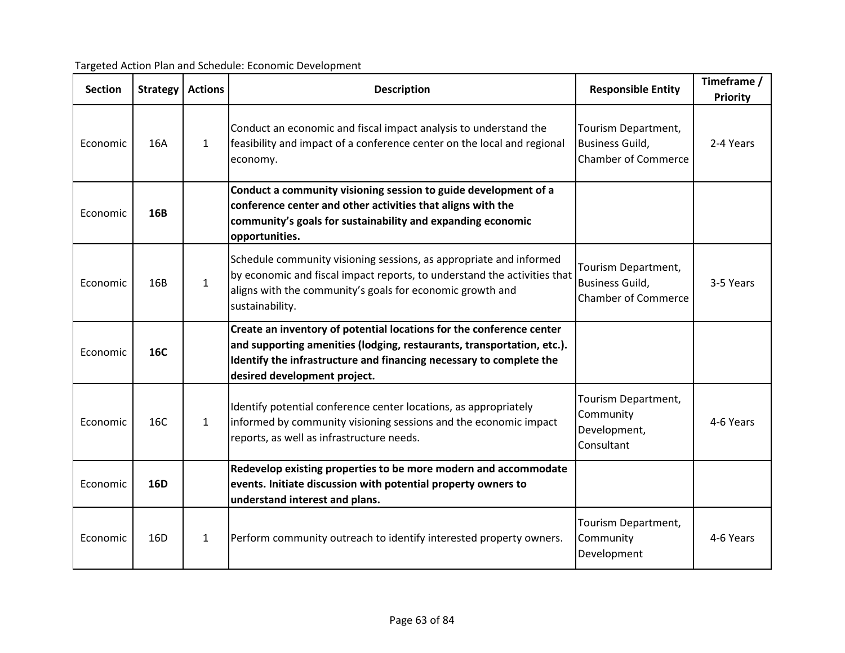| Targeted Action Plan and Schedule: Economic Development |  |  |
|---------------------------------------------------------|--|--|
|                                                         |  |  |

| <b>Section</b> | <b>Strategy</b> | <b>Actions</b> | <b>Description</b>                                                                                                                                                                                                                                    | <b>Responsible Entity</b>                                                   | Timeframe /<br>Priority |
|----------------|-----------------|----------------|-------------------------------------------------------------------------------------------------------------------------------------------------------------------------------------------------------------------------------------------------------|-----------------------------------------------------------------------------|-------------------------|
| Economic       | 16A             | $\mathbf{1}$   | Conduct an economic and fiscal impact analysis to understand the<br>feasibility and impact of a conference center on the local and regional<br>economy.                                                                                               | Tourism Department,<br><b>Business Guild,</b><br><b>Chamber of Commerce</b> | 2-4 Years               |
| Economic       | 16B             |                | Conduct a community visioning session to guide development of a<br>conference center and other activities that aligns with the<br>community's goals for sustainability and expanding economic<br>opportunities.                                       |                                                                             |                         |
| Economic       | 16B             | $\mathbf{1}$   | Schedule community visioning sessions, as appropriate and informed<br>by economic and fiscal impact reports, to understand the activities that<br>aligns with the community's goals for economic growth and<br>sustainability.                        | Tourism Department,<br><b>Business Guild,</b><br><b>Chamber of Commerce</b> | 3-5 Years               |
| Economic       | 16C             |                | Create an inventory of potential locations for the conference center<br>and supporting amenities (lodging, restaurants, transportation, etc.).<br>Identify the infrastructure and financing necessary to complete the<br>desired development project. |                                                                             |                         |
| Economic       | 16C             | $\mathbf{1}$   | Identify potential conference center locations, as appropriately<br>informed by community visioning sessions and the economic impact<br>reports, as well as infrastructure needs.                                                                     | Tourism Department,<br>Community<br>Development,<br>Consultant              | 4-6 Years               |
| Economic       | <b>16D</b>      |                | Redevelop existing properties to be more modern and accommodate<br>events. Initiate discussion with potential property owners to<br>understand interest and plans.                                                                                    |                                                                             |                         |
| Economic       | 16 <sub>D</sub> | 1              | Perform community outreach to identify interested property owners.                                                                                                                                                                                    | Tourism Department,<br>Community<br>Development                             | 4-6 Years               |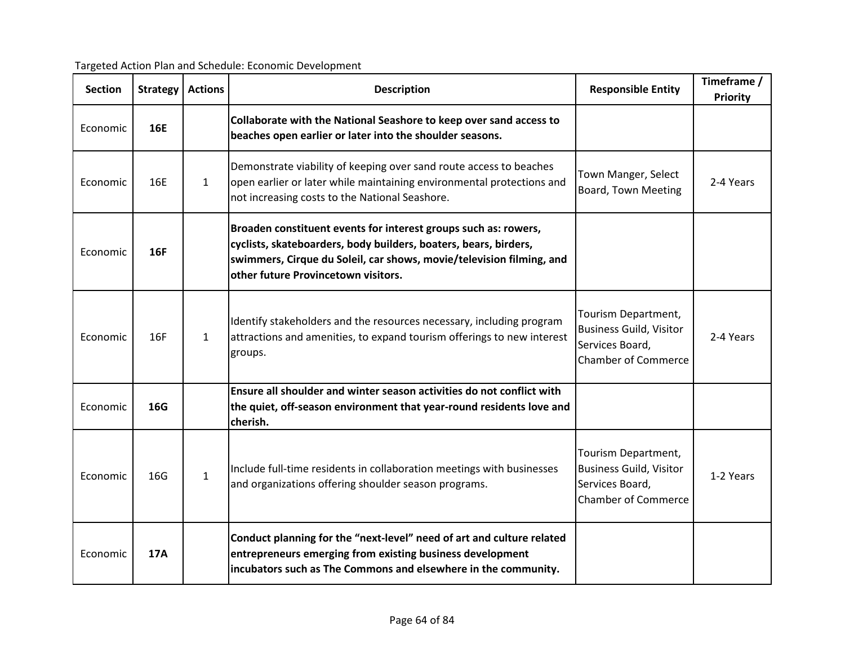| Targeted Action Plan and Schedule: Economic Development |  |  |
|---------------------------------------------------------|--|--|
|                                                         |  |  |

| <b>Section</b> | <b>Strategy</b> | <b>Actions</b> | <b>Description</b>                                                                                                                                                                                                                                 | <b>Responsible Entity</b>                                                                              | Timeframe /<br><b>Priority</b> |
|----------------|-----------------|----------------|----------------------------------------------------------------------------------------------------------------------------------------------------------------------------------------------------------------------------------------------------|--------------------------------------------------------------------------------------------------------|--------------------------------|
| Economic       | <b>16E</b>      |                | Collaborate with the National Seashore to keep over sand access to<br>beaches open earlier or later into the shoulder seasons.                                                                                                                     |                                                                                                        |                                |
| Economic       | 16F             | $\mathbf{1}$   | Demonstrate viability of keeping over sand route access to beaches<br>open earlier or later while maintaining environmental protections and<br>not increasing costs to the National Seashore.                                                      | Town Manger, Select<br>Board, Town Meeting                                                             | 2-4 Years                      |
| Economic       | <b>16F</b>      |                | Broaden constituent events for interest groups such as: rowers,<br>cyclists, skateboarders, body builders, boaters, bears, birders,<br>swimmers, Cirque du Soleil, car shows, movie/television filming, and<br>other future Provincetown visitors. |                                                                                                        |                                |
| Economic       | 16F             | $\mathbf{1}$   | Identify stakeholders and the resources necessary, including program<br>attractions and amenities, to expand tourism offerings to new interest<br>groups.                                                                                          | Tourism Department,<br><b>Business Guild, Visitor</b><br>Services Board,<br><b>Chamber of Commerce</b> | 2-4 Years                      |
| Economic       | 16G             |                | Ensure all shoulder and winter season activities do not conflict with<br>the quiet, off-season environment that year-round residents love and<br>cherish.                                                                                          |                                                                                                        |                                |
| Economic       | 16G             | $\mathbf{1}$   | Include full-time residents in collaboration meetings with businesses<br>and organizations offering shoulder season programs.                                                                                                                      | Tourism Department,<br><b>Business Guild, Visitor</b><br>Services Board,<br><b>Chamber of Commerce</b> | 1-2 Years                      |
| Economic       | <b>17A</b>      |                | Conduct planning for the "next-level" need of art and culture related<br>entrepreneurs emerging from existing business development<br>incubators such as The Commons and elsewhere in the community.                                               |                                                                                                        |                                |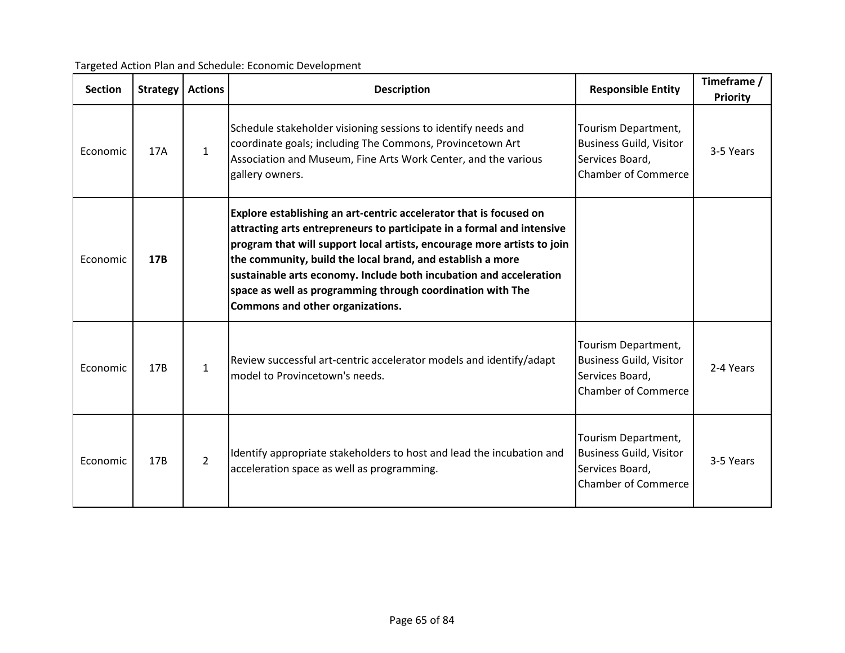| <b>Section</b> | Strategy        | <b>Actions</b> | <b>Description</b>                                                                                                                                                                                                                                                                                                                                                                                                                                            | <b>Responsible Entity</b>                                                                              | Timeframe /<br><b>Priority</b> |
|----------------|-----------------|----------------|---------------------------------------------------------------------------------------------------------------------------------------------------------------------------------------------------------------------------------------------------------------------------------------------------------------------------------------------------------------------------------------------------------------------------------------------------------------|--------------------------------------------------------------------------------------------------------|--------------------------------|
| Economic       | 17A             | $\mathbf{1}$   | Schedule stakeholder visioning sessions to identify needs and<br>coordinate goals; including The Commons, Provincetown Art<br>Association and Museum, Fine Arts Work Center, and the various<br>gallery owners.                                                                                                                                                                                                                                               | Tourism Department,<br><b>Business Guild, Visitor</b><br>Services Board,<br><b>Chamber of Commerce</b> | 3-5 Years                      |
| Economic       | 17B             |                | Explore establishing an art-centric accelerator that is focused on<br>attracting arts entrepreneurs to participate in a formal and intensive<br>program that will support local artists, encourage more artists to join<br>the community, build the local brand, and establish a more<br>sustainable arts economy. Include both incubation and acceleration<br>space as well as programming through coordination with The<br>Commons and other organizations. |                                                                                                        |                                |
| Economic       | 17B             | $\mathbf{1}$   | Review successful art-centric accelerator models and identify/adapt<br>model to Provincetown's needs.                                                                                                                                                                                                                                                                                                                                                         | Tourism Department,<br><b>Business Guild, Visitor</b><br>Services Board,<br><b>Chamber of Commerce</b> | 2-4 Years                      |
| Economic       | 17 <sub>B</sub> | $\overline{2}$ | Identify appropriate stakeholders to host and lead the incubation and<br>acceleration space as well as programming.                                                                                                                                                                                                                                                                                                                                           | Tourism Department,<br><b>Business Guild, Visitor</b><br>Services Board,<br><b>Chamber of Commerce</b> | 3-5 Years                      |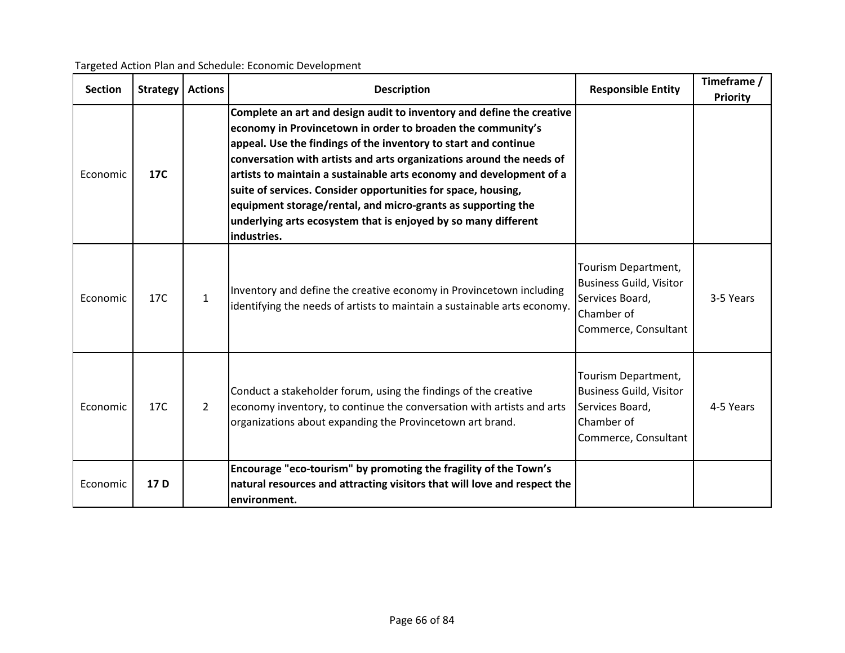| <b>Section</b> | <b>Strategy</b> | <b>Actions</b> | <b>Description</b>                                                                                                                                                                                                                                                                                                                                                                                                                                                                                                                                                       | <b>Responsible Entity</b>                                                                                      | Timeframe /<br><b>Priority</b> |
|----------------|-----------------|----------------|--------------------------------------------------------------------------------------------------------------------------------------------------------------------------------------------------------------------------------------------------------------------------------------------------------------------------------------------------------------------------------------------------------------------------------------------------------------------------------------------------------------------------------------------------------------------------|----------------------------------------------------------------------------------------------------------------|--------------------------------|
| Economic       | 17C             |                | Complete an art and design audit to inventory and define the creative<br>economy in Provincetown in order to broaden the community's<br>appeal. Use the findings of the inventory to start and continue<br>conversation with artists and arts organizations around the needs of<br>artists to maintain a sustainable arts economy and development of a<br>suite of services. Consider opportunities for space, housing,<br>equipment storage/rental, and micro-grants as supporting the<br>underlying arts ecosystem that is enjoyed by so many different<br>industries. |                                                                                                                |                                |
| Economic       | 17C             | $\mathbf{1}$   | Inventory and define the creative economy in Provincetown including<br>identifying the needs of artists to maintain a sustainable arts economy.                                                                                                                                                                                                                                                                                                                                                                                                                          | Tourism Department,<br><b>Business Guild, Visitor</b><br>Services Board,<br>Chamber of<br>Commerce, Consultant | 3-5 Years                      |
| Economic       | 17C             | $\overline{2}$ | Conduct a stakeholder forum, using the findings of the creative<br>economy inventory, to continue the conversation with artists and arts<br>organizations about expanding the Provincetown art brand.                                                                                                                                                                                                                                                                                                                                                                    | Tourism Department,<br><b>Business Guild, Visitor</b><br>Services Board,<br>Chamber of<br>Commerce, Consultant | 4-5 Years                      |
| Economic       | 17 D            |                | Encourage "eco-tourism" by promoting the fragility of the Town's<br>natural resources and attracting visitors that will love and respect the<br>environment.                                                                                                                                                                                                                                                                                                                                                                                                             |                                                                                                                |                                |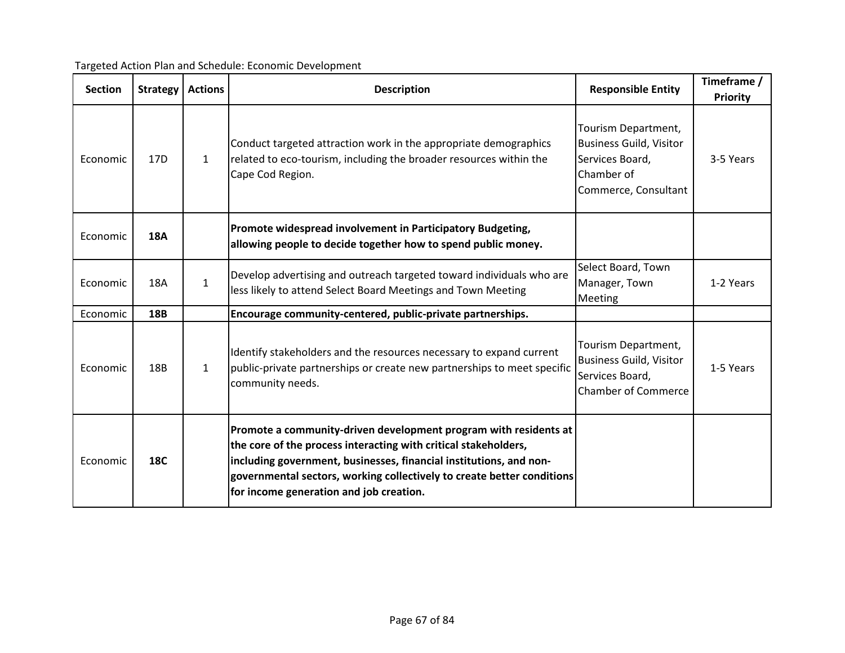| Targeted Action Plan and Schedule: Economic Development |  |  |
|---------------------------------------------------------|--|--|
|                                                         |  |  |

| <b>Section</b> | <b>Strategy</b> | <b>Actions</b> | <b>Description</b>                                                                                                                                                                                                                                                                                                             | <b>Responsible Entity</b>                                                                                      | Timeframe /<br><b>Priority</b> |
|----------------|-----------------|----------------|--------------------------------------------------------------------------------------------------------------------------------------------------------------------------------------------------------------------------------------------------------------------------------------------------------------------------------|----------------------------------------------------------------------------------------------------------------|--------------------------------|
| Economic       | 17 <sub>D</sub> | $\mathbf{1}$   | Conduct targeted attraction work in the appropriate demographics<br>related to eco-tourism, including the broader resources within the<br>Cape Cod Region.                                                                                                                                                                     | Tourism Department,<br><b>Business Guild, Visitor</b><br>Services Board,<br>Chamber of<br>Commerce, Consultant | 3-5 Years                      |
| Economic       | <b>18A</b>      |                | Promote widespread involvement in Participatory Budgeting,<br>allowing people to decide together how to spend public money.                                                                                                                                                                                                    |                                                                                                                |                                |
| Economic       | <b>18A</b>      | $\mathbf{1}$   | Develop advertising and outreach targeted toward individuals who are<br>less likely to attend Select Board Meetings and Town Meeting                                                                                                                                                                                           | Select Board, Town<br>Manager, Town<br>Meeting                                                                 | 1-2 Years                      |
| Economic       | 18B             |                | Encourage community-centered, public-private partnerships.                                                                                                                                                                                                                                                                     |                                                                                                                |                                |
| Economic       | 18B             | $\mathbf{1}$   | Identify stakeholders and the resources necessary to expand current<br>public-private partnerships or create new partnerships to meet specific<br>community needs.                                                                                                                                                             | Tourism Department,<br><b>Business Guild, Visitor</b><br>Services Board,<br><b>Chamber of Commerce</b>         | 1-5 Years                      |
| Economic       | <b>18C</b>      |                | Promote a community-driven development program with residents at<br>the core of the process interacting with critical stakeholders,<br>including government, businesses, financial institutions, and non-<br>governmental sectors, working collectively to create better conditions<br>for income generation and job creation. |                                                                                                                |                                |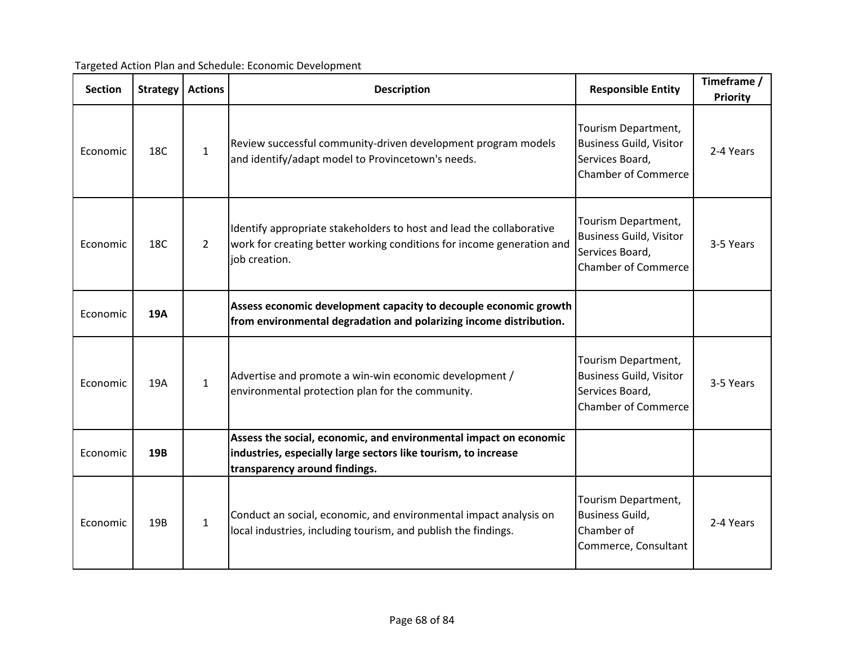| <b>Section</b> | <b>Strategy</b> | <b>Actions</b> | <b>Description</b>                                                                                                                                                   | <b>Responsible Entity</b>                                                                              | Timeframe /<br><b>Priority</b> |
|----------------|-----------------|----------------|----------------------------------------------------------------------------------------------------------------------------------------------------------------------|--------------------------------------------------------------------------------------------------------|--------------------------------|
| Economic       | 18C             | $\mathbf{1}$   | Review successful community-driven development program models<br>and identify/adapt model to Provincetown's needs.                                                   | Tourism Department,<br><b>Business Guild, Visitor</b><br>Services Board,<br><b>Chamber of Commerce</b> | 2-4 Years                      |
| Economic       | 18C             | $\overline{2}$ | Identify appropriate stakeholders to host and lead the collaborative<br>work for creating better working conditions for income generation and<br>job creation.       | Tourism Department,<br><b>Business Guild, Visitor</b><br>Services Board,<br><b>Chamber of Commerce</b> | 3-5 Years                      |
| Economic       | <b>19A</b>      |                | Assess economic development capacity to decouple economic growth<br>from environmental degradation and polarizing income distribution.                               |                                                                                                        |                                |
| Economic       | 19A             | $\mathbf{1}$   | Advertise and promote a win-win economic development /<br>environmental protection plan for the community.                                                           | Tourism Department,<br><b>Business Guild, Visitor</b><br>Services Board,<br><b>Chamber of Commerce</b> | 3-5 Years                      |
| Economic       | <b>19B</b>      |                | Assess the social, economic, and environmental impact on economic<br>industries, especially large sectors like tourism, to increase<br>transparency around findings. |                                                                                                        |                                |
| Economic       | 19B             | $\mathbf{1}$   | Conduct an social, economic, and environmental impact analysis on<br>local industries, including tourism, and publish the findings.                                  | Tourism Department,<br><b>Business Guild,</b><br>Chamber of<br>Commerce, Consultant                    | 2-4 Years                      |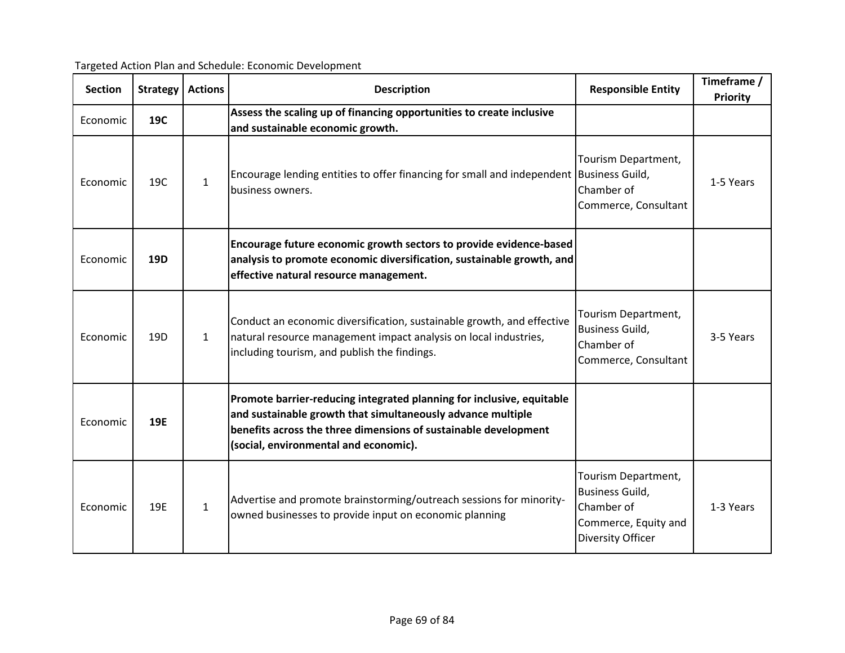| <b>Section</b> | Strategy        | <b>Actions</b> | <b>Description</b>                                                                                                                                                                                                                               | <b>Responsible Entity</b>                                                                                       | Timeframe /<br><b>Priority</b> |
|----------------|-----------------|----------------|--------------------------------------------------------------------------------------------------------------------------------------------------------------------------------------------------------------------------------------------------|-----------------------------------------------------------------------------------------------------------------|--------------------------------|
| Economic       | 19C             |                | Assess the scaling up of financing opportunities to create inclusive<br>and sustainable economic growth.                                                                                                                                         |                                                                                                                 |                                |
| Economic       | 19C             | $\mathbf{1}$   | Encourage lending entities to offer financing for small and independent Business Guild,<br>business owners.                                                                                                                                      | Tourism Department,<br>Chamber of<br>Commerce, Consultant                                                       | 1-5 Years                      |
| Economic       | 19D             |                | Encourage future economic growth sectors to provide evidence-based<br>analysis to promote economic diversification, sustainable growth, and<br>effective natural resource management.                                                            |                                                                                                                 |                                |
| Economic       | 19 <sub>D</sub> | $\mathbf{1}$   | Conduct an economic diversification, sustainable growth, and effective<br>natural resource management impact analysis on local industries,<br>including tourism, and publish the findings.                                                       | Tourism Department,<br><b>Business Guild,</b><br>Chamber of<br>Commerce, Consultant                             | 3-5 Years                      |
| Economic       | 19E             |                | Promote barrier-reducing integrated planning for inclusive, equitable<br>and sustainable growth that simultaneously advance multiple<br>benefits across the three dimensions of sustainable development<br>(social, environmental and economic). |                                                                                                                 |                                |
| Economic       | 19E             | $\mathbf{1}$   | Advertise and promote brainstorming/outreach sessions for minority-<br>owned businesses to provide input on economic planning                                                                                                                    | Tourism Department,<br><b>Business Guild,</b><br>Chamber of<br>Commerce, Equity and<br><b>Diversity Officer</b> | 1-3 Years                      |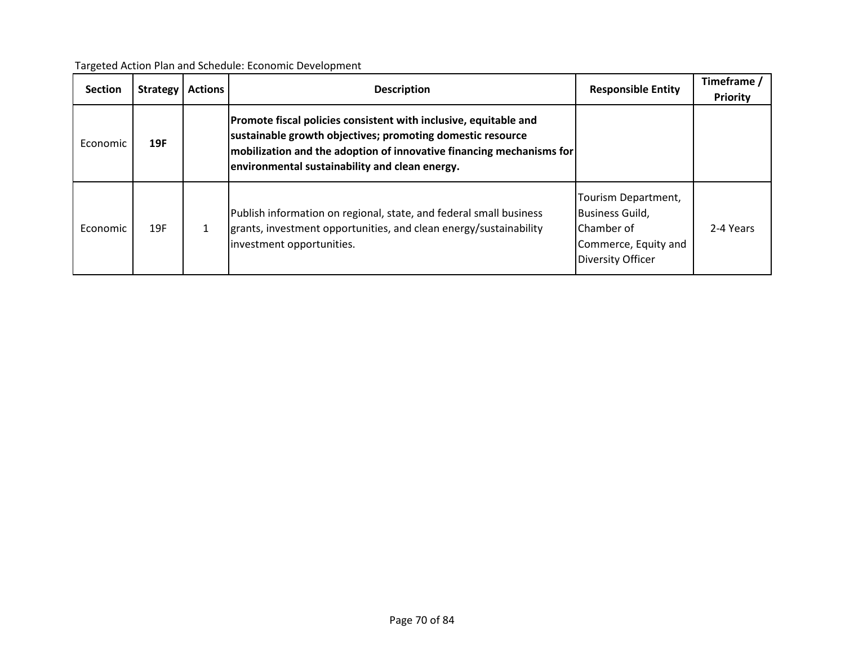| Targeted Action Plan and Schedule: Economic Development |  |
|---------------------------------------------------------|--|
|---------------------------------------------------------|--|

| <b>Section</b> | Strategy | <b>Actions</b> | <b>Description</b>                                                                                                                                                                                                                                           | <b>Responsible Entity</b>                                                                                       | Timeframe /<br>Priority |
|----------------|----------|----------------|--------------------------------------------------------------------------------------------------------------------------------------------------------------------------------------------------------------------------------------------------------------|-----------------------------------------------------------------------------------------------------------------|-------------------------|
| Economic       | 19F      |                | Promote fiscal policies consistent with inclusive, equitable and<br>sustainable growth objectives; promoting domestic resource<br>$ $ mobilization and the adoption of innovative financing mechanisms for<br>environmental sustainability and clean energy. |                                                                                                                 |                         |
| Economic       | 19F      |                | Publish information on regional, state, and federal small business<br>grants, investment opportunities, and clean energy/sustainability<br>investment opportunities.                                                                                         | Tourism Department,<br><b>Business Guild,</b><br>Chamber of<br>Commerce, Equity and<br><b>Diversity Officer</b> | 2-4 Years               |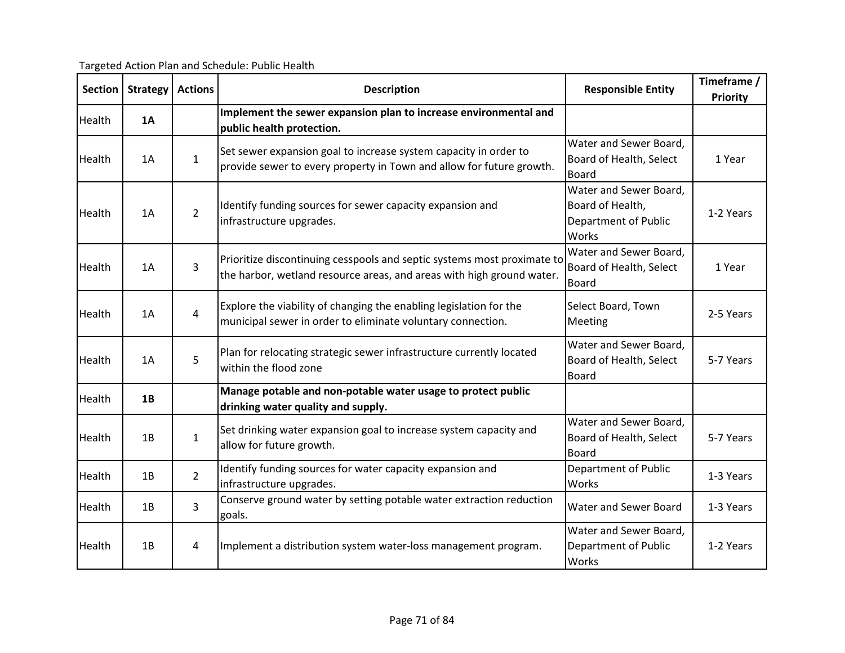Targeted Action Plan and Schedule: Public Health

| <b>Section</b> | <b>Strategy</b> | <b>Actions</b> | <b>Description</b>                                                                                                                               | <b>Responsible Entity</b>                                                   | Timeframe /<br><b>Priority</b> |
|----------------|-----------------|----------------|--------------------------------------------------------------------------------------------------------------------------------------------------|-----------------------------------------------------------------------------|--------------------------------|
| Health         | 1Α              |                | Implement the sewer expansion plan to increase environmental and<br>public health protection.                                                    |                                                                             |                                |
| Health         | 1A              | $\mathbf{1}$   | Set sewer expansion goal to increase system capacity in order to<br>provide sewer to every property in Town and allow for future growth.         | Water and Sewer Board,<br>Board of Health, Select<br><b>Board</b>           | 1 Year                         |
| Health         | 1A              | $\overline{2}$ | Identify funding sources for sewer capacity expansion and<br>infrastructure upgrades.                                                            | Water and Sewer Board,<br>Board of Health,<br>Department of Public<br>Works | 1-2 Years                      |
| Health         | 1A              | $\overline{3}$ | Prioritize discontinuing cesspools and septic systems most proximate to<br>the harbor, wetland resource areas, and areas with high ground water. | Water and Sewer Board,<br>Board of Health, Select<br><b>Board</b>           | 1 Year                         |
| Health         | 1A              | $\overline{4}$ | Explore the viability of changing the enabling legislation for the<br>municipal sewer in order to eliminate voluntary connection.                | Select Board, Town<br><b>Meeting</b>                                        | 2-5 Years                      |
| Health         | 1A              | 5              | Plan for relocating strategic sewer infrastructure currently located<br>within the flood zone                                                    | Water and Sewer Board,<br>Board of Health, Select<br><b>Board</b>           | 5-7 Years                      |
| Health         | 1B              |                | Manage potable and non-potable water usage to protect public<br>drinking water quality and supply.                                               |                                                                             |                                |
| Health         | 1B              | $\mathbf{1}$   | Set drinking water expansion goal to increase system capacity and<br>allow for future growth.                                                    | Water and Sewer Board,<br>Board of Health, Select<br><b>Board</b>           | 5-7 Years                      |
| Health         | 1B              | $\overline{2}$ | Identify funding sources for water capacity expansion and<br>infrastructure upgrades.                                                            | Department of Public<br>Works                                               | 1-3 Years                      |
| Health         | 1B              | 3              | Conserve ground water by setting potable water extraction reduction<br>goals.                                                                    | Water and Sewer Board                                                       | 1-3 Years                      |
| Health         | 1B              | 4              | Implement a distribution system water-loss management program.                                                                                   | Water and Sewer Board,<br>Department of Public<br>Works                     | 1-2 Years                      |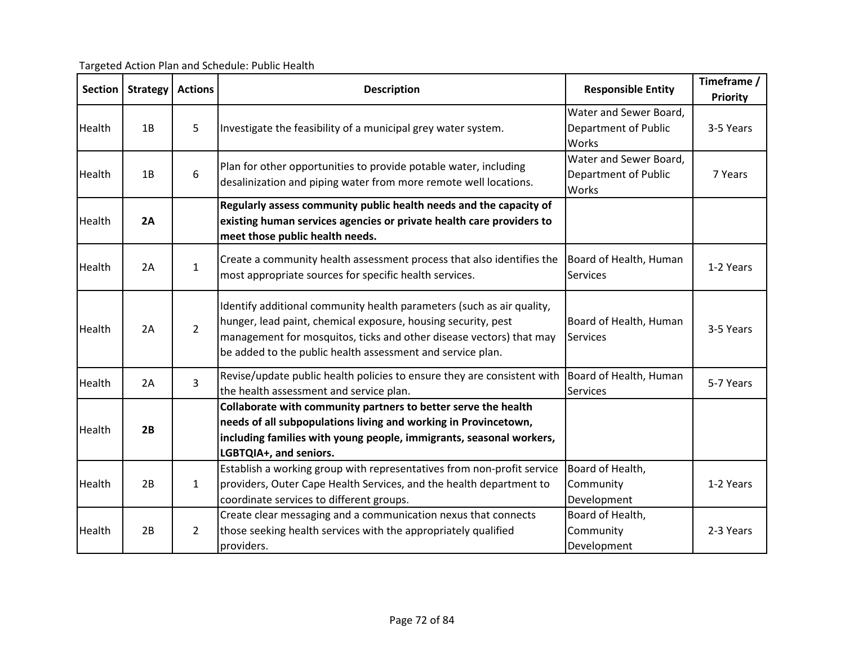Targeted Action Plan and Schedule: Public Health

| <b>Section</b> | <b>Strategy</b> | <b>Actions</b> | <b>Description</b>                                                                                                                                                                                                                                                          | <b>Responsible Entity</b>                               | Timeframe /<br><b>Priority</b> |
|----------------|-----------------|----------------|-----------------------------------------------------------------------------------------------------------------------------------------------------------------------------------------------------------------------------------------------------------------------------|---------------------------------------------------------|--------------------------------|
| Health         | 1B              | 5              | Investigate the feasibility of a municipal grey water system.                                                                                                                                                                                                               | Water and Sewer Board,<br>Department of Public<br>Works | 3-5 Years                      |
| Health         | 1B              | 6              | Plan for other opportunities to provide potable water, including<br>desalinization and piping water from more remote well locations.                                                                                                                                        | Water and Sewer Board,<br>Department of Public<br>Works | 7 Years                        |
| Health         | 2A              |                | Regularly assess community public health needs and the capacity of<br>existing human services agencies or private health care providers to<br>meet those public health needs.                                                                                               |                                                         |                                |
| Health         | 2A              | $\mathbf{1}$   | Create a community health assessment process that also identifies the<br>most appropriate sources for specific health services.                                                                                                                                             | Board of Health, Human<br>Services                      | 1-2 Years                      |
| Health         | 2A              | $\overline{2}$ | Identify additional community health parameters (such as air quality,<br>hunger, lead paint, chemical exposure, housing security, pest<br>management for mosquitos, ticks and other disease vectors) that may<br>be added to the public health assessment and service plan. | Board of Health, Human<br><b>Services</b>               | 3-5 Years                      |
| Health         | 2A              | 3              | Revise/update public health policies to ensure they are consistent with<br>the health assessment and service plan.                                                                                                                                                          | Board of Health, Human<br><b>Services</b>               | 5-7 Years                      |
| Health         | 2B              |                | Collaborate with community partners to better serve the health<br>needs of all subpopulations living and working in Provincetown,<br>including families with young people, immigrants, seasonal workers,<br>LGBTQIA+, and seniors.                                          |                                                         |                                |
| Health         | 2B              | $\mathbf{1}$   | Establish a working group with representatives from non-profit service<br>providers, Outer Cape Health Services, and the health department to<br>coordinate services to different groups.                                                                                   | Board of Health,<br>Community<br>Development            | 1-2 Years                      |
| Health         | 2B              | $\overline{2}$ | Create clear messaging and a communication nexus that connects<br>those seeking health services with the appropriately qualified<br>providers.                                                                                                                              | Board of Health,<br>Community<br>Development            | 2-3 Years                      |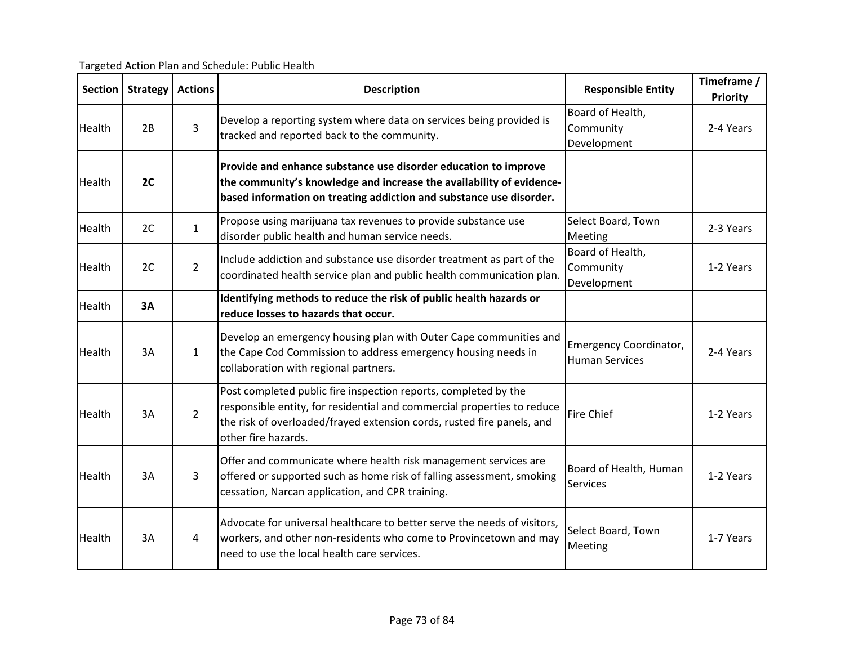Targeted Action Plan and Schedule: Public Health

| <b>Section</b> | <b>Strategy</b> | <b>Actions</b> | <b>Description</b>                                                                                                                                                                                                                          | <b>Responsible Entity</b>                       | Timeframe /<br><b>Priority</b> |
|----------------|-----------------|----------------|---------------------------------------------------------------------------------------------------------------------------------------------------------------------------------------------------------------------------------------------|-------------------------------------------------|--------------------------------|
| Health         | 2B              | 3              | Develop a reporting system where data on services being provided is<br>tracked and reported back to the community.                                                                                                                          | Board of Health,<br>Community<br>Development    | 2-4 Years                      |
| Health         | 2C              |                | Provide and enhance substance use disorder education to improve<br>the community's knowledge and increase the availability of evidence-<br>based information on treating addiction and substance use disorder.                              |                                                 |                                |
| Health         | 2C              | $\mathbf{1}$   | Propose using marijuana tax revenues to provide substance use<br>disorder public health and human service needs.                                                                                                                            | Select Board, Town<br>Meeting                   | 2-3 Years                      |
| Health         | 2C              | $2^{\circ}$    | Include addiction and substance use disorder treatment as part of the<br>coordinated health service plan and public health communication plan.                                                                                              | Board of Health,<br>Community<br>Development    | 1-2 Years                      |
| Health         | 3A              |                | Identifying methods to reduce the risk of public health hazards or<br>reduce losses to hazards that occur.                                                                                                                                  |                                                 |                                |
| Health         | 3A              | $\mathbf{1}$   | Develop an emergency housing plan with Outer Cape communities and<br>the Cape Cod Commission to address emergency housing needs in<br>collaboration with regional partners.                                                                 | Emergency Coordinator,<br><b>Human Services</b> | 2-4 Years                      |
| Health         | 3A              | $\overline{2}$ | Post completed public fire inspection reports, completed by the<br>responsible entity, for residential and commercial properties to reduce<br>the risk of overloaded/frayed extension cords, rusted fire panels, and<br>other fire hazards. | <b>Fire Chief</b>                               | 1-2 Years                      |
| Health         | 3A              | 3              | Offer and communicate where health risk management services are<br>offered or supported such as home risk of falling assessment, smoking<br>cessation, Narcan application, and CPR training.                                                | Board of Health, Human<br>Services              | 1-2 Years                      |
| Health         | 3A              | 4              | Advocate for universal healthcare to better serve the needs of visitors,<br>workers, and other non-residents who come to Provincetown and may<br>need to use the local health care services.                                                | Select Board, Town<br>Meeting                   | 1-7 Years                      |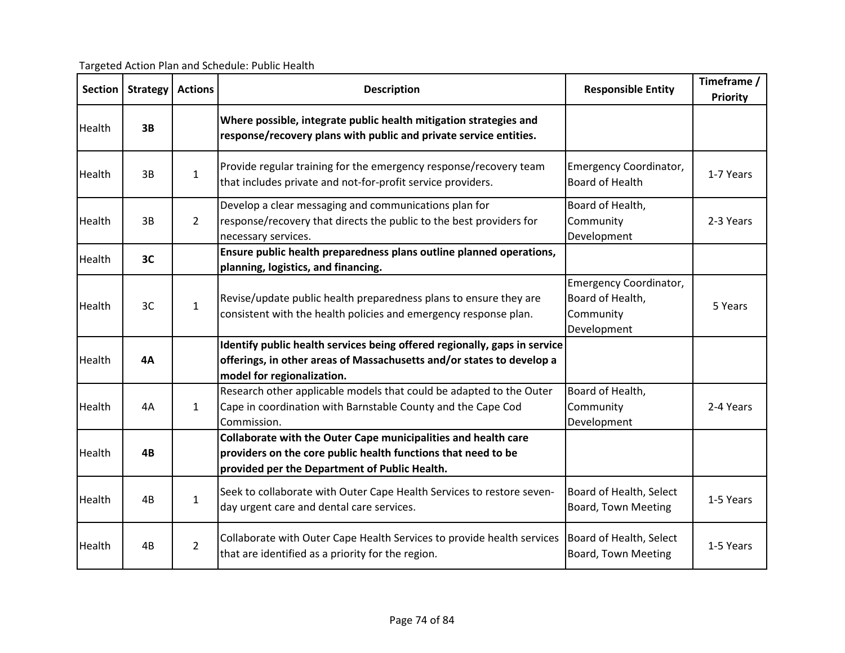Targeted Action Plan and Schedule: Public Health

| <b>Section</b> | <b>Strategy</b> | <b>Actions</b> | <b>Description</b>                                                                                                                                                               | <b>Responsible Entity</b>                                              | Timeframe /<br><b>Priority</b> |
|----------------|-----------------|----------------|----------------------------------------------------------------------------------------------------------------------------------------------------------------------------------|------------------------------------------------------------------------|--------------------------------|
| Health         | 3B              |                | Where possible, integrate public health mitigation strategies and<br>response/recovery plans with public and private service entities.                                           |                                                                        |                                |
| Health         | 3B              | $\mathbf{1}$   | Provide regular training for the emergency response/recovery team<br>that includes private and not-for-profit service providers.                                                 | Emergency Coordinator,<br><b>Board of Health</b>                       | 1-7 Years                      |
| Health         | 3B              | $\overline{2}$ | Develop a clear messaging and communications plan for<br>response/recovery that directs the public to the best providers for<br>necessary services.                              | Board of Health,<br>Community<br>Development                           | 2-3 Years                      |
| Health         | 3C              |                | Ensure public health preparedness plans outline planned operations,<br>planning, logistics, and financing.                                                                       |                                                                        |                                |
| Health         | 3C              | $\mathbf{1}$   | Revise/update public health preparedness plans to ensure they are<br>consistent with the health policies and emergency response plan.                                            | Emergency Coordinator,<br>Board of Health,<br>Community<br>Development | 5 Years                        |
| Health         | <b>4A</b>       |                | Identify public health services being offered regionally, gaps in service<br>offerings, in other areas of Massachusetts and/or states to develop a<br>model for regionalization. |                                                                        |                                |
| Health         | 4A              | $\mathbf{1}$   | Research other applicable models that could be adapted to the Outer<br>Cape in coordination with Barnstable County and the Cape Cod<br>Commission.                               | Board of Health,<br>Community<br>Development                           | 2-4 Years                      |
| <b>Health</b>  | 4B              |                | Collaborate with the Outer Cape municipalities and health care<br>providers on the core public health functions that need to be<br>provided per the Department of Public Health. |                                                                        |                                |
| Health         | 4B              | $\mathbf{1}$   | Seek to collaborate with Outer Cape Health Services to restore seven-<br>day urgent care and dental care services.                                                               | Board of Health, Select<br>Board, Town Meeting                         | 1-5 Years                      |
| Health         | 4B              | $2^{\circ}$    | Collaborate with Outer Cape Health Services to provide health services<br>that are identified as a priority for the region.                                                      | Board of Health, Select<br>Board, Town Meeting                         | 1-5 Years                      |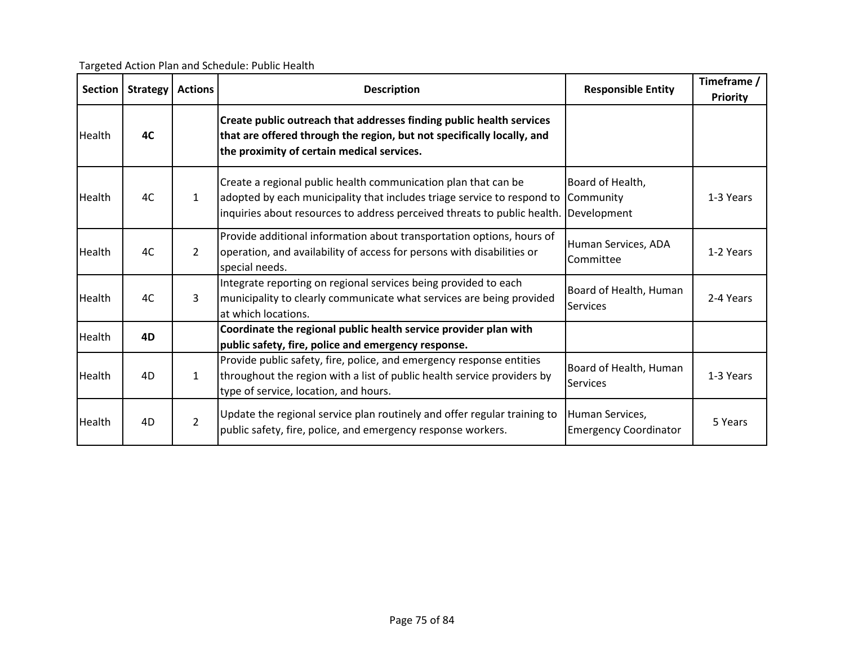Targeted Action Plan and Schedule: Public Health

| <b>Section</b> | <b>Strategy</b> | <b>Actions</b> | <b>Description</b>                                                                                                                                                                                                    | <b>Responsible Entity</b>                       | Timeframe /<br><b>Priority</b> |
|----------------|-----------------|----------------|-----------------------------------------------------------------------------------------------------------------------------------------------------------------------------------------------------------------------|-------------------------------------------------|--------------------------------|
| Health         | 4C              |                | Create public outreach that addresses finding public health services<br>that are offered through the region, but not specifically locally, and<br>the proximity of certain medical services.                          |                                                 |                                |
| Health         | 4C              | 1              | Create a regional public health communication plan that can be<br>adopted by each municipality that includes triage service to respond to<br>inquiries about resources to address perceived threats to public health. | Board of Health,<br>Community<br>Development    | 1-3 Years                      |
| Health         | 4C              | $\overline{2}$ | Provide additional information about transportation options, hours of<br>operation, and availability of access for persons with disabilities or<br>special needs.                                                     | Human Services, ADA<br>Committee                | 1-2 Years                      |
| Health         | 4C              | 3              | Integrate reporting on regional services being provided to each<br>municipality to clearly communicate what services are being provided<br>at which locations.                                                        | Board of Health, Human<br>Services              | 2-4 Years                      |
| Health         | 4D              |                | Coordinate the regional public health service provider plan with<br>public safety, fire, police and emergency response.                                                                                               |                                                 |                                |
| Health         | 4D              | 1              | Provide public safety, fire, police, and emergency response entities<br>throughout the region with a list of public health service providers by<br>type of service, location, and hours.                              | Board of Health, Human<br><b>Services</b>       | 1-3 Years                      |
| Health         | 4D              | $\overline{2}$ | Update the regional service plan routinely and offer regular training to<br>public safety, fire, police, and emergency response workers.                                                                              | Human Services,<br><b>Emergency Coordinator</b> | 5 Years                        |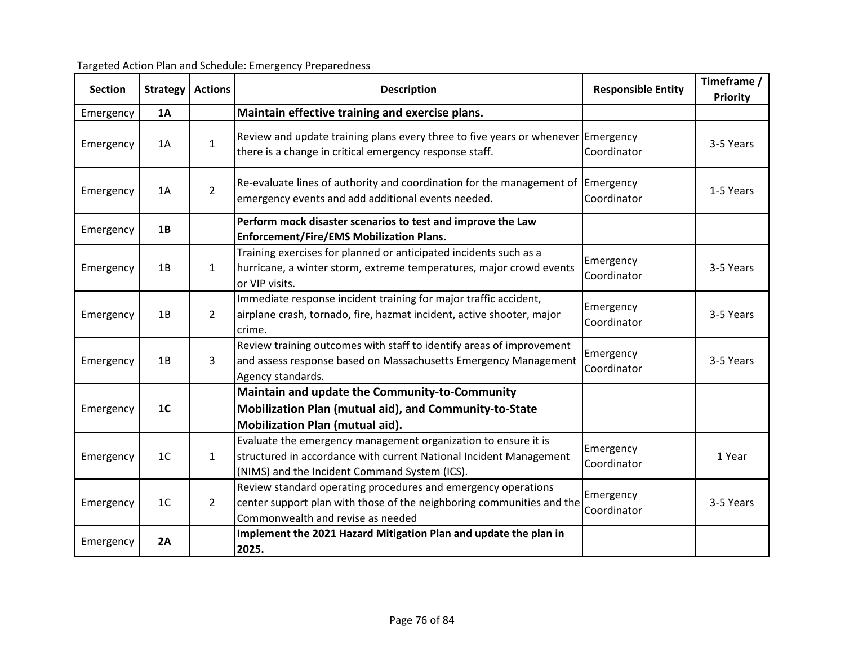| <b>Section</b> | <b>Strategy</b> | <b>Actions</b> | <b>Description</b>                                                                                                                                                                    | <b>Responsible Entity</b> | Timeframe /<br>Priority |
|----------------|-----------------|----------------|---------------------------------------------------------------------------------------------------------------------------------------------------------------------------------------|---------------------------|-------------------------|
| Emergency      | <b>1A</b>       |                | Maintain effective training and exercise plans.                                                                                                                                       |                           |                         |
| Emergency      | 1A              | 1              | Review and update training plans every three to five years or whenever Emergency<br>there is a change in critical emergency response staff.                                           | Coordinator               | 3-5 Years               |
| Emergency      | 1A              | $\overline{2}$ | Re-evaluate lines of authority and coordination for the management of<br>emergency events and add additional events needed.                                                           | Emergency<br>Coordinator  | 1-5 Years               |
| Emergency      | 1B              |                | Perform mock disaster scenarios to test and improve the Law<br><b>Enforcement/Fire/EMS Mobilization Plans.</b>                                                                        |                           |                         |
| Emergency      | 1B              | $\mathbf{1}$   | Training exercises for planned or anticipated incidents such as a<br>hurricane, a winter storm, extreme temperatures, major crowd events<br>or VIP visits.                            | Emergency<br>Coordinator  | 3-5 Years               |
| Emergency      | 1B              | $\overline{2}$ | Immediate response incident training for major traffic accident,<br>airplane crash, tornado, fire, hazmat incident, active shooter, major<br>crime.                                   | Emergency<br>Coordinator  | 3-5 Years               |
| Emergency      | 1B              | $\mathbf{3}$   | Review training outcomes with staff to identify areas of improvement<br>and assess response based on Massachusetts Emergency Management<br>Agency standards.                          | Emergency<br>Coordinator  | 3-5 Years               |
|                |                 |                | Maintain and update the Community-to-Community                                                                                                                                        |                           |                         |
| Emergency      | 1 <sup>C</sup>  |                | Mobilization Plan (mutual aid), and Community-to-State<br>Mobilization Plan (mutual aid).                                                                                             |                           |                         |
| Emergency      | 1 <sup>C</sup>  | $\mathbf{1}$   | Evaluate the emergency management organization to ensure it is<br>structured in accordance with current National Incident Management<br>(NIMS) and the Incident Command System (ICS). | Emergency<br>Coordinator  | 1 Year                  |
|                |                 |                | Review standard operating procedures and emergency operations                                                                                                                         |                           |                         |

Commonwealth and revise as needed Emergency **2A Implement the 2021 Hazard Mitigation Plan and update the plan in** 

**2025.**

Targeted Action Plan and Schedule: Emergency Preparedness

Emergency  $1C$   $2$ 

review standard operating procedures and emergency operations<br>
Emergency [Strangency | 3-5 Years<br>
Coordinator | 3-5 Years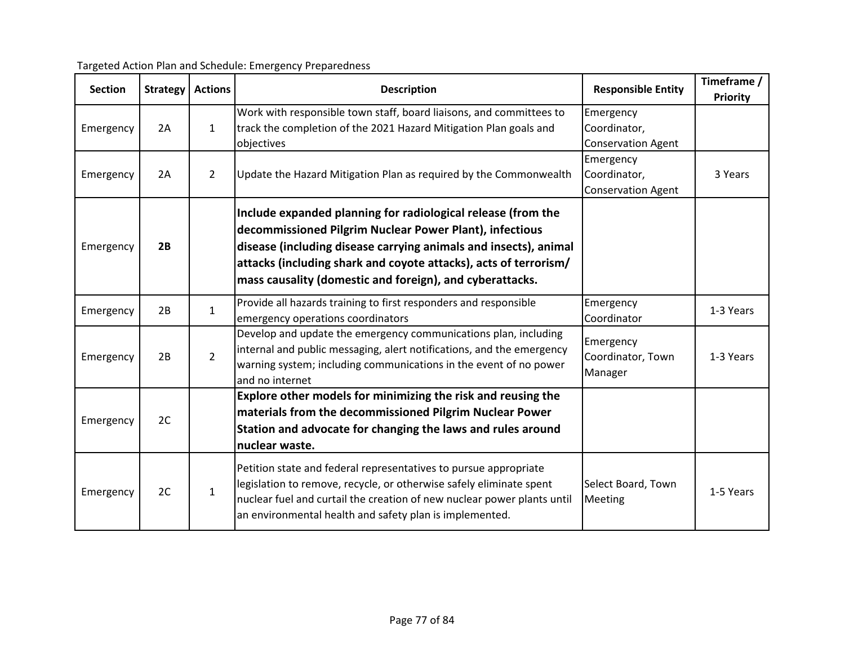| <b>Section</b> | <b>Strategy</b> | <b>Actions</b> | <b>Description</b>                                                                                                                                                                                                                                                                                                          | <b>Responsible Entity</b>                              | Timeframe /<br>Priority |
|----------------|-----------------|----------------|-----------------------------------------------------------------------------------------------------------------------------------------------------------------------------------------------------------------------------------------------------------------------------------------------------------------------------|--------------------------------------------------------|-------------------------|
| Emergency      | 2A              | $\mathbf{1}$   | Work with responsible town staff, board liaisons, and committees to<br>track the completion of the 2021 Hazard Mitigation Plan goals and<br>objectives                                                                                                                                                                      | Emergency<br>Coordinator,<br><b>Conservation Agent</b> |                         |
| Emergency      | 2A              | $\overline{2}$ | Update the Hazard Mitigation Plan as required by the Commonwealth                                                                                                                                                                                                                                                           | Emergency<br>Coordinator,<br><b>Conservation Agent</b> | 3 Years                 |
| Emergency      | 2B              |                | Include expanded planning for radiological release (from the<br>decommissioned Pilgrim Nuclear Power Plant), infectious<br>disease (including disease carrying animals and insects), animal<br>attacks (including shark and coyote attacks), acts of terrorism/<br>mass causality (domestic and foreign), and cyberattacks. |                                                        |                         |
| Emergency      | 2B              | $\mathbf{1}$   | Provide all hazards training to first responders and responsible<br>emergency operations coordinators                                                                                                                                                                                                                       | Emergency<br>Coordinator                               | 1-3 Years               |
| Emergency      | 2B              | $\overline{2}$ | Develop and update the emergency communications plan, including<br>internal and public messaging, alert notifications, and the emergency<br>warning system; including communications in the event of no power<br>and no internet                                                                                            | Emergency<br>Coordinator, Town<br>Manager              | 1-3 Years               |
| Emergency      | 2C              |                | Explore other models for minimizing the risk and reusing the<br>materials from the decommissioned Pilgrim Nuclear Power<br>Station and advocate for changing the laws and rules around<br>nuclear waste.                                                                                                                    |                                                        |                         |
| Emergency      | 2C              | $\mathbf{1}$   | Petition state and federal representatives to pursue appropriate<br>legislation to remove, recycle, or otherwise safely eliminate spent<br>nuclear fuel and curtail the creation of new nuclear power plants until<br>an environmental health and safety plan is implemented.                                               | Select Board, Town<br>Meeting                          | 1-5 Years               |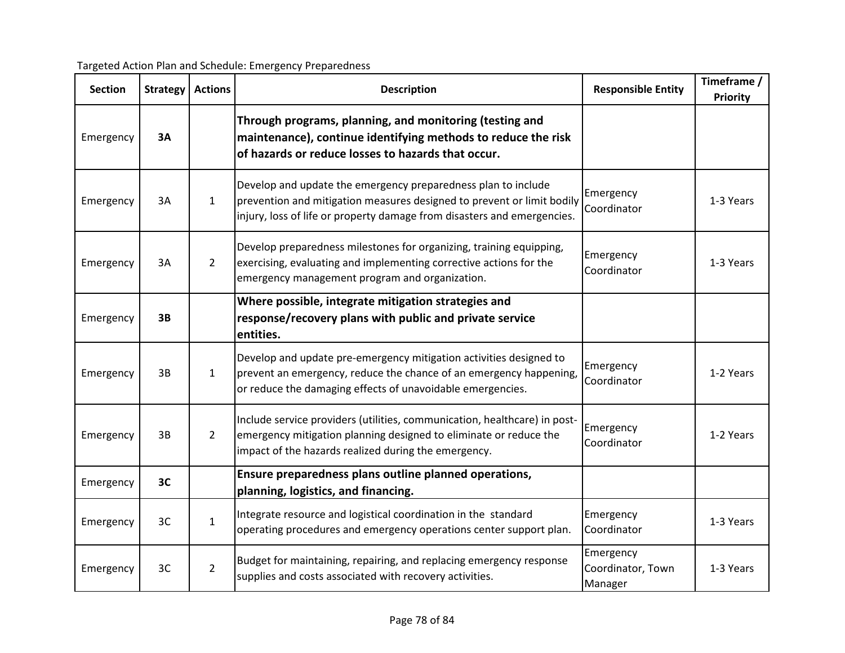| <b>Section</b> | <b>Strategy</b> | <b>Actions</b> | <b>Description</b>                                                                                                                                                                                                 | <b>Responsible Entity</b>                 | Timeframe /<br><b>Priority</b> |
|----------------|-----------------|----------------|--------------------------------------------------------------------------------------------------------------------------------------------------------------------------------------------------------------------|-------------------------------------------|--------------------------------|
| Emergency      | 3A              |                | Through programs, planning, and monitoring (testing and<br>maintenance), continue identifying methods to reduce the risk<br>of hazards or reduce losses to hazards that occur.                                     |                                           |                                |
| Emergency      | 3A              | $\mathbf{1}$   | Develop and update the emergency preparedness plan to include<br>prevention and mitigation measures designed to prevent or limit bodily<br>injury, loss of life or property damage from disasters and emergencies. | Emergency<br>Coordinator                  | 1-3 Years                      |
| Emergency      | 3A              | $\overline{2}$ | Develop preparedness milestones for organizing, training equipping,<br>exercising, evaluating and implementing corrective actions for the<br>emergency management program and organization.                        | Emergency<br>Coordinator                  | 1-3 Years                      |
| Emergency      | 3B              |                | Where possible, integrate mitigation strategies and<br>response/recovery plans with public and private service<br>entities.                                                                                        |                                           |                                |
| Emergency      | 3B              | $\mathbf{1}$   | Develop and update pre-emergency mitigation activities designed to<br>prevent an emergency, reduce the chance of an emergency happening,<br>or reduce the damaging effects of unavoidable emergencies.             | Emergency<br>Coordinator                  | 1-2 Years                      |
| Emergency      | 3B              | $\overline{2}$ | Include service providers (utilities, communication, healthcare) in post-<br>emergency mitigation planning designed to eliminate or reduce the<br>impact of the hazards realized during the emergency.             | Emergency<br>Coordinator                  | 1-2 Years                      |
| Emergency      | 3C              |                | Ensure preparedness plans outline planned operations,<br>planning, logistics, and financing.                                                                                                                       |                                           |                                |
| Emergency      | 3C              | $\mathbf{1}$   | Integrate resource and logistical coordination in the standard<br>operating procedures and emergency operations center support plan.                                                                               | Emergency<br>Coordinator                  | 1-3 Years                      |
| Emergency      | 3C              | $\overline{2}$ | Budget for maintaining, repairing, and replacing emergency response<br>supplies and costs associated with recovery activities.                                                                                     | Emergency<br>Coordinator, Town<br>Manager | 1-3 Years                      |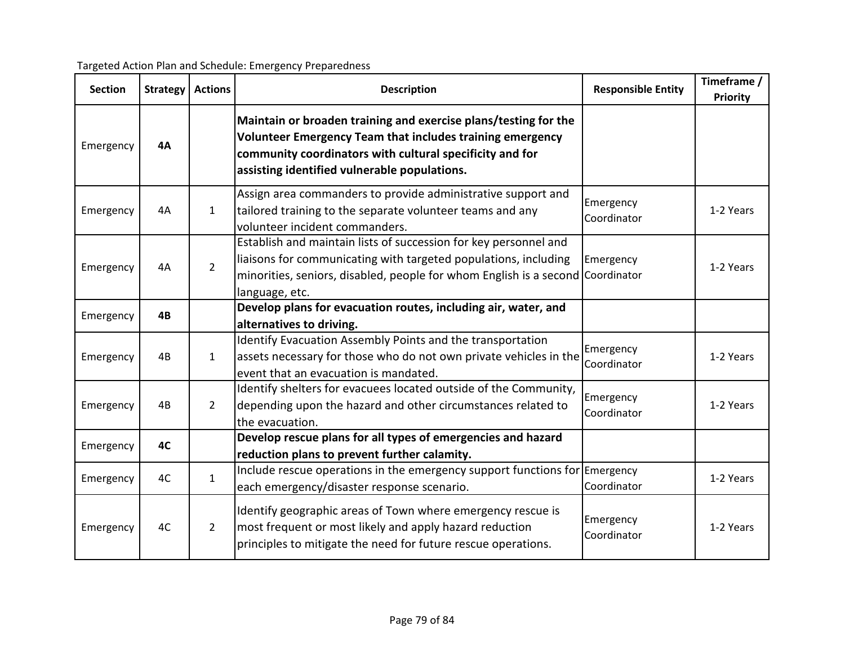| <b>Section</b> | <b>Strategy</b> | <b>Actions</b> | <b>Description</b>                                                                                                                                                                                                                       | <b>Responsible Entity</b> | Timeframe /<br><b>Priority</b> |
|----------------|-----------------|----------------|------------------------------------------------------------------------------------------------------------------------------------------------------------------------------------------------------------------------------------------|---------------------------|--------------------------------|
| Emergency      | <b>4A</b>       |                | Maintain or broaden training and exercise plans/testing for the<br>Volunteer Emergency Team that includes training emergency<br>community coordinators with cultural specificity and for<br>assisting identified vulnerable populations. |                           |                                |
| Emergency      | 4A              | $\mathbf{1}$   | Assign area commanders to provide administrative support and<br>tailored training to the separate volunteer teams and any<br>volunteer incident commanders.                                                                              | Emergency<br>Coordinator  | 1-2 Years                      |
| Emergency      | 4A              | $\overline{2}$ | Establish and maintain lists of succession for key personnel and<br>liaisons for communicating with targeted populations, including<br>minorities, seniors, disabled, people for whom English is a second Coordinator<br>language, etc.  | Emergency                 | 1-2 Years                      |
| Emergency      | 4B              |                | Develop plans for evacuation routes, including air, water, and<br>alternatives to driving.                                                                                                                                               |                           |                                |
| Emergency      | 4B              | $\mathbf{1}$   | Identify Evacuation Assembly Points and the transportation<br>assets necessary for those who do not own private vehicles in the<br>event that an evacuation is mandated.                                                                 | Emergency<br>Coordinator  | 1-2 Years                      |
| Emergency      | 4B              | $\overline{2}$ | Identify shelters for evacuees located outside of the Community,<br>depending upon the hazard and other circumstances related to<br>the evacuation.                                                                                      | Emergency<br>Coordinator  | 1-2 Years                      |
| Emergency      | 4C              |                | Develop rescue plans for all types of emergencies and hazard<br>reduction plans to prevent further calamity.                                                                                                                             |                           |                                |
| Emergency      | 4C              | $\mathbf{1}$   | Include rescue operations in the emergency support functions for $\epsilon$ Emergency<br>each emergency/disaster response scenario.                                                                                                      | Coordinator               | 1-2 Years                      |
| Emergency      | 4C              | $\overline{2}$ | Identify geographic areas of Town where emergency rescue is<br>most frequent or most likely and apply hazard reduction<br>principles to mitigate the need for future rescue operations.                                                  | Emergency<br>Coordinator  | 1-2 Years                      |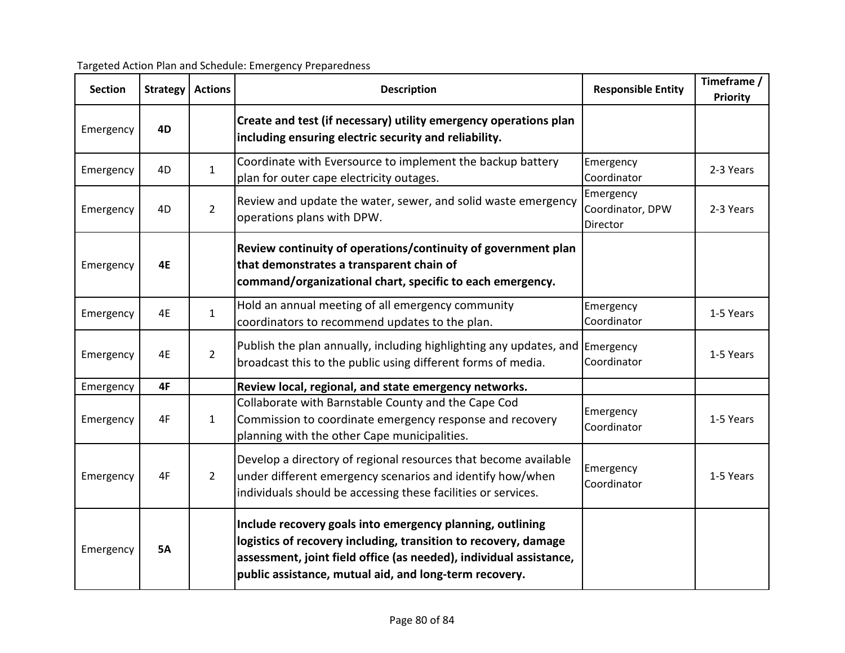|  | Targeted Action Plan and Schedule: Emergency Preparedness |
|--|-----------------------------------------------------------|
|  |                                                           |
|  |                                                           |

| <b>Section</b> | <b>Strategy</b> | <b>Actions</b> | <b>Description</b>                                                                                                                                                                                                                                           | <b>Responsible Entity</b>                 | Timeframe /<br><b>Priority</b> |
|----------------|-----------------|----------------|--------------------------------------------------------------------------------------------------------------------------------------------------------------------------------------------------------------------------------------------------------------|-------------------------------------------|--------------------------------|
| Emergency      | 4D              |                | Create and test (if necessary) utility emergency operations plan<br>including ensuring electric security and reliability.                                                                                                                                    |                                           |                                |
| Emergency      | 4D              | $\mathbf{1}$   | Coordinate with Eversource to implement the backup battery<br>plan for outer cape electricity outages.                                                                                                                                                       | Emergency<br>Coordinator                  | 2-3 Years                      |
| Emergency      | 4D              | $\overline{2}$ | Review and update the water, sewer, and solid waste emergency<br>operations plans with DPW.                                                                                                                                                                  | Emergency<br>Coordinator, DPW<br>Director | 2-3 Years                      |
| Emergency      | <b>4E</b>       |                | Review continuity of operations/continuity of government plan<br>that demonstrates a transparent chain of<br>command/organizational chart, specific to each emergency.                                                                                       |                                           |                                |
| Emergency      | 4E              | $\mathbf{1}$   | Hold an annual meeting of all emergency community<br>coordinators to recommend updates to the plan.                                                                                                                                                          | Emergency<br>Coordinator                  | 1-5 Years                      |
| Emergency      | 4E              | $2^{\circ}$    | Publish the plan annually, including highlighting any updates, and Emergency<br>broadcast this to the public using different forms of media.                                                                                                                 | Coordinator                               | 1-5 Years                      |
| Emergency      | 4F              |                | Review local, regional, and state emergency networks.                                                                                                                                                                                                        |                                           |                                |
| Emergency      | 4F              | $\mathbf{1}$   | Collaborate with Barnstable County and the Cape Cod<br>Commission to coordinate emergency response and recovery<br>planning with the other Cape municipalities.                                                                                              | Emergency<br>Coordinator                  | 1-5 Years                      |
| Emergency      | 4F              | $2^{\circ}$    | Develop a directory of regional resources that become available<br>under different emergency scenarios and identify how/when<br>individuals should be accessing these facilities or services.                                                                | Emergency<br>Coordinator                  | 1-5 Years                      |
| Emergency      | <b>5A</b>       |                | Include recovery goals into emergency planning, outlining<br>logistics of recovery including, transition to recovery, damage<br>assessment, joint field office (as needed), individual assistance,<br>public assistance, mutual aid, and long-term recovery. |                                           |                                |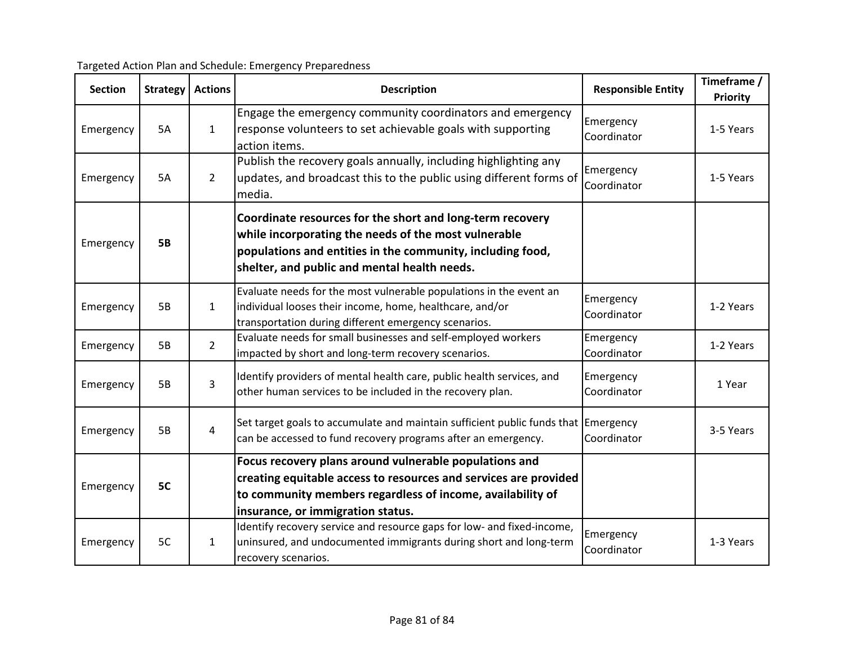| <b>Section</b> | <b>Strategy</b> | <b>Actions</b> | <b>Description</b>                                                                                                                                                                                                              | <b>Responsible Entity</b> | Timeframe /<br>Priority |
|----------------|-----------------|----------------|---------------------------------------------------------------------------------------------------------------------------------------------------------------------------------------------------------------------------------|---------------------------|-------------------------|
| Emergency      | <b>5A</b>       | $\mathbf{1}$   | Engage the emergency community coordinators and emergency<br>response volunteers to set achievable goals with supporting<br>action items.                                                                                       | Emergency<br>Coordinator  | 1-5 Years               |
| Emergency      | 5A              | $\overline{2}$ | Publish the recovery goals annually, including highlighting any<br>updates, and broadcast this to the public using different forms of<br>media.                                                                                 | Emergency<br>Coordinator  | 1-5 Years               |
| Emergency      | <b>5B</b>       |                | Coordinate resources for the short and long-term recovery<br>while incorporating the needs of the most vulnerable<br>populations and entities in the community, including food,<br>shelter, and public and mental health needs. |                           |                         |
| Emergency      | <b>5B</b>       | $\mathbf{1}$   | Evaluate needs for the most vulnerable populations in the event an<br>individual looses their income, home, healthcare, and/or<br>transportation during different emergency scenarios.                                          | Emergency<br>Coordinator  | 1-2 Years               |
| Emergency      | <b>5B</b>       | $2^{\circ}$    | Evaluate needs for small businesses and self-employed workers<br>impacted by short and long-term recovery scenarios.                                                                                                            | Emergency<br>Coordinator  | 1-2 Years               |
| Emergency      | <b>5B</b>       | $\overline{3}$ | Identify providers of mental health care, public health services, and<br>other human services to be included in the recovery plan.                                                                                              | Emergency<br>Coordinator  | 1 Year                  |
| Emergency      | <b>5B</b>       | $\overline{4}$ | Set target goals to accumulate and maintain sufficient public funds that Emergency<br>can be accessed to fund recovery programs after an emergency.                                                                             | Coordinator               | 3-5 Years               |
| Emergency      | 5C              |                | Focus recovery plans around vulnerable populations and<br>creating equitable access to resources and services are provided<br>to community members regardless of income, availability of<br>insurance, or immigration status.   |                           |                         |
| Emergency      | 5C              | $\mathbf{1}$   | Identify recovery service and resource gaps for low- and fixed-income,<br>uninsured, and undocumented immigrants during short and long-term<br>recovery scenarios.                                                              | Emergency<br>Coordinator  | 1-3 Years               |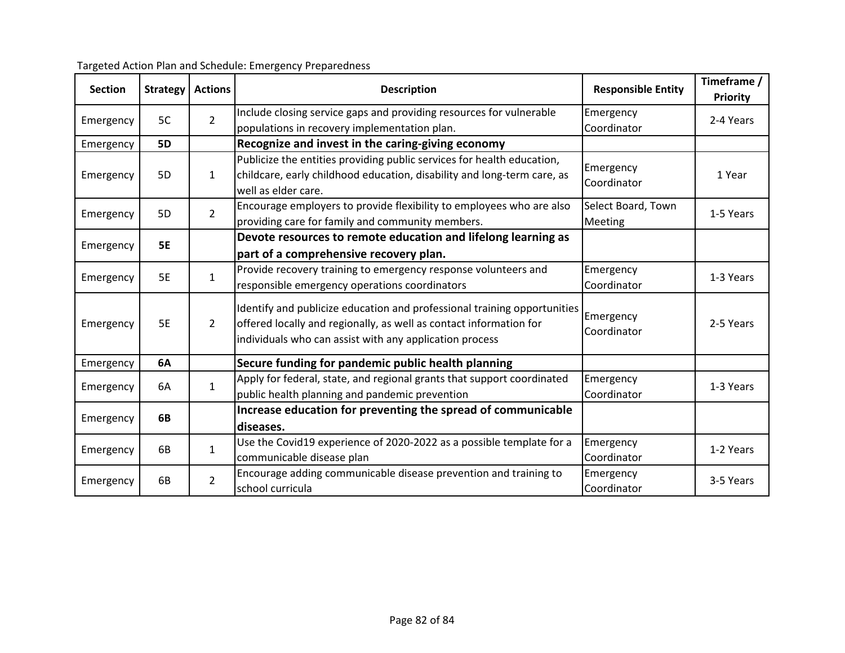| <b>Section</b> | <b>Strategy</b> | <b>Actions</b> | <b>Description</b>                                                                                                                                                                                        | <b>Responsible Entity</b>     | Timeframe /<br><b>Priority</b> |
|----------------|-----------------|----------------|-----------------------------------------------------------------------------------------------------------------------------------------------------------------------------------------------------------|-------------------------------|--------------------------------|
| Emergency      | 5C              | $\overline{2}$ | Include closing service gaps and providing resources for vulnerable<br>populations in recovery implementation plan.                                                                                       | Emergency<br>Coordinator      | 2-4 Years                      |
| Emergency      | <b>5D</b>       |                | Recognize and invest in the caring-giving economy                                                                                                                                                         |                               |                                |
| Emergency      | 5D              | $\mathbf{1}$   | Publicize the entities providing public services for health education,<br>childcare, early childhood education, disability and long-term care, as<br>well as elder care.                                  | Emergency<br>Coordinator      | 1 Year                         |
| Emergency      | 5D              | $\overline{2}$ | Encourage employers to provide flexibility to employees who are also<br>providing care for family and community members.                                                                                  | Select Board, Town<br>Meeting | 1-5 Years                      |
| Emergency      | <b>5E</b>       |                | Devote resources to remote education and lifelong learning as<br>part of a comprehensive recovery plan.                                                                                                   |                               |                                |
| Emergency      | 5E              | $\mathbf{1}$   | Provide recovery training to emergency response volunteers and<br>responsible emergency operations coordinators                                                                                           | Emergency<br>Coordinator      | 1-3 Years                      |
| Emergency      | <b>5E</b>       | $\overline{2}$ | Identify and publicize education and professional training opportunities<br>offered locally and regionally, as well as contact information for<br>individuals who can assist with any application process | Emergency<br>Coordinator      | 2-5 Years                      |
| Emergency      | 6A              |                | Secure funding for pandemic public health planning                                                                                                                                                        |                               |                                |
| Emergency      | 6A              | $\mathbf{1}$   | Apply for federal, state, and regional grants that support coordinated<br>public health planning and pandemic prevention                                                                                  | Emergency<br>Coordinator      | 1-3 Years                      |
| Emergency      | 6B              |                | Increase education for preventing the spread of communicable<br>diseases.                                                                                                                                 |                               |                                |
| Emergency      | 6B              | $\mathbf{1}$   | Use the Covid19 experience of 2020-2022 as a possible template for a<br>communicable disease plan                                                                                                         | Emergency<br>Coordinator      | 1-2 Years                      |
| Emergency      | 6B              | $\overline{2}$ | Encourage adding communicable disease prevention and training to<br>school curricula                                                                                                                      | Emergency<br>Coordinator      | 3-5 Years                      |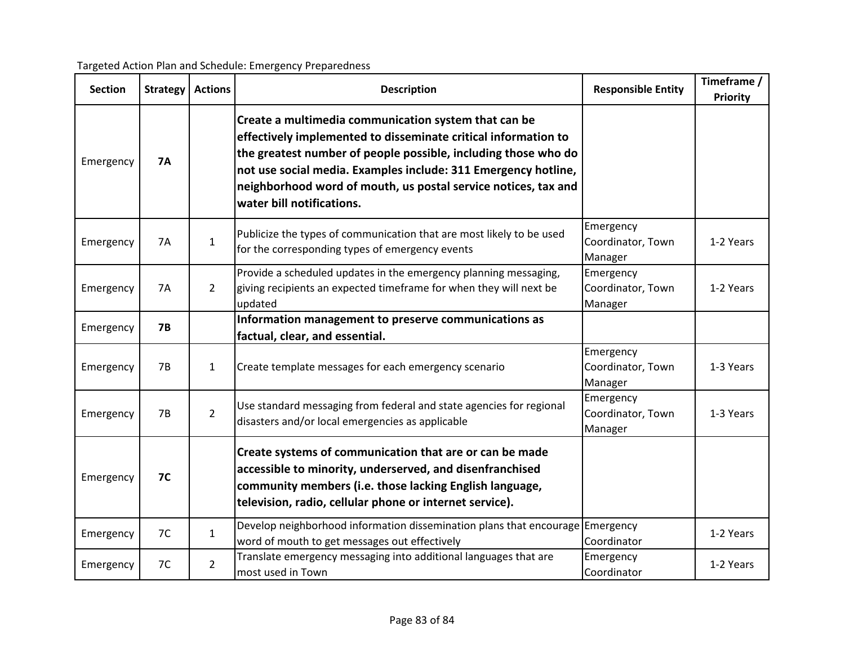| <b>Section</b> | <b>Strategy</b> | <b>Actions</b> | <b>Description</b>                                                                                                                                                                                                                                                                                                                                        | <b>Responsible Entity</b>                 | Timeframe /<br><b>Priority</b> |
|----------------|-----------------|----------------|-----------------------------------------------------------------------------------------------------------------------------------------------------------------------------------------------------------------------------------------------------------------------------------------------------------------------------------------------------------|-------------------------------------------|--------------------------------|
| Emergency      | <b>7A</b>       |                | Create a multimedia communication system that can be<br>effectively implemented to disseminate critical information to<br>the greatest number of people possible, including those who do<br>not use social media. Examples include: 311 Emergency hotline,<br>neighborhood word of mouth, us postal service notices, tax and<br>water bill notifications. |                                           |                                |
| Emergency      | 7A              | $\mathbf{1}$   | Publicize the types of communication that are most likely to be used<br>for the corresponding types of emergency events                                                                                                                                                                                                                                   | Emergency<br>Coordinator, Town<br>Manager | 1-2 Years                      |
| Emergency      | 7A              | $\overline{2}$ | Provide a scheduled updates in the emergency planning messaging,<br>giving recipients an expected timeframe for when they will next be<br>updated                                                                                                                                                                                                         | Emergency<br>Coordinator, Town<br>Manager | 1-2 Years                      |
| Emergency      | 7B              |                | Information management to preserve communications as<br>factual, clear, and essential.                                                                                                                                                                                                                                                                    |                                           |                                |
| Emergency      | 7B              | $\mathbf{1}$   | Create template messages for each emergency scenario                                                                                                                                                                                                                                                                                                      | Emergency<br>Coordinator, Town<br>Manager | 1-3 Years                      |
| Emergency      | 7B              | $\overline{2}$ | Use standard messaging from federal and state agencies for regional<br>disasters and/or local emergencies as applicable                                                                                                                                                                                                                                   | Emergency<br>Coordinator, Town<br>Manager | 1-3 Years                      |
| Emergency      | 7 <sup>C</sup>  |                | Create systems of communication that are or can be made<br>accessible to minority, underserved, and disenfranchised<br>community members (i.e. those lacking English language,<br>television, radio, cellular phone or internet service).                                                                                                                 |                                           |                                |
| Emergency      | 7C              | $\mathbf{1}$   | Develop neighborhood information dissemination plans that encourage Emergency<br>word of mouth to get messages out effectively                                                                                                                                                                                                                            | Coordinator                               | 1-2 Years                      |
| Emergency      | 7C              | $\overline{2}$ | Translate emergency messaging into additional languages that are<br>most used in Town                                                                                                                                                                                                                                                                     | Emergency<br>Coordinator                  | 1-2 Years                      |